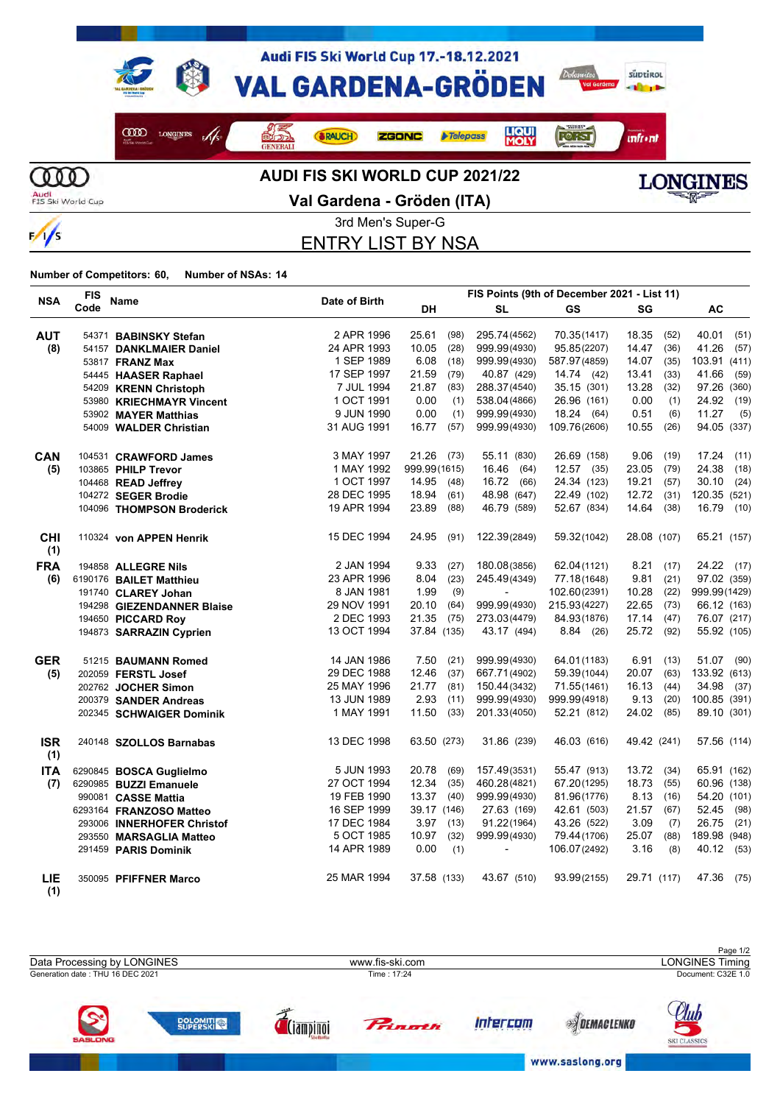

 $\frac{1}{s}$ 

**Val Gardena - Gröden (ITA)**



**SKI CLASSICS** 

www.saslong.org

3rd Men's Super-G

ENTRY LIST BY NSA

|                   | <b>FIS</b> | <b>Name</b>                |               | FIS Points (9th of December 2021 - List 11) |      |                          |              |             |      |               |
|-------------------|------------|----------------------------|---------------|---------------------------------------------|------|--------------------------|--------------|-------------|------|---------------|
| <b>NSA</b>        | Code       |                            | Date of Birth | DH                                          |      | <b>SL</b>                | <b>GS</b>    | SG          |      | AC            |
| <b>AUT</b>        |            | 54371 BABINSKY Stefan      | 2 APR 1996    | 25.61                                       | (98) | 295.74(4562)             | 70.35(1417)  | 18.35       | (52) | 40.01<br>(51) |
| (8)               |            | 54157 DANKLMAIER Daniel    | 24 APR 1993   | 10.05                                       | (28) | 999.99(4930)             | 95.85(2207)  | 14.47       | (36) | 41.26<br>(57) |
|                   |            | 53817 FRANZ Max            | 1 SEP 1989    | 6.08                                        | (18) | 999.99(4930)             | 587.97(4859) | 14.07       | (35) | 103.91 (411)  |
|                   |            | 54445 HAASER Raphael       | 17 SEP 1997   | 21.59                                       | (79) | 40.87 (429)              | 14.74 (42)   | 13.41       | (33) | 41.66<br>(59) |
|                   |            | 54209 KRENN Christoph      | 7 JUL 1994    | 21.87                                       | (83) | 288.37(4540)             | 35.15 (301)  | 13.28       | (32) | 97.26 (360)   |
|                   |            | 53980 KRIECHMAYR Vincent   | 1 OCT 1991    | 0.00                                        | (1)  | 538.04(4866)             | 26.96 (161)  | 0.00        | (1)  | 24.92<br>(19) |
|                   |            | 53902 MAYER Matthias       | 9 JUN 1990    | 0.00                                        | (1)  | 999.99(4930)             | 18.24 (64)   | 0.51        | (6)  | 11.27<br>(5)  |
|                   |            | 54009 WALDER Christian     | 31 AUG 1991   | 16.77                                       | (57) | 999.99(4930)             | 109.76(2606) | 10.55       | (26) | 94.05 (337)   |
| <b>CAN</b>        |            | 104531 CRAWFORD James      | 3 MAY 1997    | 21.26                                       | (73) | 55.11 (830)              | 26.69 (158)  | 9.06        | (19) | 17.24<br>(11) |
| (5)               |            | 103865 PHILP Trevor        | 1 MAY 1992    | 999.99(1615)                                |      | 16.46 (64)               | $12.57$ (35) | 23.05       | (79) | 24.38<br>(18) |
|                   |            | 104468 READ Jeffrey        | 1 OCT 1997    | 14.95                                       | (48) | 16.72 (66)               | 24.34 (123)  | 19.21       | (57) | 30.10<br>(24) |
|                   |            | 104272 SEGER Brodie        | 28 DEC 1995   | 18.94                                       | (61) | 48.98 (647)              | 22.49 (102)  | 12.72       | (31) | 120.35 (521)  |
|                   |            | 104096 THOMPSON Broderick  | 19 APR 1994   | 23.89                                       | (88) | 46.79 (589)              | 52.67 (834)  | 14.64       | (38) | 16.79 (10)    |
| <b>CHI</b><br>(1) |            | 110324 von APPEN Henrik    | 15 DEC 1994   | 24.95                                       | (91) | 122.39(2849)             | 59.32(1042)  | 28.08 (107) |      | 65.21 (157)   |
| <b>FRA</b>        |            | 194858 ALLEGRE Nils        | 2 JAN 1994    | 9.33                                        | (27) | 180.08(3856)             | 62.04(1121)  | 8.21        | (17) | 24.22 (17)    |
| (6)               |            | 6190176 BAILET Matthieu    | 23 APR 1996   | 8.04                                        | (23) | 245.49(4349)             | 77.18(1648)  | 9.81        | (21) | 97.02 (359)   |
|                   |            | 191740 CLAREY Johan        | 8 JAN 1981    | 1.99                                        | (9)  | $\overline{a}$           | 102.60(2391) | 10.28       | (22) | 999.99(1429)  |
|                   |            | 194298 GIEZENDANNER Blaise | 29 NOV 1991   | 20.10                                       | (64) | 999.99(4930)             | 215.93(4227) | 22.65       | (73) | 66.12 (163)   |
|                   |            | 194650 PICCARD Roy         | 2 DEC 1993    | 21.35                                       | (75) | 273.03(4479)             | 84.93(1876)  | 17.14       | (47) | 76.07 (217)   |
|                   |            | 194873 SARRAZIN Cyprien    | 13 OCT 1994   | 37.84 (135)                                 |      | 43.17 (494)              | 8.84(26)     | 25.72 (92)  |      | 55.92 (105)   |
| <b>GER</b>        |            | 51215 BAUMANN Romed        | 14 JAN 1986   | 7.50                                        | (21) | 999.99(4930)             | 64.01(1183)  | 6.91        | (13) | 51.07 (90)    |
| (5)               |            | 202059 FERSTL Josef        | 29 DEC 1988   | 12.46                                       | (37) | 667.71(4902)             | 59.39(1044)  | 20.07       | (63) | 133.92 (613)  |
|                   |            | 202762 JOCHER Simon        | 25 MAY 1996   | 21.77                                       | (81) | 150.44(3432)             | 71.55(1461)  | 16.13       | (44) | 34.98 (37)    |
|                   |            | 200379 SANDER Andreas      | 13 JUN 1989   | 2.93                                        | (11) | 999.99(4930)             | 999.99(4918) | 9.13        | (20) | 100.85 (391)  |
|                   |            | 202345 SCHWAIGER Dominik   | 1 MAY 1991    | 11.50                                       | (33) | 201.33(4050)             | 52.21 (812)  | 24.02 (85)  |      | 89.10 (301)   |
| <b>ISR</b><br>(1) |            | 240148 SZOLLOS Barnabas    | 13 DEC 1998   | 63.50 (273)                                 |      | 31.86 (239)              | 46.03 (616)  | 49.42 (241) |      | 57.56 (114)   |
| <b>ITA</b>        |            | 6290845 BOSCA Guglielmo    | 5 JUN 1993    | 20.78                                       | (69) | 157.49(3531)             | 55.47 (913)  | 13.72 (34)  |      | 65.91 (162)   |
| (7)               |            | 6290985 BUZZI Emanuele     | 27 OCT 1994   | 12.34                                       | (35) | 460.28(4821)             | 67.20(1295)  | 18.73       | (55) | 60.96 (138)   |
|                   |            | 990081 CASSE Mattia        | 19 FEB 1990   | 13.37 (40)                                  |      | 999.99(4930)             | 81.96(1776)  | 8.13        | (16) | 54.20 (101)   |
|                   |            | 6293164 FRANZOSO Matteo    | 16 SEP 1999   | 39.17 (146)                                 |      | 27.63 (169)              | 42.61 (503)  | 21.57       | (67) | 52.45 (98)    |
|                   |            | 293006 INNERHOFER Christof | 17 DEC 1984   | 3.97                                        | (13) | 91.22(1964)              | 43.26 (522)  | 3.09        | (7)  | 26.75<br>(21) |
|                   |            | 293550 MARSAGLIA Matteo    | 5 OCT 1985    | 10.97                                       | (32) | 999.99(4930)             | 79.44 (1706) | 25.07       | (88) | 189.98 (948)  |
|                   |            | 291459 PARIS Dominik       | 14 APR 1989   | 0.00                                        | (1)  | $\overline{\phantom{a}}$ | 106.07(2492) | 3.16        | (8)  | 40.12 (53)    |
| LIE<br>(1)        |            | 350095 PFIFFNER Marco      | 25 MAR 1994   | 37.58 (133)                                 |      | 43.67 (510)              | 93.99(2155)  | 29.71 (117) |      | 47.36<br>(75) |

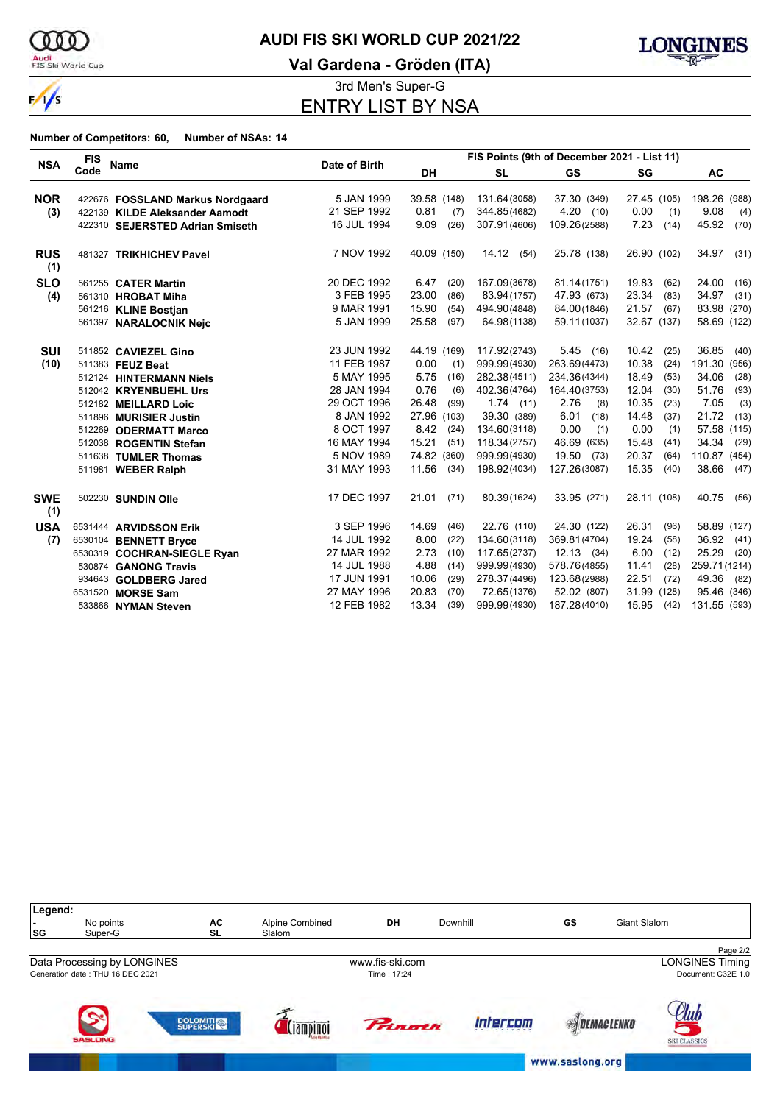

 $\frac{1}{\sqrt{2}}$ 

Audi<br>FIS Ski World Cup

## **AUDI FIS SKI WORLD CUP 2021/22**

**Val Gardena - Gröden (ITA)**



3rd Men's Super-G ENTRY LIST BY NSA

| <b>NSA</b>        | <b>FIS</b> | Name                             |               | FIS Points (9th of December 2021 - List 11) |               |              |               |                 |
|-------------------|------------|----------------------------------|---------------|---------------------------------------------|---------------|--------------|---------------|-----------------|
|                   | Code       |                                  | Date of Birth | <b>DH</b>                                   | <b>SL</b>     | <b>GS</b>    | SG            | <b>AC</b>       |
| <b>NOR</b>        |            | 422676 FOSSLAND Markus Nordgaard | 5 JAN 1999    | 39.58 (148)                                 | 131.64(3058)  | 37.30 (349)  | 27.45 (105)   | 198.26<br>(988) |
| (3)               |            | 422139 KILDE Aleksander Aamodt   | 21 SEP 1992   | 0.81<br>(7)                                 | 344.85(4682)  | 4.20(10)     | 0.00<br>(1)   | 9.08<br>(4)     |
|                   |            | 422310 SEJERSTED Adrian Smiseth  | 16 JUL 1994   | 9.09<br>(26)                                | 307.91(4606)  | 109.26(2588) | 7.23<br>(14)  | 45.92<br>(70)   |
| <b>RUS</b><br>(1) |            | 481327 TRIKHICHEV Pavel          | 7 NOV 1992    | 40.09 (150)                                 | 14.12<br>(54) | 25.78 (138)  | 26.90 (102)   | 34.97<br>(31)   |
| <b>SLO</b>        |            | 561255 CATER Martin              | 20 DEC 1992   | 6.47<br>(20)                                | 167.09(3678)  | 81.14(1751)  | 19.83<br>(62) | 24.00<br>(16)   |
| (4)               |            | 561310 HROBAT Miha               | 3 FEB 1995    | 23.00<br>(86)                               | 83.94(1757)   | 47.93 (673)  | 23.34<br>(83) | 34.97<br>(31)   |
|                   |            | 561216 KLINE Bostjan             | 9 MAR 1991    | 15.90<br>(54)                               | 494.90(4848)  | 84.00(1846)  | 21.57<br>(67) | 83.98<br>(270)  |
|                   |            | 561397 NARALOCNIK Nejc           | 5 JAN 1999    | 25.58<br>(97)                               | 64.98(1138)   | 59.11(1037)  | 32.67 (137)   | 58.69 (122)     |
| <b>SUI</b>        |            | 511852 CAVIEZEL Gino             | 23 JUN 1992   | 44.19 (169)                                 | 117.92(2743)  | 5.45(16)     | 10.42<br>(25) | 36.85<br>(40)   |
| (10)              |            | 511383 FEUZ Beat                 | 11 FEB 1987   | 0.00<br>(1)                                 | 999.99(4930)  | 263.69(4473) | 10.38<br>(24) | 191.30<br>(956) |
|                   |            | 512124 HINTERMANN Niels          | 5 MAY 1995    | 5.75<br>(16)                                | 282.38(4511)  | 234.36(4344) | 18.49<br>(53) | 34.06<br>(28)   |
|                   |            | 512042 KRYENBUEHL Urs            | 28 JAN 1994   | 0.76<br>(6)                                 | 402.36(4764)  | 164.40(3753) | 12.04<br>(30) | 51.76<br>(93)   |
|                   |            | 512182 MEILLARD Loic             | 29 OCT 1996   | 26.48<br>(99)                               | $1.74$ (11)   | 2.76<br>(8)  | 10.35<br>(23) | 7.05<br>(3)     |
|                   |            | 511896 MURISIER Justin           | 8 JAN 1992    | 27.96 (103)                                 | 39.30 (389)   | 6.01<br>(18) | 14.48<br>(37) | 21.72<br>(13)   |
|                   |            | 512269 ODERMATT Marco            | 8 OCT 1997    | 8.42<br>(24)                                | 134.60(3118)  | 0.00<br>(1)  | 0.00<br>(1)   | 57.58 (115)     |
|                   |            | 512038 ROGENTIN Stefan           | 16 MAY 1994   | 15.21<br>(51)                               | 118.34(2757)  | 46.69 (635)  | 15.48<br>(41) | 34.34<br>(29)   |
|                   |            | 511638 TUMLER Thomas             | 5 NOV 1989    | 74.82 (360)                                 | 999.99(4930)  | 19.50 (73)   | 20.37<br>(64) | 110.87 (454)    |
|                   |            | 511981 WEBER Ralph               | 31 MAY 1993   | 11.56<br>(34)                               | 198.92(4034)  | 127.26(3087) | 15.35<br>(40) | 38.66<br>(47)   |
| <b>SWE</b><br>(1) |            | 502230 SUNDIN Olle               | 17 DEC 1997   | 21.01<br>(71)                               | 80.39(1624)   | 33.95 (271)  | 28.11 (108)   | 40.75<br>(56)   |
| <b>USA</b>        |            | 6531444 ARVIDSSON Erik           | 3 SEP 1996    | 14.69<br>(46)                               | 22.76 (110)   | 24.30 (122)  | 26.31<br>(96) | 58.89 (127)     |
| (7)               |            | 6530104 BENNETT Bryce            | 14 JUL 1992   | 8.00<br>(22)                                | 134.60(3118)  | 369.81(4704) | 19.24<br>(58) | 36.92<br>(41)   |
|                   |            | 6530319 COCHRAN-SIEGLE Ryan      | 27 MAR 1992   | 2.73<br>(10)                                | 117.65(2737)  | $12.13$ (34) | 6.00<br>(12)  | 25.29<br>(20)   |
|                   |            | 530874 GANONG Travis             | 14 JUL 1988   | 4.88<br>(14)                                | 999.99(4930)  | 578.76(4855) | 11.41<br>(28) | 259.71(1214)    |
|                   |            | 934643 GOLDBERG Jared            | 17 JUN 1991   | 10.06<br>(29)                               | 278.37(4496)  | 123.68(2988) | 22.51<br>(72) | 49.36<br>(82)   |
|                   |            | 6531520 MORSE Sam                | 27 MAY 1996   | 20.83<br>(70)                               | 72.65(1376)   | 52.02 (807)  | 31.99 (128)   | 95.46<br>(346)  |
|                   |            | 533866 NYMAN Steven              | 12 FEB 1982   | 13.34<br>(39)                               | 999.99(4930)  | 187.28(4010) | 15.95<br>(42) | 131.55 (593)    |

| Legend:<br> SG | No points<br>Super-G                   | AC<br><b>SL</b>   | Alpine Combined<br>Slalom | DH              | Downhill | GS                  | Giant Slalom           |
|----------------|----------------------------------------|-------------------|---------------------------|-----------------|----------|---------------------|------------------------|
|                |                                        |                   |                           |                 |          |                     | Page 2/2               |
|                | Data Processing by LONGINES            |                   |                           | www.fis-ski.com |          |                     | <b>LONGINES Timing</b> |
|                | Generation date: THU 16 DEC 2021       |                   |                           | Time: 17:24     |          |                     | Document: C32E 1.0     |
|                | $\tilde{\mathbf{z}}$<br><b>SASLONG</b> | <b>DOLOMITION</b> | $3$ mnina                 | <b>Princth</b>  | Intercom | <b>EXPENACLENKO</b> | <b>SKI CLASSICS</b>    |
|                |                                        |                   |                           |                 |          | www.sasiong.org     |                        |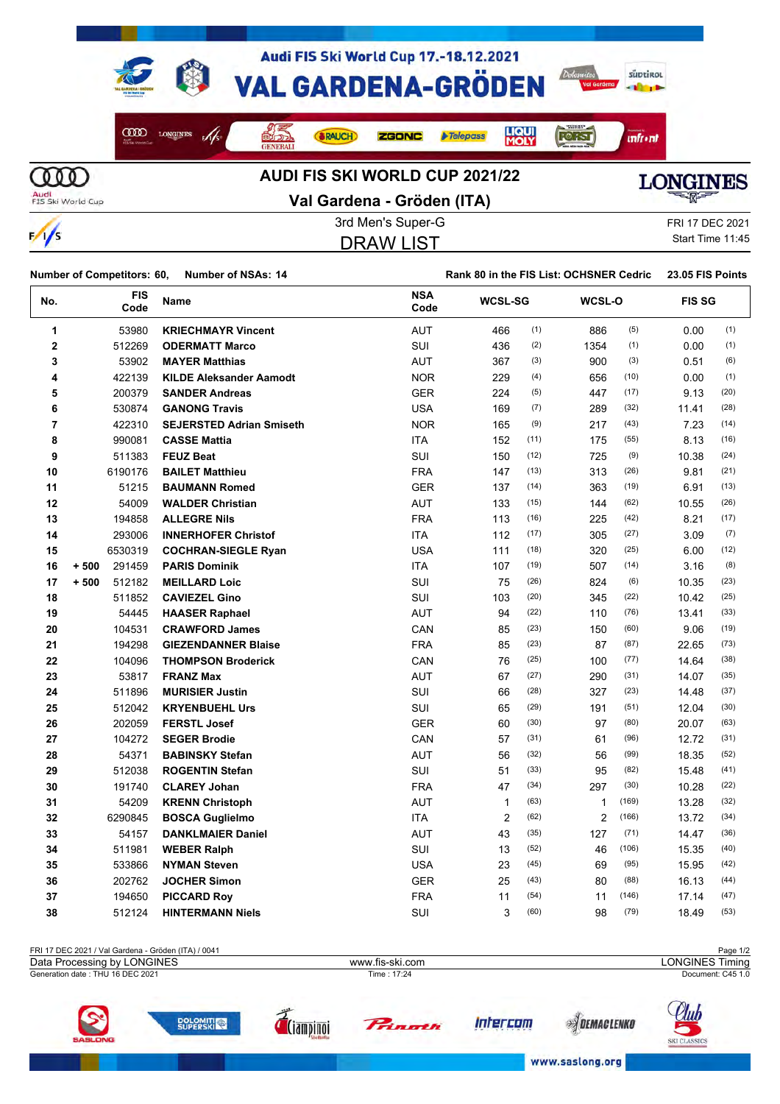

 $\frac{1}{s}$ 

## **Val Gardena - Gröden (ITA)**



3rd Men's Super-G FRI 17 DEC 2021 DRAW LIST

Start Time 11:45

| Number of Competitors: 60. Number of NSAs: 14 | Rank 80 in the FIS List: OCHSNER Cedric 23.05 FIS Points |  |
|-----------------------------------------------|----------------------------------------------------------|--|

| No.            | <b>FIS</b><br>Code | Name                            | <b>NSA</b><br>Code | <b>WCSL-SG</b> |      | WCSL-O         |       | <b>FIS SG</b> |      |
|----------------|--------------------|---------------------------------|--------------------|----------------|------|----------------|-------|---------------|------|
| 1              | 53980              | <b>KRIECHMAYR Vincent</b>       | <b>AUT</b>         | 466            | (1)  | 886            | (5)   | 0.00          | (1)  |
| $\mathbf 2$    | 512269             | <b>ODERMATT Marco</b>           | SUI                | 436            | (2)  | 1354           | (1)   | 0.00          | (1)  |
| 3              | 53902              | <b>MAYER Matthias</b>           | <b>AUT</b>         | 367            | (3)  | 900            | (3)   | 0.51          | (6)  |
| 4              | 422139             | <b>KILDE Aleksander Aamodt</b>  | <b>NOR</b>         | 229            | (4)  | 656            | (10)  | 0.00          | (1)  |
| 5              | 200379             | <b>SANDER Andreas</b>           | <b>GER</b>         | 224            | (5)  | 447            | (17)  | 9.13          | (20) |
| 6              | 530874             | <b>GANONG Travis</b>            | <b>USA</b>         | 169            | (7)  | 289            | (32)  | 11.41         | (28) |
| $\overline{7}$ | 422310             | <b>SEJERSTED Adrian Smiseth</b> | <b>NOR</b>         | 165            | (9)  | 217            | (43)  | 7.23          | (14) |
| 8              | 990081             | <b>CASSE Mattia</b>             | <b>ITA</b>         | 152            | (11) | 175            | (55)  | 8.13          | (16) |
| 9              | 511383             | <b>FEUZ Beat</b>                | <b>SUI</b>         | 150            | (12) | 725            | (9)   | 10.38         | (24) |
| 10             | 6190176            | <b>BAILET Matthieu</b>          | <b>FRA</b>         | 147            | (13) | 313            | (26)  | 9.81          | (21) |
| 11             | 51215              | <b>BAUMANN Romed</b>            | <b>GER</b>         | 137            | (14) | 363            | (19)  | 6.91          | (13) |
| 12             | 54009              | <b>WALDER Christian</b>         | <b>AUT</b>         | 133            | (15) | 144            | (62)  | 10.55         | (26) |
| 13             | 194858             | <b>ALLEGRE Nils</b>             | <b>FRA</b>         | 113            | (16) | 225            | (42)  | 8.21          | (17) |
| 14             | 293006             | <b>INNERHOFER Christof</b>      | ITA                | 112            | (17) | 305            | (27)  | 3.09          | (7)  |
| 15             | 6530319            | <b>COCHRAN-SIEGLE Ryan</b>      | <b>USA</b>         | 111            | (18) | 320            | (25)  | 6.00          | (12) |
| 16             | 291459<br>$+500$   | <b>PARIS Dominik</b>            | <b>ITA</b>         | 107            | (19) | 507            | (14)  | 3.16          | (8)  |
| 17             | 512182<br>$+500$   | <b>MEILLARD Loic</b>            | SUI                | 75             | (26) | 824            | (6)   | 10.35         | (23) |
| 18             | 511852             | <b>CAVIEZEL Gino</b>            | SUI                | 103            | (20) | 345            | (22)  | 10.42         | (25) |
| 19             | 54445              | <b>HAASER Raphael</b>           | <b>AUT</b>         | 94             | (22) | 110            | (76)  | 13.41         | (33) |
| 20             | 104531             | <b>CRAWFORD James</b>           | CAN                | 85             | (23) | 150            | (60)  | 9.06          | (19) |
| 21             | 194298             | <b>GIEZENDANNER Blaise</b>      | <b>FRA</b>         | 85             | (23) | 87             | (87)  | 22.65         | (73) |
| 22             | 104096             | <b>THOMPSON Broderick</b>       | CAN                | 76             | (25) | 100            | (77)  | 14.64         | (38) |
| 23             | 53817              | <b>FRANZ Max</b>                | <b>AUT</b>         | 67             | (27) | 290            | (31)  | 14.07         | (35) |
| 24             | 511896             | <b>MURISIER Justin</b>          | SUI                | 66             | (28) | 327            | (23)  | 14.48         | (37) |
| 25             | 512042             | <b>KRYENBUEHL Urs</b>           | <b>SUI</b>         | 65             | (29) | 191            | (51)  | 12.04         | (30) |
| 26             | 202059             | <b>FERSTL Josef</b>             | <b>GER</b>         | 60             | (30) | 97             | (80)  | 20.07         | (63) |
| 27             | 104272             | <b>SEGER Brodie</b>             | CAN                | 57             | (31) | 61             | (96)  | 12.72         | (31) |
| 28             | 54371              | <b>BABINSKY Stefan</b>          | <b>AUT</b>         | 56             | (32) | 56             | (99)  | 18.35         | (52) |
| 29             | 512038             | <b>ROGENTIN Stefan</b>          | <b>SUI</b>         | 51             | (33) | 95             | (82)  | 15.48         | (41) |
| 30             | 191740             | <b>CLAREY Johan</b>             | <b>FRA</b>         | 47             | (34) | 297            | (30)  | 10.28         | (22) |
| 31             | 54209              | <b>KRENN Christoph</b>          | <b>AUT</b>         | $\mathbf{1}$   | (63) | $\mathbf{1}$   | (169) | 13.28         | (32) |
| 32             | 6290845            | <b>BOSCA Guglielmo</b>          | <b>ITA</b>         | 2              | (62) | $\overline{2}$ | (166) | 13.72         | (34) |
| 33             | 54157              | <b>DANKLMAIER Daniel</b>        | <b>AUT</b>         | 43             | (35) | 127            | (71)  | 14.47         | (36) |
| 34             | 511981             | <b>WEBER Ralph</b>              | <b>SUI</b>         | 13             | (52) | 46             | (106) | 15.35         | (40) |
| 35             | 533866             | <b>NYMAN Steven</b>             | <b>USA</b>         | 23             | (45) | 69             | (95)  | 15.95         | (42) |
| 36             | 202762             | <b>JOCHER Simon</b>             | <b>GER</b>         | 25             | (43) | 80             | (88)  | 16.13         | (44) |
| 37             | 194650             | <b>PICCARD Roy</b>              | <b>FRA</b>         | 11             | (54) | 11             | (146) | 17.14         | (47) |
| 38             | 512124             | <b>HINTERMANN Niels</b>         | <b>SUI</b>         | 3              | (60) | 98             | (79)  | 18.49         | (53) |

| FRI 17 DEC 2021 / Val Gardena - Gröden (ITA) / 0041 |  |                 |        | Page 1/2     |                                    |  |
|-----------------------------------------------------|--|-----------------|--------|--------------|------------------------------------|--|
| Data Processing by LONGINES                         |  | www.fis-ski.com |        |              | <b>LONGINES Timing</b>             |  |
| Generation date: THU 16 DEC 2021                    |  | Time: 17:24     |        |              | Document: C45 1.0                  |  |
| $\tilde{\mathbf{z}}$<br><b>SASLONG</b>              |  | <b>Princth</b>  | tercom | <b>LENKI</b> | <u>Au</u> r<br><b>SKI CLASSICS</b> |  |

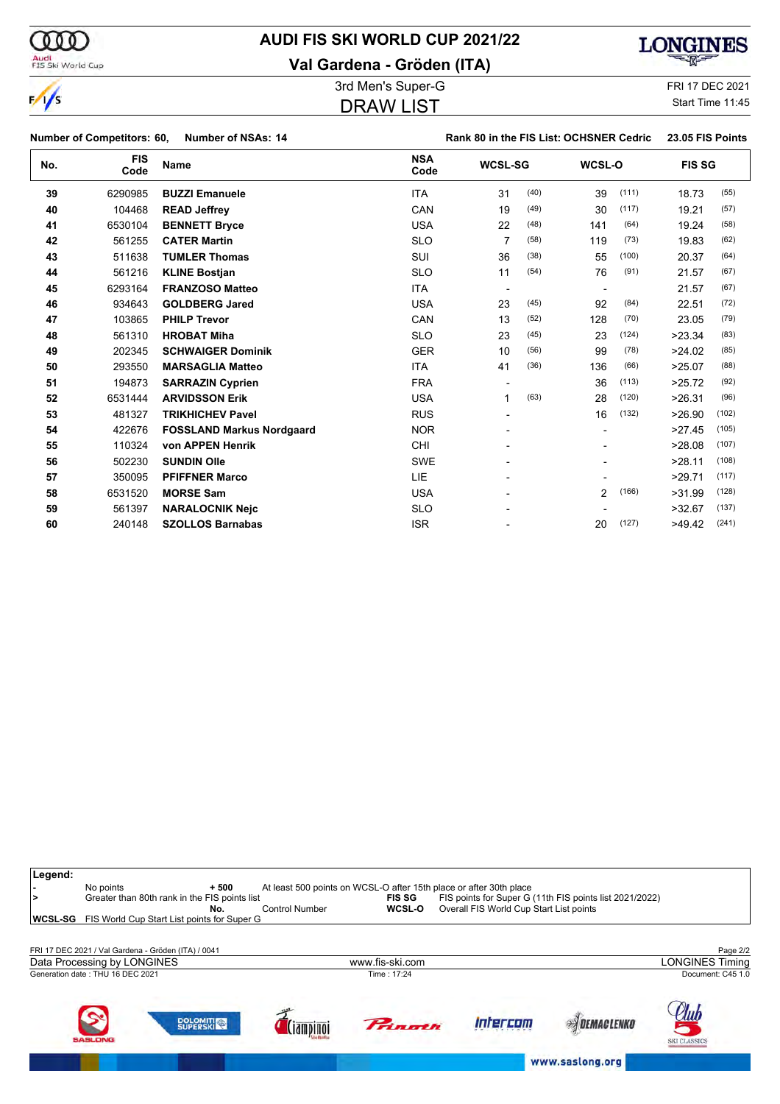$\frac{1}{\sqrt{2}}$ 

**Legend:**

## **AUDI FIS SKI WORLD CUP 2021/22**

**Val Gardena - Gröden (ITA)**



3rd Men's Super-G FRI 17 DEC 2021 DRAW LIST

Start Time 11:45

٦

|     | <b>Number of Competitors: 60,</b> | <b>Number of NSAs: 14</b>        |                    | Rank 80 in the FIS List: OCHSNER Cedric |      |                |       | 23.05 FIS Points |       |
|-----|-----------------------------------|----------------------------------|--------------------|-----------------------------------------|------|----------------|-------|------------------|-------|
| No. | <b>FIS</b><br>Code                | <b>Name</b>                      | <b>NSA</b><br>Code | <b>WCSL-SG</b>                          |      | WCSL-O         |       | <b>FIS SG</b>    |       |
| 39  | 6290985                           | <b>BUZZI Emanuele</b>            | <b>ITA</b>         | 31                                      | (40) | 39             | (111) | 18.73            | (55)  |
| 40  | 104468                            | <b>READ Jeffrey</b>              | CAN                | 19                                      | (49) | 30             | (117) | 19.21            | (57)  |
| 41  | 6530104                           | <b>BENNETT Bryce</b>             | <b>USA</b>         | 22                                      | (48) | 141            | (64)  | 19.24            | (58)  |
| 42  | 561255                            | <b>CATER Martin</b>              | <b>SLO</b>         | 7                                       | (58) | 119            | (73)  | 19.83            | (62)  |
| 43  | 511638                            | <b>TUMLER Thomas</b>             | SUI                | 36                                      | (38) | 55             | (100) | 20.37            | (64)  |
| 44  | 561216                            | <b>KLINE Bostjan</b>             | <b>SLO</b>         | 11                                      | (54) | 76             | (91)  | 21.57            | (67)  |
| 45  | 6293164                           | <b>FRANZOSO Matteo</b>           | <b>ITA</b>         | $\overline{\phantom{a}}$                |      |                |       | 21.57            | (67)  |
| 46  | 934643                            | <b>GOLDBERG Jared</b>            | <b>USA</b>         | 23                                      | (45) | 92             | (84)  | 22.51            | (72)  |
| 47  | 103865                            | <b>PHILP Trevor</b>              | CAN                | 13                                      | (52) | 128            | (70)  | 23.05            | (79)  |
| 48  | 561310                            | <b>HROBAT Miha</b>               | <b>SLO</b>         | 23                                      | (45) | 23             | (124) | >23.34           | (83)  |
| 49  | 202345                            | <b>SCHWAIGER Dominik</b>         | <b>GER</b>         | 10                                      | (56) | 99             | (78)  | >24.02           | (85)  |
| 50  | 293550                            | <b>MARSAGLIA Matteo</b>          | <b>ITA</b>         | 41                                      | (36) | 136            | (66)  | >25.07           | (88)  |
| 51  | 194873                            | <b>SARRAZIN Cyprien</b>          | <b>FRA</b>         |                                         |      | 36             | (113) | >25.72           | (92)  |
| 52  | 6531444                           | <b>ARVIDSSON Erik</b>            | <b>USA</b>         | 1                                       | (63) | 28             | (120) | >26.31           | (96)  |
| 53  | 481327                            | <b>TRIKHICHEV Pavel</b>          | <b>RUS</b>         |                                         |      | 16             | (132) | >26.90           | (102) |
| 54  | 422676                            | <b>FOSSLAND Markus Nordgaard</b> | <b>NOR</b>         |                                         |      |                |       | >27.45           | (105) |
| 55  | 110324                            | von APPEN Henrik                 | <b>CHI</b>         |                                         |      |                |       | >28.08           | (107) |
| 56  | 502230                            | <b>SUNDIN Olle</b>               | <b>SWE</b>         |                                         |      |                |       | >28.11           | (108) |
| 57  | 350095                            | <b>PFIFFNER Marco</b>            | LIE                |                                         |      |                |       | >29.71           | (117) |
| 58  | 6531520                           | <b>MORSE Sam</b>                 | <b>USA</b>         |                                         |      | $\overline{2}$ | (166) | >31.99           | (128) |
| 59  | 561397                            | <b>NARALOCNIK Nejc</b>           | <b>SLO</b>         |                                         |      |                |       | >32.67           | (137) |
| 60  | 240148                            | <b>SZOLLOS Barnabas</b>          | <b>ISR</b>         |                                         |      | 20             | (127) | >49.42           | (241) |

| ⋗<br>WCSL-SGI | No points<br>Greater than 80th rank in the FIS points list<br>FIS World Cup Start List points for Super G | $+500$<br>No. | <b>Control Number</b> | <b>FIS SG</b><br>WCSL-O | At least 500 points on WCSL-O after 15th place or after 30th place<br>FIS points for Super G (11th FIS points list 2021/2022)<br>Overall FIS World Cup Start List points |                   |                                    |
|---------------|-----------------------------------------------------------------------------------------------------------|---------------|-----------------------|-------------------------|--------------------------------------------------------------------------------------------------------------------------------------------------------------------------|-------------------|------------------------------------|
|               | FRI 17 DEC 2021 / Val Gardena - Gröden (ITA) / 0041                                                       |               |                       |                         |                                                                                                                                                                          |                   | Page 2/2                           |
|               | Data Processing by LONGINES                                                                               |               |                       | www.fis-ski.com         |                                                                                                                                                                          |                   | <b>LONGINES Timing</b>             |
|               | Generation date: THU 16 DEC 2021                                                                          |               |                       | Time: 17:24             |                                                                                                                                                                          |                   | Document: C45 1.0                  |
|               | $\mathbf{S}$<br><b>DOLOMITICA</b><br><b>SASLONG</b>                                                       |               | ampino                | Primoth                 | ntercom                                                                                                                                                                  | <b>DEMACLENKO</b> | <u>Itul</u><br><b>SKI CLASSICS</b> |

www.saslong.org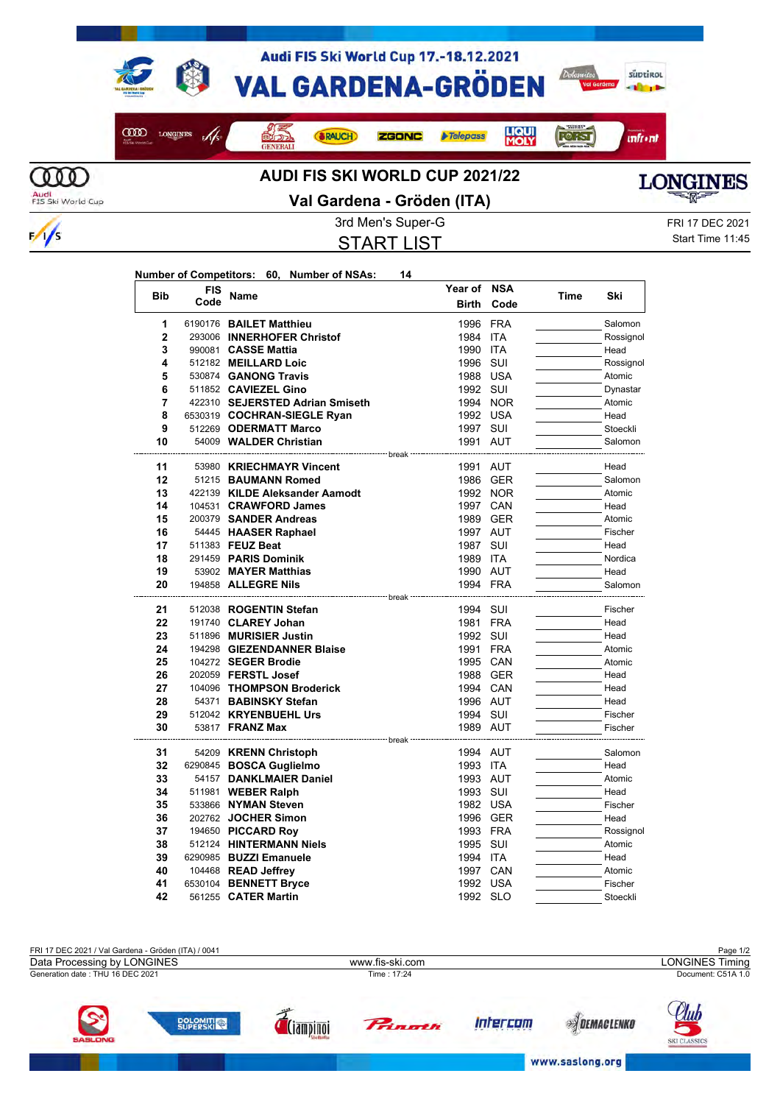

 $\frac{1}{s}$ 

## **Val Gardena - Gröden (ITA)**



START LIST

3rd Men's Super-G FRI 17 DEC 2021 Start Time 11:45

|  | Number of Competitors: 60, Number of NSAs: |  |  | 14 |
|--|--------------------------------------------|--|--|----|
|--|--------------------------------------------|--|--|----|

| <b>Bib</b>     | <b>FIS</b> | Name                                              | Year of NSA          |            |      | Ski                 |
|----------------|------------|---------------------------------------------------|----------------------|------------|------|---------------------|
|                | Code       |                                                   | <b>Birth</b>         | Code       | Time |                     |
| 1              |            | 6190176 BAILET Matthieu                           | 1996 FRA             |            |      | Salomon             |
| $\overline{2}$ |            | 293006 INNERHOFER Christof                        | 1984 ITA             |            |      | Rossignol           |
| 3              |            | 990081 CASSE Mattia                               | 1990                 | <b>ITA</b> |      | Head                |
| 4              |            | 512182 MEILLARD Loic                              | 1996                 | SUI        |      | Rossignol           |
| 5              |            | 530874 GANONG Travis                              | 1988 USA             |            |      | Atomic              |
| 6              |            | 511852 CAVIEZEL Gino                              | 1992 SUI             |            |      | Dynastar            |
| 7              |            | 422310 SEJERSTED Adrian Smiseth                   | 1994 NOR             |            |      | Atomic              |
| 8              |            | 6530319 COCHRAN-SIEGLE Ryan                       | 1992 USA             |            |      | Head                |
| 9              |            | 512269 ODERMATT Marco                             | 1997 SUI             |            |      | Stoeckli            |
| 10             |            | 54009 WALDER Christian                            | 1991 AUT             |            |      | Salomon             |
| 11             |            | 53980 KRIECHMAYR Vincent                          | 1991 AUT             |            |      | Head                |
| 12             |            | 51215 BAUMANN Romed                               |                      | 1986 GER   |      | Salomon             |
| 13             |            | 422139 KILDE Aleksander Aamodt                    |                      | 1992 NOR   |      | Atomic              |
| 14             |            | 104531 CRAWFORD James                             | 1997 CAN             |            |      | Head                |
| 15             |            | 200379 SANDER Andreas                             | 1989 GER             |            |      | Atomic              |
| 16             |            | 54445 HAASER Raphael                              | 1997 AUT             |            |      | Fischer             |
| 17             |            | 511383 FEUZ Beat                                  | 1987 SUI             |            |      | Head                |
| 18             |            | 291459 PARIS Dominik                              | 1989 ITA             |            |      | Nordica             |
| 19             |            | 53902 MAYER Matthias                              | 1990 AUT             |            |      | Head                |
| 20             |            | 194858 ALLEGRE Nils                               | 1994 FRA             |            |      | Salomon             |
|                |            | ------------------------- break <sup>.</sup>      |                      |            |      |                     |
| 21             |            | 512038 ROGENTIN Stefan                            | 1994 SUI             |            |      | Fischer             |
| 22             |            | 191740 CLAREY Johan                               | 1981 FRA             |            |      | Head                |
| 23<br>24       |            | 511896 MURISIER Justin                            | 1992 SUI<br>1991 FRA |            |      | Head<br>Atomic      |
| 25             |            | 194298 GIEZENDANNER Blaise<br>104272 SEGER Brodie | 1995 CAN             |            |      | Atomic              |
| 26             |            | 202059 <b>FERSTL Josef</b>                        | 1988 GER             |            |      | Head                |
| 27             |            | 104096 THOMPSON Broderick                         | 1994 CAN             |            |      | Head                |
| 28             |            | 54371 BABINSKY Stefan                             | 1996 AUT             |            |      | Head                |
| 29             |            | 512042 KRYENBUEHL Urs                             | 1994 SUI             |            |      | Fischer             |
| 30             |            | 53817 <b>FRANZ Max</b>                            | 1989 AUT             |            |      | Fischer             |
|                |            | ------------------ break ---                      |                      |            |      |                     |
| 31             |            | 54209 KRENN Christoph                             | 1994 AUT             |            |      | Salomon             |
| 32             |            | 6290845 BOSCA Guglielmo                           | 1993 ITA             |            |      | Head                |
| 33             |            | 54157 DANKLMAIER Daniel                           | 1993 AUT             |            |      | Atomic              |
| 34             |            | 511981 WEBER Ralph                                | 1993 SUI             |            |      | Head                |
| 35             |            | 533866 NYMAN Steven                               | 1982 USA             |            |      | Fischer             |
| 36             |            | 202762 JOCHER Simon                               | 1996 GER             |            |      | Head                |
| 37             |            | 194650 PICCARD Roy                                | 1993 FRA             |            |      | Rossignol           |
| 38             |            | 512124 HINTERMANN Niels                           | 1995 SUI             |            |      | Atomic              |
| 39             |            | 6290985 BUZZI Emanuele                            | 1994 ITA             |            |      | Head                |
| 40             |            | 104468 READ Jeffrey                               | 1997 CAN             |            |      | Atomic              |
| 41<br>42       |            | 6530104 BENNETT Bryce                             | 1992 USA             |            |      | Fischer<br>Stoeckli |
|                |            | 561255 CATER Martin                               | 1992 SLO             |            |      |                     |

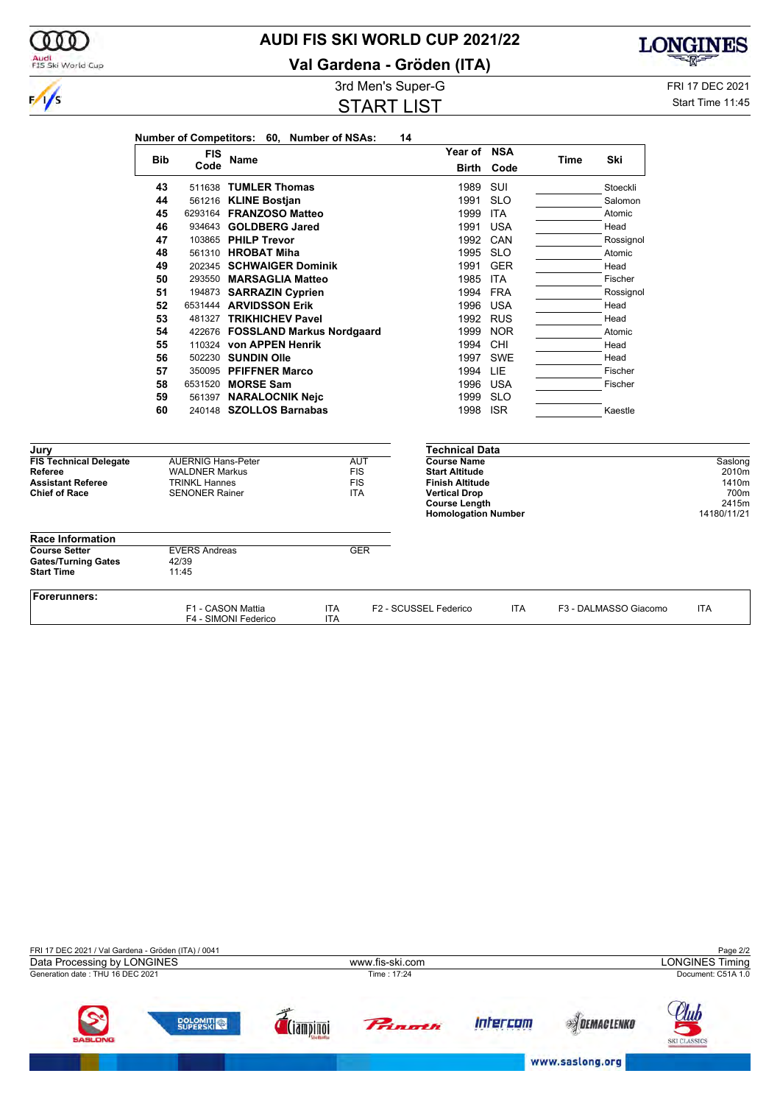

**Val Gardena - Gröden (ITA)**



000

**LONGINES** 3rd Men's Super-G FRI 17 DEC 2021

Start Time 11:45

| טי וסעטט פ ווסונט ווע |  |
|-----------------------|--|
| <b>START LIST</b>     |  |
|                       |  |

**Number of Competitors: 60, Number of NSAs: 14**

| <b>Bib</b> | <b>FIS</b> | Name                             | Year of      | NSA        | Time | Ski       |
|------------|------------|----------------------------------|--------------|------------|------|-----------|
|            | Code       |                                  | <b>Birth</b> | Code       |      |           |
| 43         |            | 511638 TUMLER Thomas             | 1989         | SUI        |      | Stoeckli  |
| 44         |            | 561216 KLINE Bostian             | 1991         | <b>SLO</b> |      | Salomon   |
| 45         |            | 6293164 FRANZOSO Matteo          | 1999         | <b>ITA</b> |      | Atomic    |
| 46         |            | 934643 GOLDBERG Jared            | 1991         | <b>USA</b> |      | Head      |
| 47         |            | 103865 PHILP Trevor              | 1992         | CAN        |      | Rossignol |
| 48         |            | 561310 HROBAT Miha               | 1995         | <b>SLO</b> |      | Atomic    |
| 49         |            | 202345 SCHWAIGER Dominik         | 1991         | <b>GER</b> |      | Head      |
| 50         |            | 293550 MARSAGLIA Matteo          | 1985         | <b>ITA</b> |      | Fischer   |
| 51         |            | 194873 SARRAZIN Cyprien          | 1994         | <b>FRA</b> |      | Rossignol |
| 52         |            | 6531444 ARVIDSSON Erik           | 1996         | <b>USA</b> |      | Head      |
| 53         |            | 481327 TRIKHICHEV Pavel          | 1992         | <b>RUS</b> |      | Head      |
| 54         |            | 422676 FOSSLAND Markus Nordgaard | 1999         | <b>NOR</b> |      | Atomic    |
| 55         |            | 110324 von APPEN Henrik          | 1994         | <b>CHI</b> |      | Head      |
| 56         |            | 502230 SUNDIN Olle               | 1997         | <b>SWE</b> |      | Head      |
| 57         |            | 350095 PFIFFNER Marco            | 1994         | LIE        |      | Fischer   |
| 58         |            | 6531520 MORSE Sam                | 1996         | <b>USA</b> |      | Fischer   |

**Year of NSA**

| Jury                                                                                         |                                                                                                     |                   |                                                      | Technical Data                                                                                                                                      |            |                       |                                                           |
|----------------------------------------------------------------------------------------------|-----------------------------------------------------------------------------------------------------|-------------------|------------------------------------------------------|-----------------------------------------------------------------------------------------------------------------------------------------------------|------------|-----------------------|-----------------------------------------------------------|
| <b>FIS Technical Delegate</b><br>Referee<br><b>Assistant Referee</b><br><b>Chief of Race</b> | <b>AUERNIG Hans-Peter</b><br><b>WALDNER Markus</b><br><b>TRINKL Hannes</b><br><b>SENONER Rainer</b> |                   | <b>AUT</b><br><b>FIS</b><br><b>FIS</b><br><b>ITA</b> | <b>Course Name</b><br><b>Start Altitude</b><br><b>Finish Altitude</b><br><b>Vertical Drop</b><br><b>Course Length</b><br><b>Homologation Number</b> |            |                       | Saslong<br>2010m<br>1410m<br>700m<br>2415m<br>14180/11/21 |
| <b>Race Information</b>                                                                      |                                                                                                     |                   |                                                      |                                                                                                                                                     |            |                       |                                                           |
| <b>Course Setter</b><br><b>Gates/Turning Gates</b>                                           | <b>EVERS Andreas</b><br>42/39                                                                       |                   | <b>GER</b>                                           |                                                                                                                                                     |            |                       |                                                           |
| <b>Start Time</b>                                                                            | 11:45                                                                                               |                   |                                                      |                                                                                                                                                     |            |                       |                                                           |
| Forerunners:                                                                                 |                                                                                                     |                   |                                                      |                                                                                                                                                     |            |                       |                                                           |
|                                                                                              | F1 - CASON Mattia<br>F4 - SIMONI Federico                                                           | <b>ITA</b><br>ITA |                                                      | F2 - SCUSSEL Federico                                                                                                                               | <b>ITA</b> | F3 - DALMASSO Giacomo | <b>ITA</b>                                                |

**60** 240148 **SZOLLOS Barnabas 1998 ISR** Kaestle

**58** 6531520 **MORSE Sam** 1996 USA<br>
59 561397 **NARALOCNIK Neic** 1999 SLO **561397 NARALOCNIK Nejc**<br>240148 **SZOLLOS Barnabas** 1998 1998 ISR

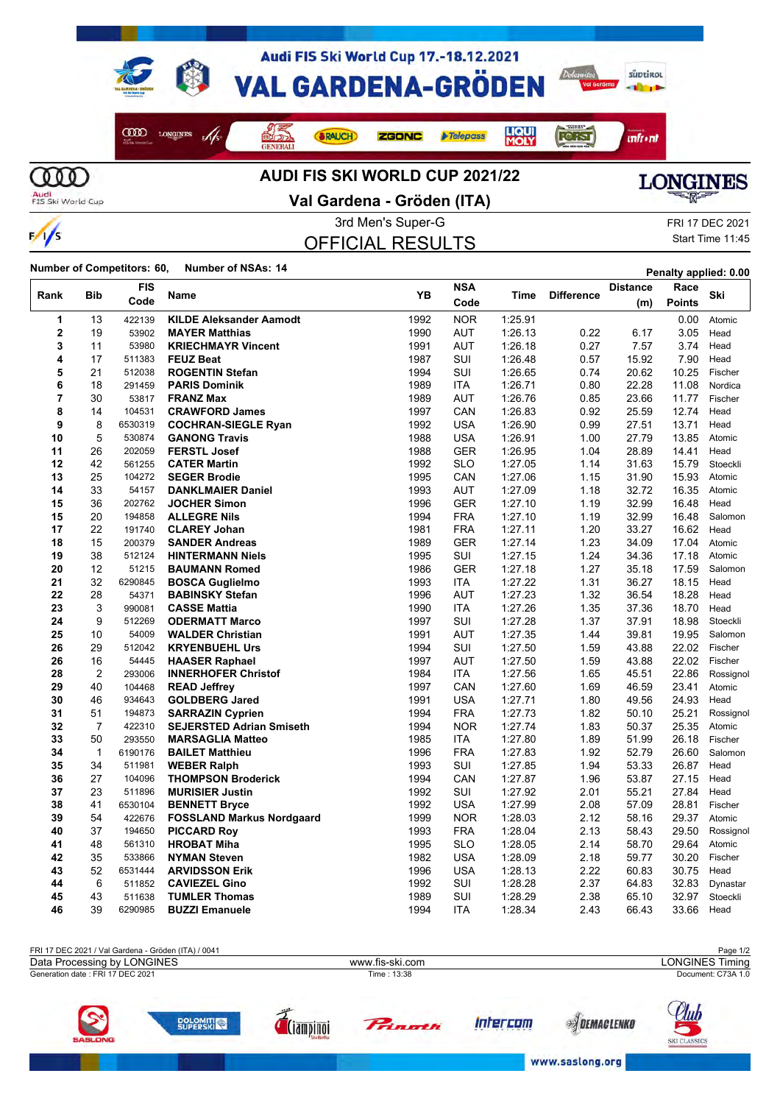

 $\frac{1}{s}$ 



**Val Gardena - Gröden (ITA)**

OFFICIAL RESULTS

3rd Men's Super-G FRI 17 DEC 2021 Start Time 11:45

**Number of Competitors: 60, Number of NSAs: 14 Penalty applied: 0.00** 

|                |                | <b>FIS</b> |                                  | YB   | <b>NSA</b> |         |                   | <b>Distance</b> | Race          | Ski       |
|----------------|----------------|------------|----------------------------------|------|------------|---------|-------------------|-----------------|---------------|-----------|
| Rank           | Bib            | Code       | Name                             |      | Code       | Time    | <b>Difference</b> | (m)             | <b>Points</b> |           |
| 1              | 13             | 422139     | <b>KILDE Aleksander Aamodt</b>   | 1992 | <b>NOR</b> | 1:25.91 |                   |                 | 0.00          | Atomic    |
| $\mathbf 2$    | 19             | 53902      | <b>MAYER Matthias</b>            | 1990 | <b>AUT</b> | 1:26.13 | 0.22              | 6.17            | 3.05          | Head      |
| 3              | 11             | 53980      | <b>KRIECHMAYR Vincent</b>        | 1991 | <b>AUT</b> | 1:26.18 | 0.27              | 7.57            | 3.74          | Head      |
| 4              | 17             | 511383     | <b>FEUZ Beat</b>                 | 1987 | SUI        | 1:26.48 | 0.57              | 15.92           | 7.90          | Head      |
| 5              | 21             | 512038     | <b>ROGENTIN Stefan</b>           | 1994 | SUI        | 1:26.65 | 0.74              | 20.62           | 10.25         | Fischer   |
| 6              | 18             | 291459     | <b>PARIS Dominik</b>             | 1989 | <b>ITA</b> | 1:26.71 | 0.80              | 22.28           | 11.08         | Nordica   |
| $\overline{7}$ | 30             | 53817      | <b>FRANZ Max</b>                 | 1989 | <b>AUT</b> | 1:26.76 | 0.85              | 23.66           | 11.77         | Fischer   |
| 8              | 14             | 104531     | <b>CRAWFORD James</b>            | 1997 | CAN        | 1.26.83 | 0.92              | 25.59           | 12.74         | Head      |
| 9              | 8              | 6530319    | <b>COCHRAN-SIEGLE Ryan</b>       | 1992 | <b>USA</b> | 1:26.90 | 0.99              | 27.51           | 13.71         | Head      |
| 10             | 5              | 530874     | <b>GANONG Travis</b>             | 1988 | <b>USA</b> | 1:26.91 | 1.00              | 27.79           | 13.85         | Atomic    |
| 11             | 26             | 202059     | <b>FERSTL Josef</b>              | 1988 | <b>GER</b> | 1:26.95 | 1.04              | 28.89           | 14.41         | Head      |
| 12             | 42             | 561255     | <b>CATER Martin</b>              | 1992 | <b>SLO</b> | 1:27.05 | 1.14              | 31.63           | 15.79         | Stoeckli  |
| 13             | 25             | 104272     | <b>SEGER Brodie</b>              | 1995 | CAN        | 1:27.06 | 1.15              | 31.90           | 15.93         | Atomic    |
| 14             | 33             | 54157      | <b>DANKLMAIER Daniel</b>         | 1993 | <b>AUT</b> | 1:27.09 | 1.18              | 32.72           | 16.35         | Atomic    |
| 15             | 36             | 202762     | <b>JOCHER Simon</b>              | 1996 | <b>GER</b> | 1:27.10 | 1.19              | 32.99           | 16.48         | Head      |
| 15             | 20             | 194858     | <b>ALLEGRE Nils</b>              | 1994 | <b>FRA</b> | 1:27.10 | 1.19              | 32.99           | 16.48         | Salomon   |
| 17             | 22             | 191740     | <b>CLAREY Johan</b>              | 1981 | <b>FRA</b> | 1:27.11 | 1.20              | 33.27           | 16.62         | Head      |
| 18             | 15             | 200379     | <b>SANDER Andreas</b>            | 1989 | GER        | 1:27.14 | 1.23              | 34.09           | 17.04         | Atomic    |
| 19             | 38             | 512124     | <b>HINTERMANN Niels</b>          | 1995 | SUI        | 1:27.15 | 1.24              | 34.36           | 17.18         | Atomic    |
| 20             | 12             | 51215      | <b>BAUMANN Romed</b>             | 1986 | <b>GER</b> | 1:27.18 | 1.27              | 35.18           | 17.59         | Salomon   |
| 21             | 32             | 6290845    | <b>BOSCA Guglielmo</b>           | 1993 | ITA        | 1:27.22 | 1.31              | 36.27           | 18.15         | Head      |
| 22             | 28             | 54371      | <b>BABINSKY Stefan</b>           | 1996 | <b>AUT</b> | 1:27.23 | 1.32              | 36.54           | 18.28         | Head      |
| 23             | 3              | 990081     | <b>CASSE Mattia</b>              | 1990 | <b>ITA</b> | 1:27.26 | 1.35              | 37.36           | 18.70         | Head      |
| 24             | 9              | 512269     | <b>ODERMATT Marco</b>            | 1997 | SUI        | 1:27.28 | 1.37              | 37.91           | 18.98         | Stoeckli  |
| 25             | 10             | 54009      | <b>WALDER Christian</b>          | 1991 | <b>AUT</b> | 1:27.35 | 1.44              | 39.81           | 19.95         | Salomon   |
| 26             | 29             | 512042     | <b>KRYENBUEHL Urs</b>            | 1994 | SUI        | 1:27.50 | 1.59              | 43.88           | 22.02         | Fischer   |
| 26             | 16             | 54445      | <b>HAASER Raphael</b>            | 1997 | <b>AUT</b> | 1:27.50 | 1.59              | 43.88           | 22.02         | Fischer   |
| 28             | $\overline{2}$ | 293006     | <b>INNERHOFER Christof</b>       | 1984 | ITA        | 1:27.56 | 1.65              | 45.51           | 22.86         | Rossignol |
| 29             | 40             | 104468     | <b>READ Jeffrey</b>              | 1997 | CAN        | 1:27.60 | 1.69              | 46.59           | 23.41         | Atomic    |
| 30             | 46             | 934643     | <b>GOLDBERG Jared</b>            | 1991 | <b>USA</b> | 1:27.71 | 1.80              | 49.56           | 24.93         | Head      |
| 31             | 51             | 194873     | <b>SARRAZIN Cyprien</b>          | 1994 | <b>FRA</b> | 1:27.73 | 1.82              | 50.10           | 25.21         | Rossignol |
| 32             | $\overline{7}$ | 422310     | <b>SEJERSTED Adrian Smiseth</b>  | 1994 | <b>NOR</b> | 1:27.74 | 1.83              | 50.37           | 25.35         | Atomic    |
| 33             | 50             | 293550     | <b>MARSAGLIA Matteo</b>          | 1985 | ITA        | 1:27.80 | 1.89              | 51.99           | 26.18         | Fischer   |
| 34             | $\mathbf{1}$   | 6190176    | <b>BAILET Matthieu</b>           | 1996 | <b>FRA</b> | 1:27.83 | 1.92              | 52.79           | 26.60         | Salomon   |
| 35             | 34             | 511981     | <b>WEBER Ralph</b>               | 1993 | SUI        | 1:27.85 | 1.94              | 53.33           | 26.87         | Head      |
| 36             | 27             | 104096     | <b>THOMPSON Broderick</b>        | 1994 | CAN        | 1:27.87 | 1.96              | 53.87           | 27.15         | Head      |
| 37             | 23             | 511896     | <b>MURISIER Justin</b>           | 1992 | SUI        | 1:27.92 | 2.01              | 55.21           | 27.84         | Head      |
| 38             | 41             | 6530104    | <b>BENNETT Bryce</b>             | 1992 | <b>USA</b> | 1:27.99 | 2.08              | 57.09           | 28.81         | Fischer   |
| 39             | 54             | 422676     | <b>FOSSLAND Markus Nordgaard</b> | 1999 | <b>NOR</b> | 1:28.03 | 2.12              | 58.16           | 29.37         | Atomic    |
| 40             | 37             | 194650     | <b>PICCARD Roy</b>               | 1993 | <b>FRA</b> | 1:28.04 | 2.13              | 58.43           | 29.50         | Rossignol |
| 41             | 48             | 561310     | <b>HROBAT Miha</b>               | 1995 | <b>SLO</b> | 1:28.05 | 2.14              | 58.70           | 29.64         | Atomic    |
| 42             | 35             | 533866     | <b>NYMAN Steven</b>              | 1982 | <b>USA</b> | 1:28.09 | 2.18              | 59.77           | 30.20         | Fischer   |
| 43             | 52             | 6531444    | <b>ARVIDSSON Erik</b>            | 1996 | <b>USA</b> | 1:28.13 | 2.22              | 60.83           | 30.75         | Head      |
| 44             | 6              | 511852     | <b>CAVIEZEL Gino</b>             | 1992 | SUI        | 1:28.28 | 2.37              | 64.83           | 32.83         | Dynastar  |
| 45             | 43             | 511638     | <b>TUMLER Thomas</b>             | 1989 | SUI        | 1:28.29 | 2.38              | 65.10           | 32.97         | Stoeckli  |
| 46             | 39             | 6290985    | <b>BUZZI Emanuele</b>            | 1994 | <b>ITA</b> | 1:28.34 | 2.43              | 66.43           | 33.66         | Head      |

| FRI 17 DEC 2021 / Val Gardena - Gröden (ITA) / 0041 |                 |      |               | Page 1/2                          |  |
|-----------------------------------------------------|-----------------|------|---------------|-----------------------------------|--|
| Data Processing by LONGINES                         | www.fis-ski.com |      |               | <b>LONGINES Timing</b>            |  |
| Generation date: FRI 17 DEC 2021                    | Time: 13:38     |      |               | Document: C73A 1.0                |  |
| $\mathbf{z}$<br><b>SASLONG</b>                      | <b>Princth</b>  | rcom | <b>CIFNKP</b> | <u>suu</u><br><b>SKI CLASSICS</b> |  |

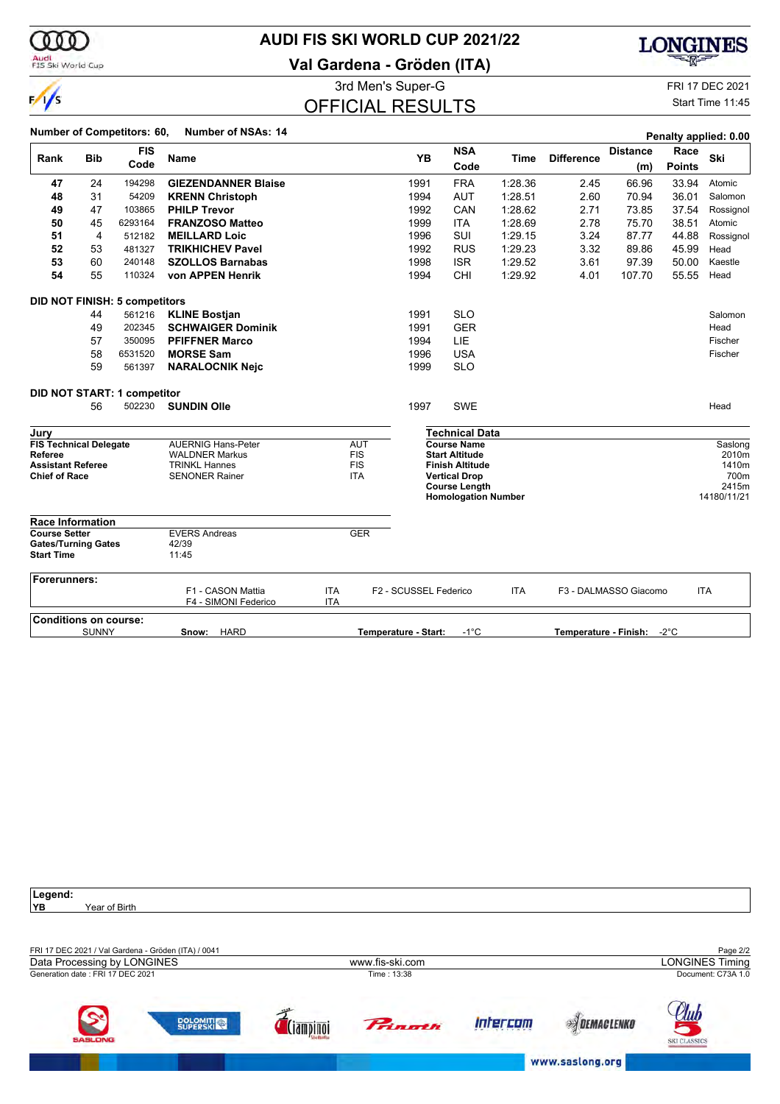

## **AUDI FIS SKI WORLD CUP 2021/22**

**Val Gardena - Gröden (ITA)**



3rd Men's Super-G FRI 17 DEC 2021 OFFICIAL RESULTS

Start Time 11:45

| Rank                                                                                         | <b>Bib</b>   | <b>FIS</b><br>Code                   | Name                                                                                                |                          |                                                      | <b>YB</b>             | <b>NSA</b><br>Code                                                                            | Time       | <b>Difference</b> | <b>Distance</b><br>(m) | Race<br><b>Points</b> | Ski                               |
|----------------------------------------------------------------------------------------------|--------------|--------------------------------------|-----------------------------------------------------------------------------------------------------|--------------------------|------------------------------------------------------|-----------------------|-----------------------------------------------------------------------------------------------|------------|-------------------|------------------------|-----------------------|-----------------------------------|
| 47                                                                                           | 24           | 194298                               | <b>GIEZENDANNER Blaise</b>                                                                          |                          |                                                      | 1991                  | <b>FRA</b>                                                                                    | 1:28.36    | 2.45              | 66.96                  | 33.94                 | Atomic                            |
| 48                                                                                           | 31           | 54209                                | <b>KRENN Christoph</b>                                                                              |                          |                                                      | 1994                  | <b>AUT</b>                                                                                    | 1:28.51    | 2.60              | 70.94                  | 36.01                 | Salomon                           |
| 49                                                                                           | 47           | 103865                               | <b>PHILP Trevor</b>                                                                                 |                          |                                                      | 1992                  | CAN                                                                                           | 1:28.62    | 2.71              | 73.85                  | 37.54                 | Rossignol                         |
| 50                                                                                           | 45           | 6293164                              | <b>FRANZOSO Matteo</b>                                                                              |                          |                                                      | 1999                  | <b>ITA</b>                                                                                    | 1:28.69    | 2.78              | 75.70                  | 38.51                 | Atomic                            |
| 51                                                                                           | 4            | 512182                               | <b>MEILLARD Loic</b>                                                                                |                          |                                                      | 1996                  | SUI                                                                                           | 1:29.15    | 3.24              | 87.77                  | 44.88                 | Rossignol                         |
| 52                                                                                           | 53           | 481327                               | <b>TRIKHICHEV Pavel</b>                                                                             |                          |                                                      | 1992                  | <b>RUS</b>                                                                                    | 1:29.23    | 3.32              | 89.86                  | 45.99                 | Head                              |
| 53                                                                                           | 60           | 240148                               | <b>SZOLLOS Barnabas</b>                                                                             |                          |                                                      | 1998                  | <b>ISR</b>                                                                                    | 1:29.52    | 3.61              | 97.39                  | 50.00                 | Kaestle                           |
| 54                                                                                           | 55           | 110324                               | von APPEN Henrik                                                                                    |                          |                                                      | 1994                  | CHI                                                                                           | 1:29.92    | 4.01              | 107.70                 | 55.55                 | Head                              |
|                                                                                              |              | <b>DID NOT FINISH: 5 competitors</b> |                                                                                                     |                          |                                                      |                       |                                                                                               |            |                   |                        |                       |                                   |
|                                                                                              | 44           | 561216                               | <b>KLINE Bostjan</b>                                                                                |                          |                                                      | 1991                  | <b>SLO</b>                                                                                    |            |                   |                        |                       | Salomon                           |
|                                                                                              | 49           | 202345                               | <b>SCHWAIGER Dominik</b>                                                                            |                          |                                                      | 1991                  | <b>GER</b>                                                                                    |            |                   |                        |                       | Head                              |
|                                                                                              | 57           | 350095                               | <b>PFIFFNER Marco</b>                                                                               |                          |                                                      | 1994                  | LIE                                                                                           |            |                   |                        |                       | Fischer                           |
|                                                                                              | 58           | 6531520                              | <b>MORSE Sam</b>                                                                                    |                          |                                                      | 1996                  | <b>USA</b>                                                                                    |            |                   |                        |                       | Fischer                           |
|                                                                                              | 59           | 561397                               | <b>NARALOCNIK Nejc</b>                                                                              |                          |                                                      | 1999                  | <b>SLO</b>                                                                                    |            |                   |                        |                       |                                   |
|                                                                                              |              | DID NOT START: 1 competitor          |                                                                                                     |                          |                                                      |                       |                                                                                               |            |                   |                        |                       |                                   |
|                                                                                              | 56           | 502230                               | <b>SUNDIN Olle</b>                                                                                  |                          |                                                      | 1997                  | <b>SWE</b>                                                                                    |            |                   |                        |                       | Head                              |
| Jury                                                                                         |              |                                      |                                                                                                     |                          |                                                      |                       | <b>Technical Data</b>                                                                         |            |                   |                        |                       |                                   |
| <b>FIS Technical Delegate</b><br>Referee<br><b>Assistant Referee</b><br><b>Chief of Race</b> |              |                                      | <b>AUERNIG Hans-Peter</b><br><b>WALDNER Markus</b><br><b>TRINKL Hannes</b><br><b>SENONER Rainer</b> |                          | <b>AUT</b><br><b>FIS</b><br><b>FIS</b><br><b>ITA</b> |                       | <b>Course Name</b><br><b>Start Altitude</b><br><b>Finish Altitude</b><br><b>Vertical Drop</b> |            |                   |                        |                       | Saslong<br>2010m<br>1410m<br>700m |
|                                                                                              |              |                                      |                                                                                                     |                          |                                                      |                       | <b>Course Length</b><br><b>Homologation Number</b>                                            |            |                   |                        |                       | 2415m<br>14180/11/21              |
| <b>Race Information</b>                                                                      |              |                                      |                                                                                                     |                          |                                                      |                       |                                                                                               |            |                   |                        |                       |                                   |
| <b>Course Setter</b><br><b>Gates/Turning Gates</b><br><b>Start Time</b>                      |              |                                      | <b>EVERS Andreas</b><br>42/39<br>11:45                                                              |                          | <b>GER</b>                                           |                       |                                                                                               |            |                   |                        |                       |                                   |
| Forerunners:                                                                                 |              |                                      | F1 - CASON Mattia<br>F4 - SIMONI Federico                                                           | <b>ITA</b><br><b>ITA</b> |                                                      | F2 - SCUSSEL Federico |                                                                                               | <b>ITA</b> |                   | F3 - DALMASSO Giacomo  |                       | <b>ITA</b>                        |
| <b>Conditions on course:</b>                                                                 |              |                                      |                                                                                                     |                          |                                                      |                       |                                                                                               |            |                   |                        |                       |                                   |
|                                                                                              | <b>SUNNY</b> |                                      | <b>HARD</b><br>Snow:                                                                                |                          |                                                      | Temperature - Start:  | $-1^{\circ}C$                                                                                 |            |                   | Temperature - Finish:  | $-2^{\circ}$ C        |                                   |

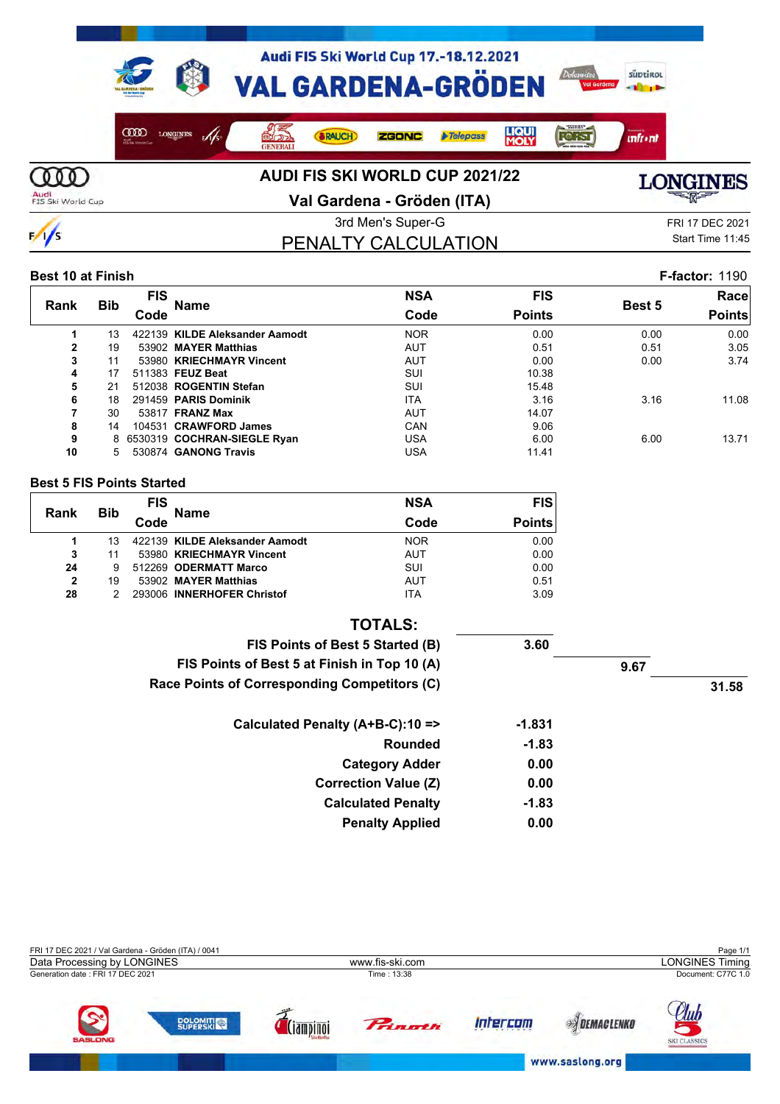

 $\frac{1}{s}$ 

**Val Gardena - Gröden (ITA)**



PENALTY CALCULATION

3rd Men's Super-G FRI 17 DEC 2021 Start Time 11:45

#### **Best 10 at Finish F-factor:** 1190

|                |            | <b>FIS</b> |                                | <b>NSA</b> | <b>FIS</b>    |        | Racel         |
|----------------|------------|------------|--------------------------------|------------|---------------|--------|---------------|
| Rank           | <b>Bib</b> | Code       | <b>Name</b>                    | Code       | <b>Points</b> | Best 5 | <b>Points</b> |
|                | 13         |            | 422139 KILDE Aleksander Aamodt | <b>NOR</b> | 0.00          | 0.00   | 0.00          |
| $\overline{2}$ | 19         |            | 53902 MAYER Matthias           | <b>AUT</b> | 0.51          | 0.51   | 3.05          |
| 3              | 11         |            | 53980 KRIECHMAYR Vincent       | AUT        | 0.00          | 0.00   | 3.74          |
| 4              | 17         |            | 511383 FEUZ Beat               | SUI        | 10.38         |        |               |
| 5              | 21         |            | 512038 ROGENTIN Stefan         | SUI        | 15.48         |        |               |
| 6              | 18         |            | 291459 PARIS Dominik           | <b>ITA</b> | 3.16          | 3.16   | 11.08         |
|                | 30         |            | 53817 <b>FRANZ Max</b>         | AUT        | 14.07         |        |               |
| 8              | 14         |            | 104531 CRAWFORD James          | CAN        | 9.06          |        |               |
| 9              |            |            | 8 6530319 COCHRAN-SIEGLE Ryan  | USA        | 6.00          | 6.00   | 13.71         |
| 10             |            |            | 530874 GANONG Travis           | USA        | 11.41         |        |               |

#### **Best 5 FIS Points Started**

| Rank           | <b>Bib</b> | <b>FIS</b><br><b>Name</b>      | <b>NSA</b> | <b>FIS</b>    |
|----------------|------------|--------------------------------|------------|---------------|
|                |            | Code                           | Code       | <b>Points</b> |
|                |            | 422139 KILDE Aleksander Aamodt | <b>NOR</b> | 0.00          |
| 3              | 11         | 53980 KRIECHMAYR Vincent       | <b>AUT</b> | 0.00          |
| 24             | 9          | 512269 ODERMATT Marco          | SUI        | 0.00          |
| $\overline{2}$ | 19         | 53902 MAYER Matthias           | <b>AUT</b> | 0.51          |
| 28             |            | 293006 INNERHOFER Christof     | <b>ITA</b> | 3.09          |

| <b>TOTALS:</b>                               |          |      |       |
|----------------------------------------------|----------|------|-------|
| FIS Points of Best 5 Started (B)             | 3.60     |      |       |
| FIS Points of Best 5 at Finish in Top 10 (A) |          | 9.67 |       |
| Race Points of Corresponding Competitors (C) |          |      | 31.58 |
| Calculated Penalty (A+B-C):10 =>             | $-1.831$ |      |       |
| Rounded                                      | $-1.83$  |      |       |
| <b>Category Adder</b>                        | 0.00     |      |       |
| <b>Correction Value (Z)</b>                  | 0.00     |      |       |
| <b>Calculated Penalty</b>                    | $-1.83$  |      |       |
| <b>Penalty Applied</b>                       | 0.00     |      |       |

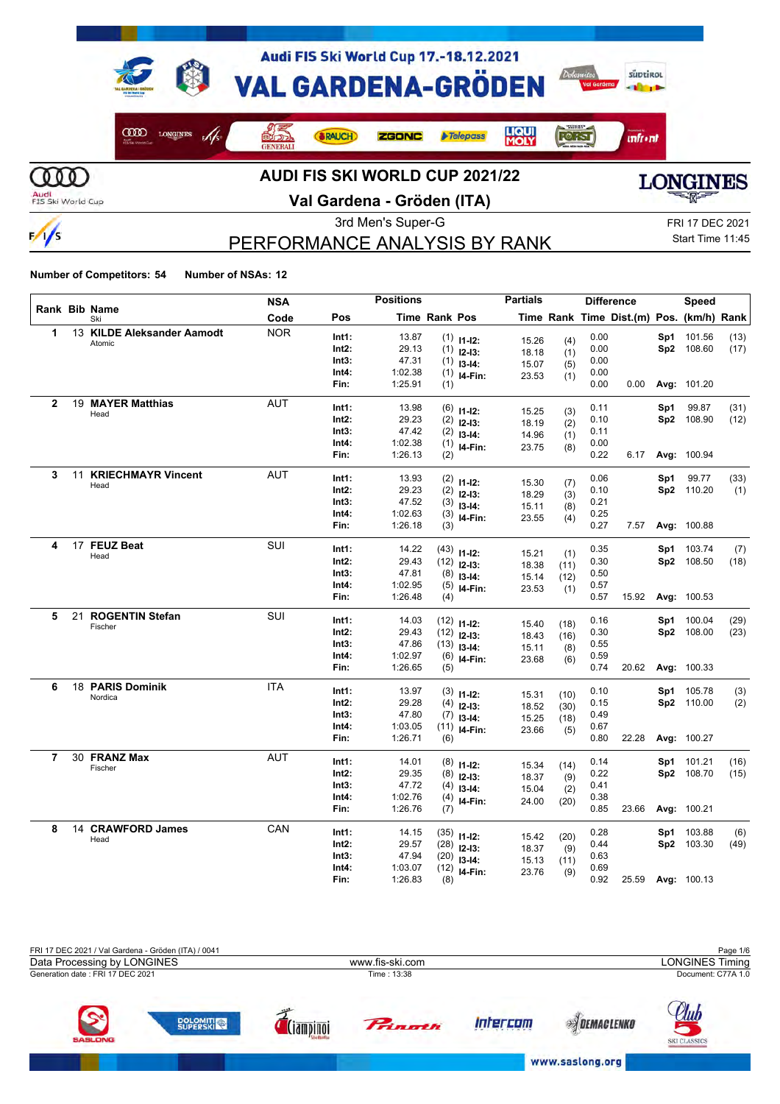

 $\frac{1}{s}$ 

**Val Gardena - Gröden (ITA)**



PERFORMANCE ANALYSIS BY RANK

3rd Men's Super-G FRI 17 DEC 2021 Start Time 11:45

|              |    |                            | <b>NSA</b> |       | <b>Positions</b> |                      |                            | <b>Partials</b> |              |      | <b>Difference</b>                        |     | Speed       |      |
|--------------|----|----------------------------|------------|-------|------------------|----------------------|----------------------------|-----------------|--------------|------|------------------------------------------|-----|-------------|------|
|              |    | Rank Bib Name<br>Ski       | Code       | Pos   |                  | <b>Time Rank Pos</b> |                            |                 |              |      | Time Rank Time Dist.(m) Pos. (km/h) Rank |     |             |      |
| 1            |    | 13 KILDE Aleksander Aamodt | <b>NOR</b> | Int1: | 13.87            |                      | $(1)$ 11-12:               | 15.26           | (4)          | 0.00 |                                          | Sp1 | 101.56      | (13) |
|              |    | Atomic                     |            | Int2: | 29.13            |                      | $(1)$ 12-13:               | 18.18           | (1)          | 0.00 |                                          |     | Sp2 108.60  | (17) |
|              |    |                            |            | Int3: | 47.31            |                      | $(1)$ 13-14:               | 15.07           | (5)          | 0.00 |                                          |     |             |      |
|              |    |                            |            | Int4: | 1:02.38          |                      | $(1)$ 14-Fin:              | 23.53           | (1)          | 0.00 |                                          |     |             |      |
|              |    |                            |            | Fin:  | 1:25.91          | (1)                  |                            |                 |              | 0.00 | 0.00                                     |     | Avg: 101.20 |      |
| $\mathbf{2}$ |    | 19 MAYER Matthias          | <b>AUT</b> | Int1: | 13.98            |                      | $(6)$ 11-12:               |                 |              | 0.11 |                                          | Sp1 | 99.87       | (31) |
|              |    | Head                       |            | Int2: | 29.23            | (2)                  | $12-13:$                   | 15.25<br>18.19  | (3)<br>(2)   | 0.10 |                                          |     | Sp2 108.90  | (12) |
|              |    |                            |            | Int3: | 47.42            |                      | $(2)$ 13-14:               | 14.96           | (1)          | 0.11 |                                          |     |             |      |
|              |    |                            |            | Int4: | 1:02.38          |                      | $(1)$ 14-Fin:              | 23.75           | (8)          | 0.00 |                                          |     |             |      |
|              |    |                            |            | Fin:  | 1:26.13          | (2)                  |                            |                 |              | 0.22 | 6.17                                     |     | Avg: 100.94 |      |
| 3            | 11 | <b>KRIECHMAYR Vincent</b>  | <b>AUT</b> | Int1: | 13.93            |                      | $(2)$ 11-12:               |                 |              | 0.06 |                                          | Sp1 | 99.77       | (33) |
|              |    | Head                       |            | Int2: | 29.23            | (2)                  | $12-13:$                   | 15.30           | (7)          | 0.10 |                                          |     | Sp2 110.20  | (1)  |
|              |    |                            |            | Int3: | 47.52            |                      | $(3)$ 13-14:               | 18.29<br>15.11  | (3)          | 0.21 |                                          |     |             |      |
|              |    |                            |            | Int4: | 1:02.63          |                      | $(3)$ 14-Fin:              | 23.55           | (8)<br>(4)   | 0.25 |                                          |     |             |      |
|              |    |                            |            | Fin:  | 1:26.18          | (3)                  |                            |                 |              | 0.27 | 7.57                                     |     | Avg: 100.88 |      |
| 4            |    | 17 FEUZ Beat               | SUI        | Int1: | 14.22            |                      | $(43)$ 11-12:              |                 |              | 0.35 |                                          | Sp1 | 103.74      | (7)  |
|              |    | Head                       |            | Int2: | 29.43            |                      | $(12)$ 12-13:              | 15.21           | (1)          | 0.30 |                                          |     | Sp2 108.50  | (18) |
|              |    |                            |            | Int3: | 47.81            | (8)                  | $13 - 14$ :                | 18.38<br>15.14  | (11)<br>(12) | 0.50 |                                          |     |             |      |
|              |    |                            |            | Int4: | 1:02.95          |                      | $(5)$ 14-Fin:              | 23.53           | (1)          | 0.57 |                                          |     |             |      |
|              |    |                            |            | Fin:  | 1:26.48          | (4)                  |                            |                 |              | 0.57 | 15.92                                    |     | Avg: 100.53 |      |
| 5            |    | 21 ROGENTIN Stefan         | <b>SUI</b> | Int1: | 14.03            |                      | $(12)$ 11-12:              |                 |              | 0.16 |                                          | Sp1 | 100.04      | (29) |
|              |    | Fischer                    |            | Int2: | 29.43            |                      | $(12)$ 12-13:              | 15.40           | (18)         | 0.30 |                                          |     | Sp2 108.00  | (23) |
|              |    |                            |            | Int3: | 47.86            |                      | $(13)$ 13-14:              | 18.43<br>15.11  | (16)         | 0.55 |                                          |     |             |      |
|              |    |                            |            | Int4: | 1:02.97          |                      | $(6)$ 14-Fin:              | 23.68           | (8)<br>(6)   | 0.59 |                                          |     |             |      |
|              |    |                            |            | Fin:  | 1:26.65          | (5)                  |                            |                 |              | 0.74 | 20.62                                    |     | Avg: 100.33 |      |
| 6            |    | 18 PARIS Dominik           | <b>ITA</b> | Int1: | 13.97            |                      |                            |                 |              | 0.10 |                                          | Sp1 | 105.78      | (3)  |
|              |    | Nordica                    |            | Int2: | 29.28            | (4)                  | $(3)$ 11-12:<br>$12 - 13:$ | 15.31           | (10)         | 0.15 |                                          |     | Sp2 110.00  | (2)  |
|              |    |                            |            | Int3: | 47.80            |                      | $(7)$ 13-14:               | 18.52           | (30)         | 0.49 |                                          |     |             |      |
|              |    |                            |            | Int4: | 1:03.05          |                      | $(11)$ 14-Fin:             | 15.25<br>23.66  | (18)<br>(5)  | 0.67 |                                          |     |             |      |
|              |    |                            |            | Fin:  | 1:26.71          | (6)                  |                            |                 |              | 0.80 | 22.28                                    |     | Avg: 100.27 |      |
| 7            |    | 30 FRANZ Max               | <b>AUT</b> | Int1: | 14.01            |                      | $(8)$ 11-12:               |                 |              | 0.14 |                                          | Sp1 | 101.21      | (16) |
|              |    | Fischer                    |            | Int2: | 29.35            |                      | $(8)$ 12-13:               | 15.34<br>18.37  | (14)         | 0.22 |                                          |     | Sp2 108.70  | (15) |
|              |    |                            |            | Int3: | 47.72            | (4)                  | $13 - 14:$                 | 15.04           | (9)<br>(2)   | 0.41 |                                          |     |             |      |
|              |    |                            |            | Int4: | 1:02.76          |                      | $(4)$ 14-Fin:              | 24.00           | (20)         | 0.38 |                                          |     |             |      |
|              |    |                            |            | Fin:  | 1:26.76          | (7)                  |                            |                 |              | 0.85 | 23.66                                    |     | Avg: 100.21 |      |
| 8            |    | 14 CRAWFORD James          | CAN        | Int1: | 14.15            |                      | $(35)$ 11-12:              |                 |              | 0.28 |                                          | Sp1 | 103.88      | (6)  |
|              |    | Head                       |            | Int2: | 29.57            |                      | $(28)$ 12-13:              | 15.42<br>18.37  | (20)<br>(9)  | 0.44 |                                          |     | Sp2 103.30  | (49) |
|              |    |                            |            | Int3: | 47.94            |                      | $(20)$ 13-14:              | 15.13           | (11)         | 0.63 |                                          |     |             |      |
|              |    |                            |            | Int4: | 1:03.07          |                      | $(12)$ 14-Fin:             | 23.76           | (9)          | 0.69 |                                          |     |             |      |
|              |    |                            |            | Fin:  | 1:26.83          | (8)                  |                            |                 |              | 0.92 | 25.59                                    |     | Avg: 100.13 |      |

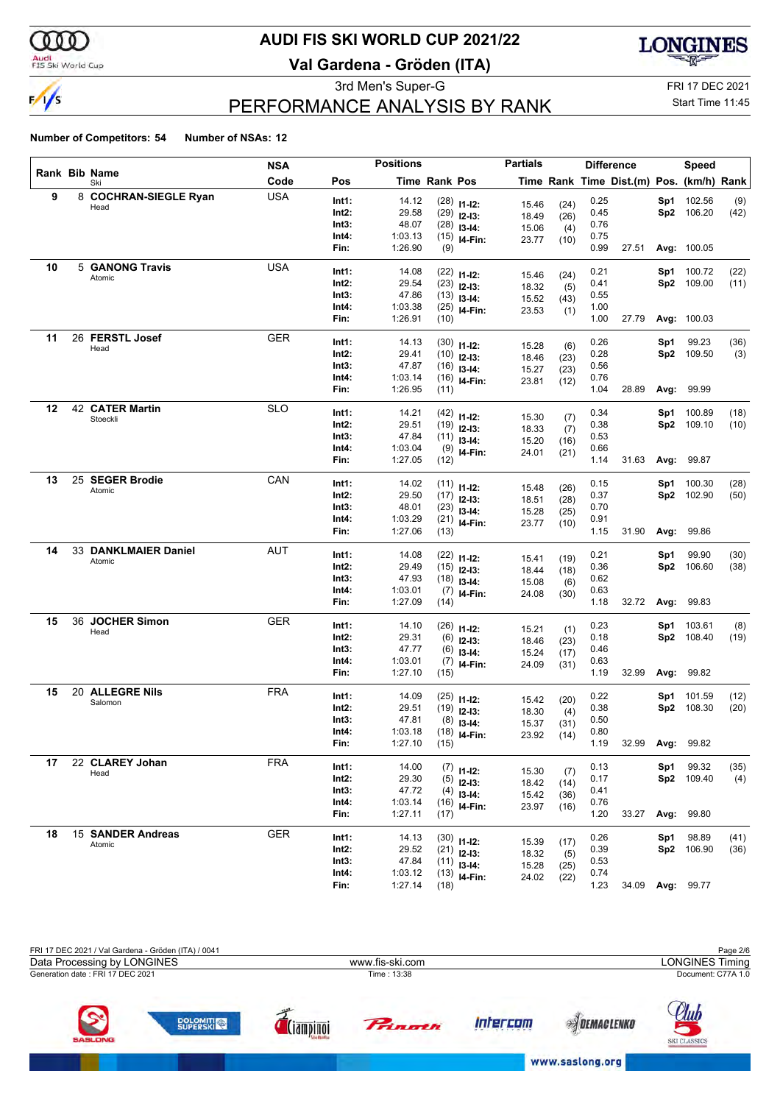$\frac{1}{s}$ 

## **AUDI FIS SKI WORLD CUP 2021/22**

**Val Gardena - Gröden (ITA)**



## PERFORMANCE ANALYSIS BY RANK

3rd Men's Super-G FRI 17 DEC 2021

### Start Time 11:45

|    |                             | <b>NSA</b> |                | <b>Positions</b>   |                      |                | <b>Partials</b> |              |              | <b>Difference</b>                        |     | Speed               |             |
|----|-----------------------------|------------|----------------|--------------------|----------------------|----------------|-----------------|--------------|--------------|------------------------------------------|-----|---------------------|-------------|
|    | Rank Bib Name<br>Ski        | Code       | Pos            |                    | <b>Time Rank Pos</b> |                |                 |              |              | Time Rank Time Dist.(m) Pos. (km/h) Rank |     |                     |             |
| 9  | 8 COCHRAN-SIEGLE Ryan       | <b>USA</b> | Int1:          | 14.12              |                      | $(28)$ 11-12:  | 15.46           | (24)         | 0.25         |                                          | Sp1 | 102.56              | (9)         |
|    | Head                        |            | Int2:          | 29.58              |                      | $(29)$ 12-13:  | 18.49           | (26)         | 0.45         |                                          |     | Sp2 106.20          | (42)        |
|    |                             |            | Int3:          | 48.07              |                      | $(28)$ 13-14:  | 15.06           | (4)          | 0.76         |                                          |     |                     |             |
|    |                             |            | Int4:          | 1:03.13            |                      | $(15)$ 14-Fin: | 23.77           | (10)         | 0.75         |                                          |     |                     |             |
|    |                             |            | Fin:           | 1:26.90            | (9)                  |                |                 |              | 0.99         | 27.51                                    |     | Avg: 100.05         |             |
| 10 | 5 GANONG Travis             | <b>USA</b> | Int1:          | 14.08              |                      | $(22)$ 11-12:  |                 |              | 0.21         |                                          | Sp1 | 100.72              | (22)        |
|    | Atomic                      |            | Int2:          | 29.54              |                      | $(23)$ 12-13:  | 15.46           | (24)         | 0.41         |                                          |     | Sp2 109.00          | (11)        |
|    |                             |            | Int3:          | 47.86              |                      | $(13)$ 13-14:  | 18.32           | (5)          | 0.55         |                                          |     |                     |             |
|    |                             |            | Int4:          | 1:03.38            |                      | $(25)$ 14-Fin: | 15.52<br>23.53  | (43)         | 1.00         |                                          |     |                     |             |
|    |                             |            | Fin:           | 1:26.91            | (10)                 |                |                 | (1)          | 1.00         | 27.79                                    |     | Avg: 100.03         |             |
| 11 | 26 FERSTL Josef             | <b>GER</b> | Int1:          |                    |                      |                |                 |              |              |                                          |     |                     |             |
|    | Head                        |            | Int2:          | 14.13<br>29.41     |                      | $(30)$ 11-12:  | 15.28           | (6)          | 0.26<br>0.28 |                                          | Sp1 | 99.23<br>Sp2 109.50 | (36)<br>(3) |
|    |                             |            | Int3:          | 47.87              |                      | $(10)$ 12-13:  | 18.46           | (23)         | 0.56         |                                          |     |                     |             |
|    |                             |            | Int4:          | 1:03.14            |                      | $(16)$ 13-14:  | 15.27           | (23)         | 0.76         |                                          |     |                     |             |
|    |                             |            | Fin:           | 1:26.95            | (11)                 | $(16)$ 14-Fin: | 23.81           | (12)         | 1.04         | 28.89                                    |     | <b>Avg: 99.99</b>   |             |
|    |                             |            |                |                    |                      |                |                 |              |              |                                          |     |                     |             |
| 12 | 42 CATER Martin<br>Stoeckli | <b>SLO</b> | Int1:          | 14.21              |                      | $(42)$ 11-12:  | 15.30           | (7)          | 0.34         |                                          | Sp1 | 100.89              | (18)        |
|    |                             |            | Int2:          | 29.51              |                      | $(19)$ 12-13:  | 18.33           | (7)          | 0.38         |                                          |     | Sp2 109.10          | (10)        |
|    |                             |            | Int3:          | 47.84              |                      | $(11)$ 13-14:  | 15.20           | (16)         | 0.53         |                                          |     |                     |             |
|    |                             |            | Int4:          | 1:03.04            |                      | $(9)$ 14-Fin:  | 24.01           | (21)         | 0.66         |                                          |     |                     |             |
|    |                             |            | Fin:           | 1:27.05            | (12)                 |                |                 |              | 1.14         | 31.63                                    |     | <b>Avg: 99.87</b>   |             |
| 13 | 25 SEGER Brodie             | CAN        | Int1:          | 14.02              |                      | $(11)$ 11-12:  | 15.48           | (26)         | 0.15         |                                          | Sp1 | 100.30              | (28)        |
|    | Atomic                      |            | Int2:          | 29.50              |                      | $(17)$ 12-13:  | 18.51           | (28)         | 0.37         |                                          | Sp2 | 102.90              | (50)        |
|    |                             |            | Int3:          | 48.01              |                      | $(23)$ 13-14:  | 15.28           | (25)         | 0.70         |                                          |     |                     |             |
|    |                             |            | Int4:          | 1:03.29            |                      | $(21)$ 14-Fin: | 23.77           | (10)         | 0.91         |                                          |     |                     |             |
|    |                             |            | Fin:           | 1:27.06            | (13)                 |                |                 |              | 1.15         | 31.90                                    |     | <b>Avg: 99.86</b>   |             |
| 14 | 33 DANKLMAIER Daniel        | AUT        | Int1:          | 14.08              |                      | $(22)$ 11-12:  |                 |              | 0.21         |                                          | Sp1 | 99.90               | (30)        |
|    | Atomic                      |            | Int2:          | 29.49              |                      | $(15)$ 12-13:  | 15.41           | (19)         | 0.36         |                                          |     | Sp2 106.60          | (38)        |
|    |                             |            | Int3:          | 47.93              |                      | $(18)$ 13-14:  | 18.44           | (18)         | 0.62         |                                          |     |                     |             |
|    |                             |            | Int4:          | 1:03.01            |                      | $(7)$ 14-Fin:  | 15.08           | (6)          | 0.63         |                                          |     |                     |             |
|    |                             |            | Fin:           | 1:27.09            | (14)                 |                | 24.08           | (30)         | 1.18         | 32.72                                    |     | <b>Avg: 99.83</b>   |             |
| 15 | 36 JOCHER Simon             | <b>GER</b> |                |                    |                      |                |                 |              |              |                                          |     |                     |             |
|    | Head                        |            | Int1:          | 14.10              |                      | $(26)$ 11-12:  | 15.21           | (1)          | 0.23         |                                          | Sp1 | 103.61              | (8)         |
|    |                             |            | Int2:<br>Int3: | 29.31<br>47.77     |                      | $(6)$ 12-13:   | 18.46           | (23)         | 0.18<br>0.46 |                                          | Sp2 | 108.40              | (19)        |
|    |                             |            | Int4:          | 1:03.01            |                      | $(6)$ 13-14:   | 15.24           | (17)         | 0.63         |                                          |     |                     |             |
|    |                             |            | Fin:           | 1:27.10            | (15)                 | $(7)$ 14-Fin:  | 24.09           | (31)         | 1.19         | 32.99                                    |     | Avg: 99.82          |             |
| 15 | 20 ALLEGRE Nils             | <b>FRA</b> |                |                    |                      |                |                 |              |              |                                          |     |                     |             |
|    | Salomon                     |            | Int1:          | 14.09              |                      | $(25)$ 11-12:  | 15.42           | (20)         | 0.22         |                                          | Sp1 | 101.59              | (12)        |
|    |                             |            | Int2:          | 29.51              |                      | $(19)$ 12-13:  | 18.30           | (4)          | 0.38         |                                          |     | Sp2 108.30          | (20)        |
|    |                             |            | Int3:          | 47.81              |                      | $(8)$ 13-14:   | 15.37           | (31)         | 0.50         |                                          |     |                     |             |
|    |                             |            | Int4:<br>Fin:  | 1:03.18<br>1:27.10 | (15)                 | $(18)$ 14-Fin: | 23.92           | (14)         | 0.80<br>1.19 |                                          |     | 32.99 Avg: 99.82    |             |
|    |                             |            |                |                    |                      |                |                 |              |              |                                          |     |                     |             |
| 17 | 22 CLAREY Johan             | <b>FRA</b> | Int1:          | 14.00              |                      | $(7)$ 11-12:   | 15.30           | (7)          | 0.13         |                                          | Sp1 | 99.32               | (35)        |
|    | Head                        |            | Int2:          | 29.30              |                      | $(5)$ 12-13:   | 18.42           | (14)         | 0.17         |                                          |     | Sp2 109.40          | (4)         |
|    |                             |            | Int3:          | 47.72              |                      | $(4)$ 13-14:   | 15.42           | (36)         | 0.41         |                                          |     |                     |             |
|    |                             |            | Int4:          | 1:03.14            |                      | $(16)$ 14-Fin: | 23.97           | (16)         | 0.76         |                                          |     |                     |             |
|    |                             |            | Fin:           | 1:27.11            | (17)                 |                |                 |              | 1.20         | 33.27                                    |     | Avg: 99.80          |             |
| 18 | 15 SANDER Andreas           | <b>GER</b> | Int1:          | 14.13              |                      | $(30)$ 11-12:  |                 |              | 0.26         |                                          | Sp1 | 98.89               | (41)        |
|    | Atomic                      |            | Int2:          | 29.52              |                      | $(21)$ 12-13:  | 15.39<br>18.32  | (17)         | 0.39         |                                          |     | Sp2 106.90          | (36)        |
|    |                             |            | Int3:          | 47.84              |                      | $(11)$ 13-14:  | 15.28           | (5)          | 0.53         |                                          |     |                     |             |
|    |                             |            | Int4:          | 1:03.12            |                      | $(13)$ 14-Fin: | 24.02           | (25)<br>(22) | 0.74         |                                          |     |                     |             |
|    |                             |            | Fin:           | 1:27.14            | (18)                 |                |                 |              | 1.23         | 34.09                                    |     | Avg: 99.77          |             |

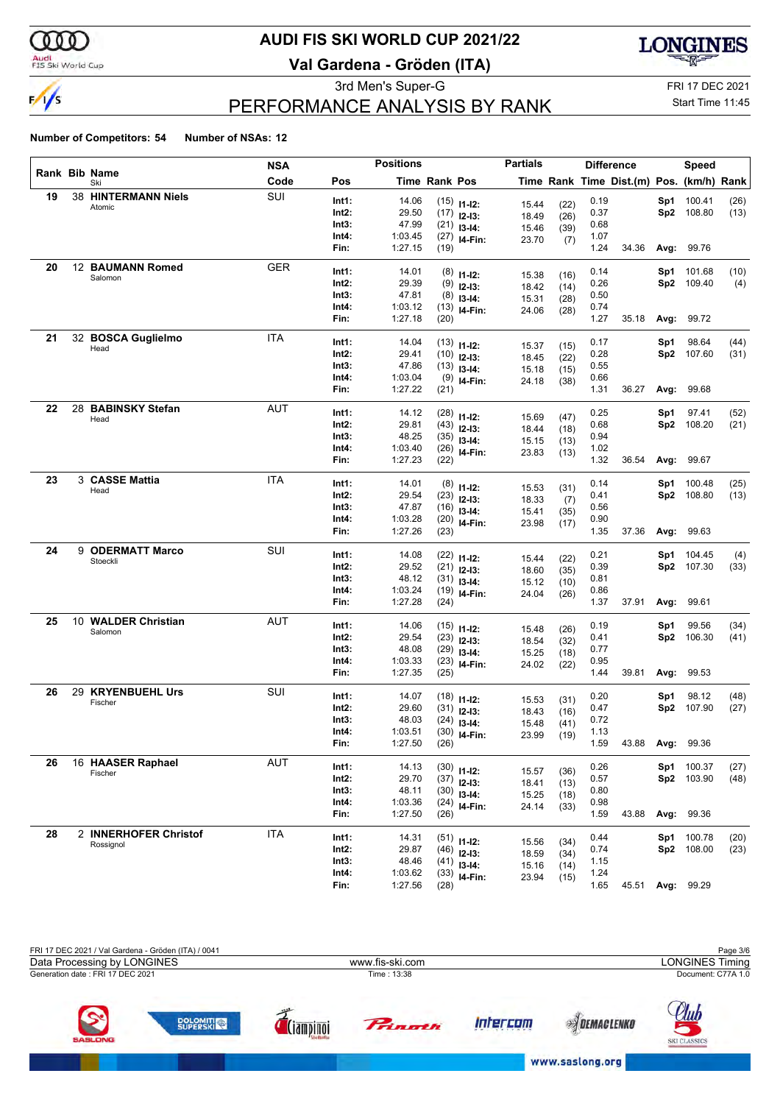

## **AUDI FIS SKI WORLD CUP 2021/22**

**Val Gardena - Gröden (ITA)**



3rd Men's Super-G FRI 17 DEC 2021

## PERFORMANCE ANALYSIS BY RANK

Start Time 11:45

|    |                            | NSA        |               | <b>Positions</b>   |               |                | <b>Partials</b> |      |              | <b>Difference</b>                        |      | <b>Speed</b>     |      |
|----|----------------------------|------------|---------------|--------------------|---------------|----------------|-----------------|------|--------------|------------------------------------------|------|------------------|------|
|    | Rank Bib Name<br>Ski       | Code       | Pos           |                    | Time Rank Pos |                |                 |      |              | Time Rank Time Dist.(m) Pos. (km/h) Rank |      |                  |      |
| 19 | <b>38 HINTERMANN Niels</b> | SUI        | Int1:         | 14.06              |               | $(15)$ 11-12:  | 15.44           | (22) | 0.19         |                                          | Sp1  | 100.41           | (26) |
|    | Atomic                     |            | Int2:         | 29.50              |               | $(17)$ 12-13:  | 18.49           | (26) | 0.37         |                                          |      | Sp2 108.80       | (13) |
|    |                            |            | Int3:         | 47.99              |               | $(21)$ 13-14:  | 15.46           | (39) | 0.68         |                                          |      |                  |      |
|    |                            |            | Int4:         | 1:03.45            |               | $(27)$ 14-Fin: | 23.70           | (7)  | 1.07         |                                          |      |                  |      |
|    |                            |            | Fin:          | 1:27.15            | (19)          |                |                 |      | 1.24         | 34.36                                    |      | Avg: 99.76       |      |
| 20 | 12 BAUMANN Romed           | GER        | Int1:         | 14.01              |               | $(8)$ 11-12:   |                 |      | 0.14         |                                          | Sp1  | 101.68           | (10) |
|    | Salomon                    |            | Int2:         | 29.39              |               | $(9)$ 12-13:   | 15.38           | (16) | 0.26         |                                          |      | Sp2 109.40       | (4)  |
|    |                            |            | Int3:         | 47.81              |               | $(8)$ 13-14:   | 18.42           | (14) | 0.50         |                                          |      |                  |      |
|    |                            |            | Int4:         | 1:03.12            |               | $(13)$ 14-Fin: | 15.31           | (28) | 0.74         |                                          |      |                  |      |
|    |                            |            | Fin:          | 1:27.18            | (20)          |                | 24.06           | (28) | 1.27         | 35.18                                    | Avg: | 99.72            |      |
| 21 | 32 BOSCA Guglielmo         | <b>ITA</b> | Int1:         | 14.04              |               |                |                 |      |              |                                          |      |                  |      |
|    | Head                       |            |               |                    |               | $(13)$ 11-12:  | 15.37           | (15) | 0.17         |                                          | Sp1  | 98.64            | (44) |
|    |                            |            | Int2:         | 29.41              |               | $(10)$ 12-13:  | 18.45           | (22) | 0.28         |                                          |      | Sp2 107.60       | (31) |
|    |                            |            | Int3:         | 47.86              |               | $(13)$ 13-14:  | 15.18           | (15) | 0.55         |                                          |      |                  |      |
|    |                            |            | Int4:         | 1:03.04            |               | $(9)$ 14-Fin:  | 24.18           | (38) | 0.66         |                                          |      |                  |      |
|    |                            |            | Fin:          | 1:27.22            | (21)          |                |                 |      | 1.31         | 36.27                                    | Avg: | 99.68            |      |
| 22 | 28 BABINSKY Stefan         | <b>AUT</b> | Int1:         | 14.12              |               | $(28)$ 11-12:  | 15.69           | (47) | 0.25         |                                          | Sp1  | 97.41            | (52) |
|    | Head                       |            | Int2:         | 29.81              |               | $(43)$ 12-13:  | 18.44           | (18) | 0.68         |                                          |      | Sp2 108.20       | (21) |
|    |                            |            | Int3:         | 48.25              |               | $(35)$ 13-14:  | 15.15           | (13) | 0.94         |                                          |      |                  |      |
|    |                            |            | Int4:         | 1:03.40            |               | $(26)$ 14-Fin: | 23.83           | (13) | 1.02         |                                          |      |                  |      |
|    |                            |            | Fin:          | 1:27.23            | (22)          |                |                 |      | 1.32         | 36.54                                    | Avg: | 99.67            |      |
| 23 | 3 CASSE Mattia             | <b>ITA</b> | Int1:         | 14.01              |               |                |                 |      | 0.14         |                                          | Sp1  | 100.48           | (25) |
|    | Head                       |            | Int2:         | 29.54              |               | $(8)$ 11-12:   | 15.53           | (31) | 0.41         |                                          |      | Sp2 108.80       | (13) |
|    |                            |            | Int3:         | 47.87              |               | $(23)$ 12-13:  | 18.33           | (7)  | 0.56         |                                          |      |                  |      |
|    |                            |            | Int4:         | 1:03.28            |               | $(16)$ 13-14:  | 15.41           | (35) | 0.90         |                                          |      |                  |      |
|    |                            |            | Fin:          | 1:27.26            | (23)          | $(20)$ 14-Fin: | 23.98           | (17) | 1.35         | 37.36                                    |      | Avg: 99.63       |      |
| 24 | 9 ODERMATT Marco           | SUI        |               |                    |               |                |                 |      |              |                                          |      |                  |      |
|    | Stoeckli                   |            | Int1:         | 14.08              |               | $(22)$ 11-12:  | 15.44           | (22) | 0.21         |                                          | Sp1  | 104.45           | (4)  |
|    |                            |            | Int2:         | 29.52              |               | $(21)$ 12-13:  | 18.60           | (35) | 0.39         |                                          |      | Sp2 107.30       | (33) |
|    |                            |            | Int3:         | 48.12              |               | $(31)$ 13-14:  | 15.12           | (10) | 0.81         |                                          |      |                  |      |
|    |                            |            | Int4:         | 1:03.24            |               | $(19)$ 14-Fin: | 24.04           | (26) | 0.86         |                                          |      |                  |      |
|    |                            |            | Fin:          | 1:27.28            | (24)          |                |                 |      | 1.37         | 37.91                                    | Avg: | 99.61            |      |
| 25 | 10 WALDER Christian        | AUT        | Int1:         | 14.06              |               | $(15)$ 11-12:  | 15.48           | (26) | 0.19         |                                          | Sp1  | 99.56            | (34) |
|    | Salomon                    |            | Int2:         | 29.54              |               | $(23)$ 12-13:  | 18.54           | (32) | 0.41         |                                          |      | Sp2 106.30       | (41) |
|    |                            |            | Int3:         | 48.08              |               | $(29)$ 13-14:  | 15.25           | (18) | 0.77         |                                          |      |                  |      |
|    |                            |            | Int4:         | 1:03.33            |               | $(23)$ 14-Fin: | 24.02           | (22) | 0.95         |                                          |      |                  |      |
|    |                            |            | Fin:          | 1:27.35            | (25)          |                |                 |      | 1.44         | 39.81                                    | Avg: | 99.53            |      |
| 26 | 29 KRYENBUEHL Urs          | SUI        | Int1:         | 14.07              |               | $(18)$ 11-12:  |                 |      | 0.20         |                                          | Sp1  | 98.12            | (48) |
|    | Fischer                    |            | Int2:         | 29.60              |               | $(31)$ 12-13:  | 15.53           | (31) | 0.47         |                                          |      | Sp2 107.90       | (27) |
|    |                            |            | Int3:         | 48.03              |               |                | 18.43           | (16) | 0.72         |                                          |      |                  |      |
|    |                            |            | Int4:         | 1:03.51            |               | $(24)$ 13-14:  | 15.48           | (41) | 1.13         |                                          |      |                  |      |
|    |                            |            | Fin:          | 1:27.50            | (26)          | $(30)$ 14-Fin: | 23.99           | (19) | 1.59         |                                          |      | 43.88 Avg: 99.36 |      |
| 26 | 16 HAASER Raphael          | <b>AUT</b> |               |                    |               |                |                 |      |              |                                          |      |                  |      |
|    | Fischer                    |            | Int1:         | 14.13              |               | $(30)$ 11-12:  | 15.57           | (36) | 0.26         |                                          |      | Sp1 100.37       | (27) |
|    |                            |            | Int2:         | 29.70              |               | $(37)$ 12-13:  | 18.41           | (13) | 0.57         |                                          |      | Sp2 103.90       | (48) |
|    |                            |            | Int3:         | 48.11              |               | $(30)$ 13-14:  | 15.25           | (18) | 0.80         |                                          |      |                  |      |
|    |                            |            | Int4:<br>Fin: | 1:03.36<br>1:27.50 | (26)          | $(24)$ 14-Fin: | 24.14           | (33) | 0.98<br>1.59 | 43.88                                    |      | Avg: 99.36       |      |
|    |                            |            |               |                    |               |                |                 |      |              |                                          |      |                  |      |
| 28 | 2 INNERHOFER Christof      | <b>ITA</b> | Int1:         | 14.31              |               | $(51)$ 11-12:  | 15.56           | (34) | 0.44         |                                          |      | Sp1 100.78       | (20) |
|    | Rossignol                  |            | Int2:         | 29.87              |               | $(46)$ 12-13:  | 18.59           | (34) | 0.74         |                                          |      | Sp2 108.00       | (23) |
|    |                            |            | Int3:         | 48.46              |               | $(41)$ 13-14:  | 15.16           | (14) | 1.15         |                                          |      |                  |      |
|    |                            |            | Int4:         | 1:03.62            |               | $(33)$ 14-Fin: | 23.94           | (15) | 1.24         |                                          |      |                  |      |
|    |                            |            | Fin:          | 1:27.56            | (28)          |                |                 |      | 1.65         | 45.51 Avg: 99.29                         |      |                  |      |

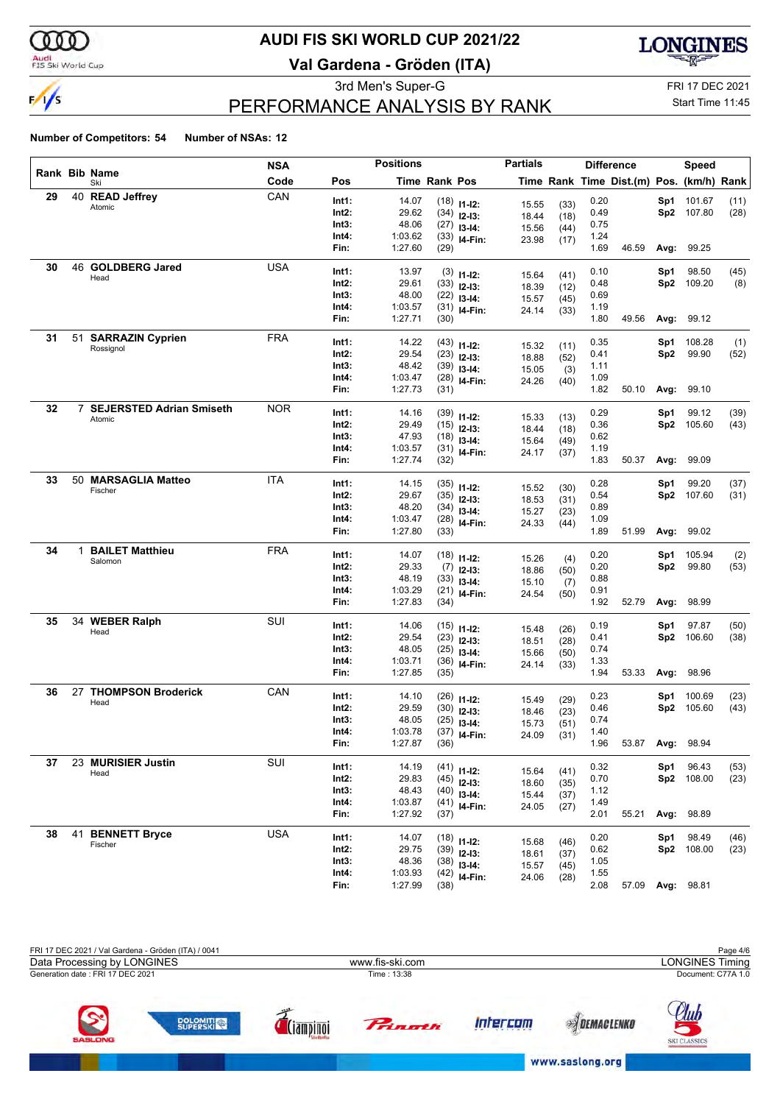

## **AUDI FIS SKI WORLD CUP 2021/22**

**Val Gardena - Gröden (ITA)**



3rd Men's Super-G FRI 17 DEC 2021

## PERFORMANCE ANALYSIS BY RANK

Start Time 11:45

|    |    |                                    | <b>NSA</b> |       | <b>Positions</b> |                      |                | <b>Partials</b> |              |      | <b>Difference</b>                        |      | <b>Speed</b>     |      |
|----|----|------------------------------------|------------|-------|------------------|----------------------|----------------|-----------------|--------------|------|------------------------------------------|------|------------------|------|
|    |    | Rank Bib Name<br>Ski               | Code       | Pos   |                  | <b>Time Rank Pos</b> |                |                 |              |      | Time Rank Time Dist.(m) Pos. (km/h) Rank |      |                  |      |
| 29 | 40 | <b>READ Jeffrey</b>                | CAN        | Int1: | 14.07            |                      | $(18)$ 11-12:  | 15.55           | (33)         | 0.20 |                                          | Sp1  | 101.67           | (11) |
|    |    | Atomic                             |            | Int2: | 29.62            |                      | $(34)$ 12-13:  | 18.44           | (18)         | 0.49 |                                          | Sp2  | 107.80           | (28) |
|    |    |                                    |            | Int3: | 48.06            |                      | $(27)$ 13-14:  | 15.56           | (44)         | 0.75 |                                          |      |                  |      |
|    |    |                                    |            | Int4: | 1:03.62          |                      | $(33)$ 14-Fin: | 23.98           | (17)         | 1.24 |                                          |      |                  |      |
|    |    |                                    |            | Fin:  | 1:27.60          | (29)                 |                |                 |              | 1.69 | 46.59                                    |      | Avg: 99.25       |      |
| 30 | 46 | <b>GOLDBERG Jared</b>              | <b>USA</b> | Int1: | 13.97            |                      | $(3)$ 11-12:   | 15.64           | (41)         | 0.10 |                                          | Sp1  | 98.50            | (45) |
|    |    | Head                               |            | Int2: | 29.61            |                      | $(33)$ 12-13:  | 18.39           | (12)         | 0.48 |                                          | Sp2  | 109.20           | (8)  |
|    |    |                                    |            | Int3: | 48.00            |                      | $(22)$ 13-14:  | 15.57           | (45)         | 0.69 |                                          |      |                  |      |
|    |    |                                    |            | Int4: | 1:03.57          |                      | $(31)$ 14-Fin: | 24.14           | (33)         | 1.19 |                                          |      |                  |      |
|    |    |                                    |            | Fin:  | 1:27.71          | (30)                 |                |                 |              | 1.80 | 49.56                                    | Avg: | 99.12            |      |
| 31 | 51 | <b>SARRAZIN Cyprien</b>            | <b>FRA</b> | Int1: | 14.22            |                      | $(43)$ 11-12:  | 15.32           | (11)         | 0.35 |                                          | Sp1  | 108.28           | (1)  |
|    |    | Rossignol                          |            | Int2: | 29.54            |                      | $(23)$ 12-13:  | 18.88           | (52)         | 0.41 |                                          | Sp2  | 99.90            | (52) |
|    |    |                                    |            | Int3: | 48.42            |                      | $(39)$ 13-14:  | 15.05           | (3)          | 1.11 |                                          |      |                  |      |
|    |    |                                    |            | Int4: | 1:03.47          |                      | $(28)$ 14-Fin: | 24.26           | (40)         | 1.09 |                                          |      |                  |      |
|    |    |                                    |            | Fin:  | 1:27.73          | (31)                 |                |                 |              | 1.82 | 50.10                                    |      | Avg: 99.10       |      |
| 32 |    | 7 SEJERSTED Adrian Smiseth         | <b>NOR</b> | Int1: | 14.16            |                      | $(39)$ 11-12:  | 15.33           | (13)         | 0.29 |                                          | Sp1  | 99.12            | (39) |
|    |    | Atomic                             |            | Int2: | 29.49            |                      | $(15)$ 12-13:  | 18.44           | (18)         | 0.36 |                                          | Sp2  | 105.60           | (43) |
|    |    |                                    |            | Int3: | 47.93            |                      | $(18)$ 13-14:  | 15.64           | (49)         | 0.62 |                                          |      |                  |      |
|    |    |                                    |            | Int4: | 1:03.57          |                      | $(31)$ 14-Fin: | 24.17           | (37)         | 1.19 |                                          |      |                  |      |
|    |    |                                    |            | Fin:  | 1:27.74          | (32)                 |                |                 |              | 1.83 | 50.37                                    | Avg: | 99.09            |      |
| 33 | 50 | <b>MARSAGLIA Matteo</b><br>Fischer | <b>ITA</b> | Int1: | 14.15            |                      | $(35)$ 11-12:  | 15.52           | (30)         | 0.28 |                                          | Sp1  | 99.20            | (37) |
|    |    |                                    |            | Int2: | 29.67            |                      | $(35)$ 12-13:  | 18.53           | (31)         | 0.54 |                                          | Sp2  | 107.60           | (31) |
|    |    |                                    |            | Int3: | 48.20            |                      | $(34)$ 13-14:  | 15.27           | (23)         | 0.89 |                                          |      |                  |      |
|    |    |                                    |            | Int4: | 1:03.47          |                      | $(28)$ 14-Fin: | 24.33           | (44)         | 1.09 |                                          |      |                  |      |
|    |    |                                    |            | Fin:  | 1:27.80          | (33)                 |                |                 |              | 1.89 | 51.99                                    |      | Avg: 99.02       |      |
| 34 |    | 1 BAILET Matthieu                  | <b>FRA</b> | Int1: | 14.07            |                      | $(18)$ 11-12:  |                 |              | 0.20 |                                          | Sp1  | 105.94           | (2)  |
|    |    | Salomon                            |            | Int2: | 29.33            |                      | $(7)$ 12-13:   | 15.26<br>18.86  | (4)          | 0.20 |                                          | Sp2  | 99.80            | (53) |
|    |    |                                    |            | Int3: | 48.19            |                      | $(33)$ 13-14:  | 15.10           | (50)<br>(7)  | 0.88 |                                          |      |                  |      |
|    |    |                                    |            | Int4: | 1:03.29          |                      | $(21)$ 14-Fin: | 24.54           | (50)         | 0.91 |                                          |      |                  |      |
|    |    |                                    |            | Fin:  | 1:27.83          | (34)                 |                |                 |              | 1.92 | 52.79                                    | Avg: | 98.99            |      |
| 35 | 34 | <b>WEBER Ralph</b>                 | SUI        | Int1: | 14.06            |                      | $(15)$ 11-12:  |                 |              | 0.19 |                                          | Sp1  | 97.87            | (50) |
|    |    | Head                               |            | Int2: | 29.54            |                      | $(23)$ 12-13:  | 15.48<br>18.51  | (26)<br>(28) | 0.41 |                                          | Sp2  | 106.60           | (38) |
|    |    |                                    |            | Int3: | 48.05            |                      | $(25)$ 13-14:  | 15.66           | (50)         | 0.74 |                                          |      |                  |      |
|    |    |                                    |            | Int4: | 1:03.71          |                      | $(36)$ 14-Fin: | 24.14           | (33)         | 1.33 |                                          |      |                  |      |
|    |    |                                    |            | Fin:  | 1:27.85          | (35)                 |                |                 |              | 1.94 | 53.33                                    | Avg: | 98.96            |      |
| 36 | 27 | <b>THOMPSON Broderick</b>          | CAN        | Int1: | 14.10            |                      | $(26)$ 11-12:  | 15.49           | (29)         | 0.23 |                                          | Sp1  | 100.69           | (23) |
|    |    | Head                               |            | Int2: | 29.59            |                      | $(30)$ 12-13:  | 18.46           | (23)         | 0.46 |                                          | Sp2  | 105.60           | (43) |
|    |    |                                    |            | Int3: | 48.05            |                      | $(25)$ 13-14:  | 15.73           | (51)         | 0.74 |                                          |      |                  |      |
|    |    |                                    |            | Int4: | 1:03.78          |                      | $(37)$ 14-Fin: | 24.09           | (31)         | 1.40 |                                          |      |                  |      |
|    |    |                                    |            | Fin:  | 1:27.87          | (36)                 |                |                 |              | 1.96 | 53.87                                    |      | Avg: 98.94       |      |
| 37 |    | 23 MURISIER Justin                 | SUI        | Int1: | 14.19            |                      | $(41)$ 11-12:  | 15.64           | (41)         | 0.32 |                                          | Sp1  | 96.43            | (53) |
|    |    | Head                               |            | Int2: | 29.83            |                      | $(45)$ 12-13:  | 18.60           | (35)         | 0.70 |                                          |      | Sp2 108.00       | (23) |
|    |    |                                    |            | Int3: | 48.43            |                      | $(40)$ 13-14:  | 15.44           | (37)         | 1.12 |                                          |      |                  |      |
|    |    |                                    |            | Int4: | 1:03.87          |                      | $(41)$ 14-Fin: | 24.05           | (27)         | 1.49 |                                          |      |                  |      |
|    |    |                                    |            | Fin:  | 1:27.92          | (37)                 |                |                 |              | 2.01 | 55.21                                    |      | Avg: 98.89       |      |
| 38 | 41 | <b>BENNETT Bryce</b>               | <b>USA</b> | Int1: | 14.07            |                      | $(18)$ 11-12:  | 15.68           | (46)         | 0.20 |                                          | Sp1  | 98.49            | (46) |
|    |    | Fischer                            |            | Int2: | 29.75            |                      | $(39)$ 12-13:  | 18.61           | (37)         | 0.62 |                                          |      | Sp2 108.00       | (23) |
|    |    |                                    |            | Int3: | 48.36            |                      | $(38)$ 13-14:  | 15.57           | (45)         | 1.05 |                                          |      |                  |      |
|    |    |                                    |            | Int4: | 1:03.93          |                      | $(42)$ 14-Fin: | 24.06           | (28)         | 1.55 |                                          |      |                  |      |
|    |    |                                    |            | Fin:  | 1:27.99          | (38)                 |                |                 |              | 2.08 |                                          |      | 57.09 Avg: 98.81 |      |

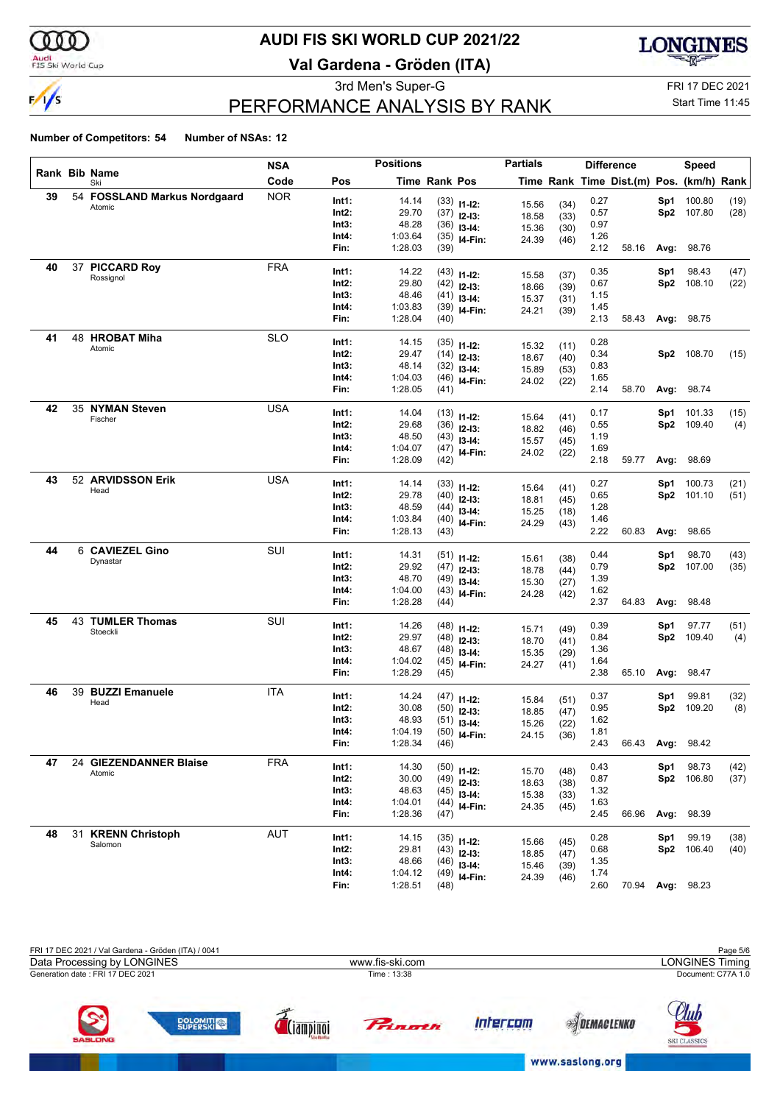

## **AUDI FIS SKI WORLD CUP 2021/22**

**Val Gardena - Gröden (ITA)**



3rd Men's Super-G FRI 17 DEC 2021

## PERFORMANCE ANALYSIS BY RANK

#### Start Time 11:45

|    |                              | NSA        |                | <b>Positions</b>   |                      |                                | <b>Partials</b> |              |              | <b>Difference</b>                        |      | Speed      |      |
|----|------------------------------|------------|----------------|--------------------|----------------------|--------------------------------|-----------------|--------------|--------------|------------------------------------------|------|------------|------|
|    | Rank Bib Name<br>Ski         | Code       | Pos            |                    | <b>Time Rank Pos</b> |                                |                 |              |              | Time Rank Time Dist.(m) Pos. (km/h) Rank |      |            |      |
| 39 | 54 FOSSLAND Markus Nordgaard | <b>NOR</b> | Int1:          | 14.14              |                      | $(33)$ 11-12:                  |                 |              | 0.27         |                                          | Sp1  | 100.80     | (19) |
|    | Atomic                       |            | Int2:          | 29.70              |                      | $(37)$ 12-13:                  | 15.56<br>18.58  | (34)<br>(33) | 0.57         |                                          | Sp2  | 107.80     | (28) |
|    |                              |            | Int3:          | 48.28              |                      | $(36)$ 13-14:                  | 15.36           | (30)         | 0.97         |                                          |      |            |      |
|    |                              |            | Int4:          | 1:03.64            |                      | $(35)$ 14-Fin:                 | 24.39           | (46)         | 1.26         |                                          |      |            |      |
|    |                              |            | Fin:           | 1:28.03            | (39)                 |                                |                 |              | 2.12         | 58.16                                    | Avg: | 98.76      |      |
| 40 | 37 PICCARD Roy               | <b>FRA</b> | Int1:          | 14.22              |                      | $(43)$ 11-12:                  |                 |              | 0.35         |                                          | Sp1  | 98.43      | (47) |
|    | Rossignol                    |            | Int2:          | 29.80              |                      | $(42)$ 12-13:                  | 15.58           | (37)         | 0.67         |                                          | Sp2  | 108.10     | (22) |
|    |                              |            | Int3:          | 48.46              |                      | $(41)$ 13-14:                  | 18.66           | (39)         | 1.15         |                                          |      |            |      |
|    |                              |            | Int4:          | 1:03.83            |                      | $(39)$ 14-Fin:                 | 15.37<br>24.21  | (31)         | 1.45         |                                          |      |            |      |
|    |                              |            | Fin:           | 1:28.04            | (40)                 |                                |                 | (39)         | 2.13         | 58.43                                    | Avg: | 98.75      |      |
| 41 | 48 HROBAT Miha               | <b>SLO</b> | Int1:          | 14.15              |                      |                                |                 |              | 0.28         |                                          |      |            |      |
|    | Atomic                       |            | Int2:          | 29.47              |                      | $(35)$ 11-12:<br>$(14)$ 12-13: | 15.32           | (11)         | 0.34         |                                          |      | Sp2 108.70 | (15) |
|    |                              |            | Int3:          | 48.14              |                      | $(32)$ 13-14:                  | 18.67           | (40)         | 0.83         |                                          |      |            |      |
|    |                              |            | Int4:          | 1:04.03            |                      | $(46)$ 14-Fin:                 | 15.89           | (53)         | 1.65         |                                          |      |            |      |
|    |                              |            | Fin:           | 1:28.05            | (41)                 |                                | 24.02           | (22)         | 2.14         | 58.70                                    | Avg: | 98.74      |      |
| 42 | 35 NYMAN Steven              | <b>USA</b> |                |                    |                      |                                |                 |              |              |                                          |      |            |      |
|    | Fischer                      |            | Int1:          | 14.04<br>29.68     |                      | $(13)$ 11-12:                  | 15.64           | (41)         | 0.17         |                                          | Sp1  | 101.33     | (15) |
|    |                              |            | Int2:<br>Int3: | 48.50              |                      | $(36)$ 12-13:                  | 18.82           | (46)         | 0.55<br>1.19 |                                          | Sp2  | 109.40     | (4)  |
|    |                              |            | Int4:          | 1:04.07            |                      | $(43)$ 13-14:                  | 15.57           | (45)         | 1.69         |                                          |      |            |      |
|    |                              |            | Fin:           | 1:28.09            | (42)                 | $(47)$ 14-Fin:                 | 24.02           | (22)         | 2.18         | 59.77                                    | Avg: | 98.69      |      |
| 43 | 52 ARVIDSSON Erik            | <b>USA</b> |                |                    |                      |                                |                 |              |              |                                          |      |            |      |
|    | Head                         |            | Int1:          | 14.14              |                      | $(33)$ 11-12:                  | 15.64           | (41)         | 0.27         |                                          | Sp1  | 100.73     | (21) |
|    |                              |            | Int2:          | 29.78              |                      | $(40)$ 12-13:                  | 18.81           | (45)         | 0.65         |                                          | Sp2  | 101.10     | (51) |
|    |                              |            | Int3:<br>Int4: | 48.59              |                      | $(44)$ 13-14:                  | 15.25           | (18)         | 1.28         |                                          |      |            |      |
|    |                              |            | Fin:           | 1:03.84<br>1:28.13 | (43)                 | $(40)$ 14-Fin:                 | 24.29           | (43)         | 1.46<br>2.22 | 60.83                                    | Avg: | 98.65      |      |
| 44 | 6 CAVIEZEL Gino              | SUI        |                |                    |                      |                                |                 |              |              |                                          |      |            |      |
|    | Dynastar                     |            | Int1:          | 14.31              |                      | $(51)$ 11-12:                  | 15.61           | (38)         | 0.44         |                                          | Sp1  | 98.70      | (43) |
|    |                              |            | Int2:          | 29.92              |                      | $(47)$ 12-13:                  | 18.78           | (44)         | 0.79         |                                          | Sp2  | 107.00     | (35) |
|    |                              |            | Int3:          | 48.70              |                      | $(49)$ 13-14:                  | 15.30           | (27)         | 1.39         |                                          |      |            |      |
|    |                              |            | Int4:<br>Fin:  | 1:04.00<br>1:28.28 | (44)                 | $(43)$ 14-Fin:                 | 24.28           | (42)         | 1.62<br>2.37 | 64.83                                    | Avg: | 98.48      |      |
| 45 | <b>43 TUMLER Thomas</b>      | SUI        |                |                    |                      |                                |                 |              |              |                                          |      |            |      |
|    | Stoeckli                     |            | Int1:          | 14.26              |                      | $(48)$ 11-12:                  | 15.71           | (49)         | 0.39         |                                          | Sp1  | 97.77      | (51) |
|    |                              |            | Int2:          | 29.97              |                      | $(48)$ 12-13:                  | 18.70           | (41)         | 0.84         |                                          | Sp2  | 109.40     | (4)  |
|    |                              |            | Int3:          | 48.67              |                      | $(48)$ 13-14:                  | 15.35           | (29)         | 1.36         |                                          |      |            |      |
|    |                              |            | Int4:<br>Fin:  | 1:04.02<br>1:28.29 |                      | $(45)$ 14-Fin:                 | 24.27           | (41)         | 1.64<br>2.38 | 65.10                                    |      | 98.47      |      |
|    |                              |            |                |                    | (45)                 |                                |                 |              |              |                                          | Avg: |            |      |
| 46 | 39 BUZZI Emanuele            | ITA        | Int1:          | 14.24              |                      | $(47)$ 11-12:                  | 15.84           | (51)         | 0.37         |                                          | Sp1  | 99.81      | (32) |
|    | Head                         |            | Int2:          | 30.08              |                      | $(50)$ 12-13:                  | 18.85           | (47)         | 0.95         |                                          | Sp2  | 109.20     | (8)  |
|    |                              |            | Int3:          | 48.93              |                      | $(51)$ 13-14:                  | 15.26           | (22)         | 1.62         |                                          |      |            |      |
|    |                              |            | Int4:          | 1:04.19            |                      | $(50)$ 14-Fin:                 | 24.15           | (36)         | 1.81         |                                          |      |            |      |
|    |                              |            | Fin:           | 1:28.34            | (46)                 |                                |                 |              | 2.43         | 66.43 Avg: 98.42                         |      |            |      |
| 47 | 24 GIEZENDANNER Blaise       | FRA        | Int1:          | 14.30              |                      | $(50)$ 11-12:                  |                 |              | 0.43         |                                          | Sp1  | 98.73      | (42) |
|    | Atomic                       |            | Int2:          | 30.00              |                      | $(49)$ 12-13:                  | 15.70           | (48)         | 0.87         |                                          |      | Sp2 106.80 | (37) |
|    |                              |            | Int3:          | 48.63              |                      | $(45)$ 13-14:                  | 18.63<br>15.38  | (38)<br>(33) | 1.32         |                                          |      |            |      |
|    |                              |            | Int4:          | 1:04.01            |                      | $(44)$ 14-Fin:                 | 24.35           | (45)         | 1.63         |                                          |      |            |      |
|    |                              |            | Fin:           | 1:28.36            | (47)                 |                                |                 |              | 2.45         | 66.96                                    | Avg: | 98.39      |      |
| 48 | 31 KRENN Christoph           | <b>AUT</b> | Int1:          | 14.15              |                      | $(35)$ 11-12:                  |                 |              | 0.28         |                                          | Sp1  | 99.19      | (38) |
|    | Salomon                      |            | Int2:          | 29.81              |                      | $(43)$ 12-13:                  | 15.66           | (45)         | 0.68         |                                          | Sp2  | 106.40     | (40) |
|    |                              |            | Int3:          | 48.66              |                      | $(46)$ 13-14:                  | 18.85           | (47)         | 1.35         |                                          |      |            |      |
|    |                              |            | Int4:          | 1:04.12            |                      | $(49)$ 14-Fin:                 | 15.46<br>24.39  | (39)<br>(46) | 1.74         |                                          |      |            |      |
|    |                              |            | Fin:           | 1:28.51            | (48)                 |                                |                 |              | 2.60         | 70.94                                    |      | Avg: 98.23 |      |

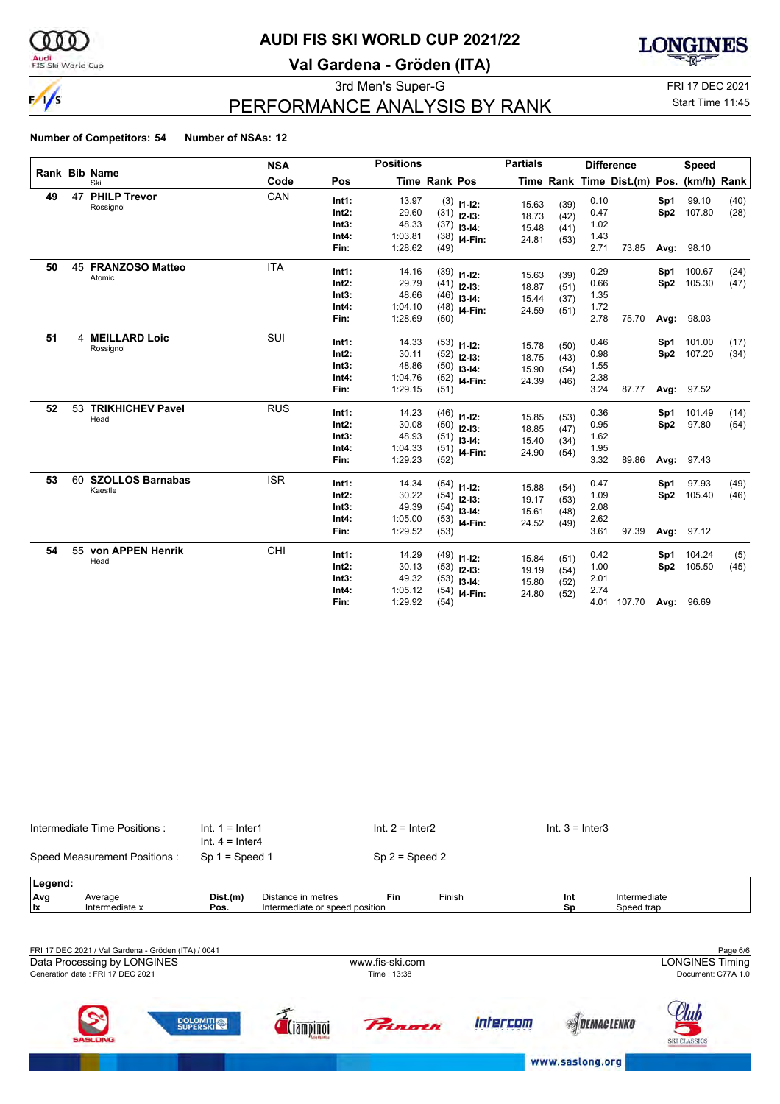$\frac{1}{s}$ 

## **AUDI FIS SKI WORLD CUP 2021/22**

**Val Gardena - Gröden (ITA)**



luh

**SPIDEMACLENKO** 

www.saslong.org

3rd Men's Super-G FRI 17 DEC 2021

## PERFORMANCE ANALYSIS BY RANK

### Start Time 11:45

#### **Number of Competitors: 54 Number of NSAs: 12**

|    |    |                                    | <b>NSA</b> |                                             | <b>Positions</b>                              |                      |                                                                   | <b>Partials</b>                  |                              |                                      | <b>Difference</b>                        |                        | <b>Speed</b>                   |              |
|----|----|------------------------------------|------------|---------------------------------------------|-----------------------------------------------|----------------------|-------------------------------------------------------------------|----------------------------------|------------------------------|--------------------------------------|------------------------------------------|------------------------|--------------------------------|--------------|
|    |    | <b>Rank Bib Name</b><br>Ski        | Code       | Pos                                         |                                               | <b>Time Rank Pos</b> |                                                                   |                                  |                              |                                      | Time Rank Time Dist.(m) Pos. (km/h) Rank |                        |                                |              |
| 49 | 47 | <b>PHILP Trevor</b><br>Rossignol   | CAN        | Int1:<br>Int2:<br>Int3:<br>Int4:<br>Fin:    | 13.97<br>29.60<br>48.33<br>1:03.81<br>1:28.62 | (49)                 | $(3)$ 11-12:<br>$(31)$ 12-13:<br>$(37)$ 13-14:<br>$(38)$ 14-Fin:  | 15.63<br>18.73<br>15.48<br>24.81 | (39)<br>(42)<br>(41)<br>(53) | 0.10<br>0.47<br>1.02<br>1.43<br>2.71 | 73.85                                    | Sp1<br>Sp2<br>Avg:     | 99.10<br>107.80<br>98.10       | (40)<br>(28) |
| 50 |    | 45 FRANZOSO Matteo<br>Atomic       | <b>ITA</b> | Int1:<br>Int2:<br>Int3:<br>Int4:<br>Fin:    | 14.16<br>29.79<br>48.66<br>1:04.10<br>1:28.69 | (50)                 | $(39)$ 11-12:<br>$(41)$ 12-13:<br>$(46)$ 13-14:<br>$(48)$ 14-Fin: | 15.63<br>18.87<br>15.44<br>24.59 | (39)<br>(51)<br>(37)<br>(51) | 0.29<br>0.66<br>1.35<br>1.72<br>2.78 | 75.70                                    | Sp1<br>Sp2             | 100.67<br>105.30<br>Avg: 98.03 | (24)<br>(47) |
| 51 | 4  | <b>MEILLARD Loic</b><br>Rossignol  | SUI        | Int1:<br>$Int2$ :<br>Int3:<br>Int4:<br>Fin: | 14.33<br>30.11<br>48.86<br>1:04.76<br>1:29.15 | (51)                 | $(53)$ 11-12:<br>$(52)$ 12-13:<br>$(50)$ 13-14:<br>$(52)$ 14-Fin: | 15.78<br>18.75<br>15.90<br>24.39 | (50)<br>(43)<br>(54)<br>(46) | 0.46<br>0.98<br>1.55<br>2.38<br>3.24 | 87.77                                    | Sp1<br>Sp <sub>2</sub> | 101.00<br>107.20<br>Avg: 97.52 | (17)<br>(34) |
| 52 | 53 | <b>TRIKHICHEV Pavel</b><br>Head    | <b>RUS</b> | Int1:<br>$Int2$ :<br>Int3:<br>Int4:<br>Fin: | 14.23<br>30.08<br>48.93<br>1:04.33<br>1:29.23 | (52)                 | $(46)$ 11-12:<br>$(50)$ 12-13:<br>$(51)$ 13-14:<br>$(51)$ 14-Fin: | 15.85<br>18.85<br>15.40<br>24.90 | (53)<br>(47)<br>(34)<br>(54) | 0.36<br>0.95<br>1.62<br>1.95<br>3.32 | 89.86                                    | Sp1<br>Sp2             | 101.49<br>97.80<br>Avg: 97.43  | (14)<br>(54) |
| 53 | 60 | <b>SZOLLOS Barnabas</b><br>Kaestle | <b>ISR</b> | Int1:<br>Int2:<br>Int3:<br>Int4:<br>Fin:    | 14.34<br>30.22<br>49.39<br>1:05.00<br>1:29.52 | (53)                 | $(54)$ 11-12:<br>$(54)$ 12-13:<br>$(54)$ 13-14:<br>$(53)$ 14-Fin: | 15.88<br>19.17<br>15.61<br>24.52 | (54)<br>(53)<br>(48)<br>(49) | 0.47<br>1.09<br>2.08<br>2.62<br>3.61 | 97.39                                    | Sp1<br>Sp2             | 97.93<br>105.40<br>Avg: 97.12  | (49)<br>(46) |
| 54 | 55 | von APPEN Henrik<br>Head           | CHI        | Int1:<br>Int2:<br>Int3:<br>Int4:<br>Fin:    | 14.29<br>30.13<br>49.32<br>1:05.12<br>1:29.92 | (54)<br>(54)         | $(49)$ 11-12:<br>$(53)$ 12-13:<br>$(53)$ 13-14:<br>I4-Fin:        | 15.84<br>19.19<br>15.80<br>24.80 | (51)<br>(54)<br>(52)<br>(52) | 0.42<br>1.00<br>2.01<br>2.74<br>4.01 | 107.70 Avg:                              | Sp1<br>Sp2             | 104.24<br>105.50<br>96.69      | (5)<br>(45)  |

| Intermediate Time Positions: |                                                     | $Int. 1 = Inter1$<br>$Int. 4 = Inter4$ |                                | $Int. 2 = Inter2$ |        | $Int. 3 = Inter3$ |                        |
|------------------------------|-----------------------------------------------------|----------------------------------------|--------------------------------|-------------------|--------|-------------------|------------------------|
|                              | Speed Measurement Positions:                        | $Sp 1 = Speed 1$                       |                                | $Sp 2 = Speed 2$  |        |                   |                        |
| Legend:                      |                                                     |                                        |                                |                   |        |                   |                        |
| Avg                          | Average                                             | Dist.(m)                               | Distance in metres             | <b>Fin</b>        | Finish | Int               | Intermediate           |
| <b>Ix</b>                    | Intermediate x                                      | Pos.                                   | Intermediate or speed position |                   |        | Sp                | Speed trap             |
|                              |                                                     |                                        |                                |                   |        |                   |                        |
|                              | FRI 17 DEC 2021 / Val Gardena - Gröden (ITA) / 0041 |                                        |                                |                   |        |                   | Page 6/6               |
|                              | Data Processing by LONGINES                         |                                        |                                | www.fis-ski.com   |        |                   | <b>LONGINES Timing</b> |

Princetti

 $\vec{d}$  (iampinoi

**DOLOMITION** 

Intercom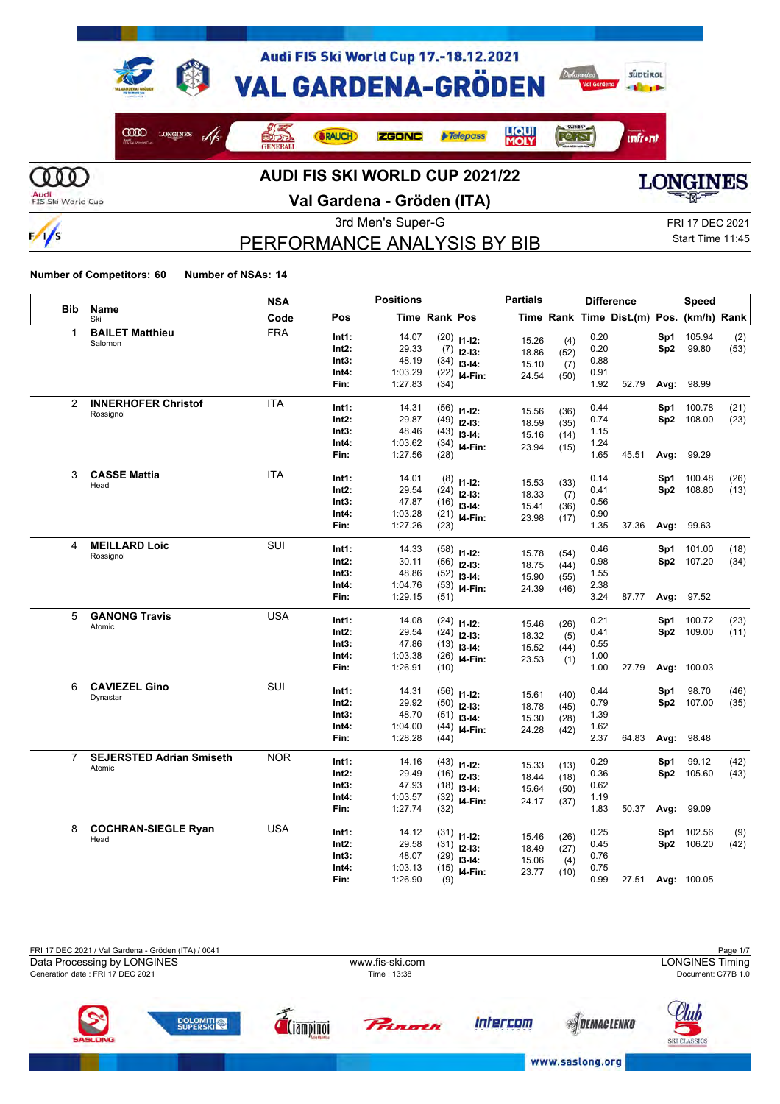

 $\frac{1}{s}$ 

# **Val Gardena - Gröden (ITA)**



## PERFORMANCE ANALYSIS BY BIB

3rd Men's Super-G FRI 17 DEC 2021 Start Time 11:45

|                |                                 | <b>NSA</b> |                | <b>Positions</b> |                      |                                | <b>Partials</b> |      |              | <b>Difference</b>                        |      | <b>Speed</b>         |      |
|----------------|---------------------------------|------------|----------------|------------------|----------------------|--------------------------------|-----------------|------|--------------|------------------------------------------|------|----------------------|------|
| <b>Bib</b>     | Name<br>Ski                     | Code       | Pos            |                  | <b>Time Rank Pos</b> |                                |                 |      |              | Time Rank Time Dist.(m) Pos. (km/h) Rank |      |                      |      |
| 1              | <b>BAILET Matthieu</b>          | <b>FRA</b> | Int1:          | 14.07            |                      | $(20)$ 11-12:                  | 15.26           | (4)  | 0.20         |                                          | Sp1  | 105.94               | (2)  |
|                | Salomon                         |            | Int2:          | 29.33            |                      | $(7)$ 12-13:                   | 18.86           | (52) | 0.20         |                                          | Sp2  | 99.80                | (53) |
|                |                                 |            | Int3:          | 48.19            |                      | $(34)$ 13-14:                  | 15.10           | (7)  | 0.88         |                                          |      |                      |      |
|                |                                 |            | Int4:          | 1:03.29          | (22)                 | I4-Fin:                        | 24.54           | (50) | 0.91         |                                          |      |                      |      |
|                |                                 |            | Fin:           | 1:27.83          | (34)                 |                                |                 |      | 1.92         | 52.79                                    | Avg: | 98.99                |      |
| 2              | <b>INNERHOFER Christof</b>      | <b>ITA</b> | Int1:          | 14.31            |                      |                                |                 |      | 0.44         |                                          | Sp1  | 100.78               | (21) |
|                | Rossignol                       |            | Int2:          | 29.87            |                      | $(56)$ 11-12:<br>$(49)$ 12-13: | 15.56           | (36) | 0.74         |                                          | Sp2  | 108.00               | (23) |
|                |                                 |            | Int3:          | 48.46            |                      | $(43)$ 13-14:                  | 18.59           | (35) | 1.15         |                                          |      |                      |      |
|                |                                 |            | Int4:          | 1:03.62          |                      | $(34)$ 14-Fin:                 | 15.16           | (14) | 1.24         |                                          |      |                      |      |
|                |                                 |            | Fin:           | 1:27.56          | (28)                 |                                | 23.94           | (15) | 1.65         | 45.51                                    | Avg: | 99.29                |      |
| 3              | <b>CASSE Mattia</b>             | <b>ITA</b> |                |                  |                      |                                |                 |      |              |                                          |      |                      |      |
|                | Head                            |            | Int1:<br>Int2: | 14.01<br>29.54   |                      | $(8)$ 11-12:                   | 15.53           | (33) | 0.14<br>0.41 |                                          | Sp1  | 100.48<br>Sp2 108.80 | (26) |
|                |                                 |            | Int3:          | 47.87            |                      | $(24)$ 12-13:                  | 18.33           | (7)  | 0.56         |                                          |      |                      | (13) |
|                |                                 |            | Int4:          | 1:03.28          |                      | $(16)$ 13-14:                  | 15.41           | (36) | 0.90         |                                          |      |                      |      |
|                |                                 |            | Fin:           | 1:27.26          | (23)                 | $(21)$ 14-Fin:                 | 23.98           | (17) | 1.35         | 37.36                                    | Avg: | 99.63                |      |
| 4              | <b>MEILLARD Loic</b>            | SUI        |                |                  |                      |                                |                 |      |              |                                          |      |                      |      |
|                | Rossignol                       |            | Int1:          | 14.33            |                      | $(58)$ 11-12:                  | 15.78           | (54) | 0.46         |                                          | Sp1  | 101.00               | (18) |
|                |                                 |            | Int2:          | 30.11            |                      | $(56)$ 12-13:                  | 18.75           | (44) | 0.98         |                                          |      | Sp2 107.20           | (34) |
|                |                                 |            | Int3:          | 48.86            |                      | $(52)$ 13-14:                  | 15.90           | (55) | 1.55         |                                          |      |                      |      |
|                |                                 |            | Int4:          | 1:04.76          |                      | $(53)$ 14-Fin:                 | 24.39           | (46) | 2.38         |                                          |      |                      |      |
|                |                                 |            | Fin:           | 1:29.15          | (51)                 |                                |                 |      | 3.24         | 87.77                                    | Avg: | 97.52                |      |
| 5              | <b>GANONG Travis</b>            | <b>USA</b> | Int1:          | 14.08            |                      | $(24)$ 11-12:                  |                 |      | 0.21         |                                          | Sp1  | 100.72               | (23) |
|                | Atomic                          |            | Int2:          | 29.54            |                      | $(24)$ 12-13:                  | 15.46           | (26) | 0.41         |                                          |      | Sp2 109.00           | (11) |
|                |                                 |            | Int3:          | 47.86            |                      | $(13)$ 13-14:                  | 18.32           | (5)  | 0.55         |                                          |      |                      |      |
|                |                                 |            | Int4:          | 1:03.38          |                      | $(26)$ 14-Fin:                 | 15.52           | (44) | 1.00         |                                          |      |                      |      |
|                |                                 |            | Fin:           | 1:26.91          | (10)                 |                                | 23.53           | (1)  | 1.00         | 27.79                                    |      | Avg: 100.03          |      |
| 6              | <b>CAVIEZEL Gino</b>            | SUI        |                |                  |                      |                                |                 |      |              |                                          |      |                      |      |
|                | Dynastar                        |            | Int1:          | 14.31            |                      | $(56)$ 11-12:                  | 15.61           | (40) | 0.44         |                                          | Sp1  | 98.70                | (46) |
|                |                                 |            | Int2:          | 29.92            |                      | $(50)$ 12-13:                  | 18.78           | (45) | 0.79         |                                          |      | Sp2 107.00           | (35) |
|                |                                 |            | Int3:          | 48.70            |                      | $(51)$ 13-14:                  | 15.30           | (28) | 1.39         |                                          |      |                      |      |
|                |                                 |            | Int4:          | 1:04.00          |                      | $(44)$ 14-Fin:                 | 24.28           | (42) | 1.62         |                                          |      |                      |      |
|                |                                 |            | Fin:           | 1:28.28          | (44)                 |                                |                 |      | 2.37         | 64.83                                    | Avg: | 98.48                |      |
| $\overline{7}$ | <b>SEJERSTED Adrian Smiseth</b> | <b>NOR</b> | Int1:          | 14.16            |                      | $(43)$ 11-12:                  | 15.33           | (13) | 0.29         |                                          | Sp1  | 99.12                | (42) |
|                | Atomic                          |            | Int2:          | 29.49            |                      | $(16)$ 12-13:                  | 18.44           | (18) | 0.36         |                                          |      | Sp2 105.60           | (43) |
|                |                                 |            | Int3:          | 47.93            |                      | $(18)$ 13-14:                  | 15.64           | (50) | 0.62         |                                          |      |                      |      |
|                |                                 |            | Int4:          | 1:03.57          |                      | $(32)$ 14-Fin:                 | 24.17           | (37) | 1.19         |                                          |      |                      |      |
|                |                                 |            | Fin:           | 1:27.74          | (32)                 |                                |                 |      | 1.83         | 50.37                                    | Avg: | 99.09                |      |
| 8              | <b>COCHRAN-SIEGLE Ryan</b>      | USA        | Int1:          | 14.12            |                      | $(31)$ 11-12:                  |                 |      | 0.25         |                                          | Sp1  | 102.56               | (9)  |
|                | Head                            |            | Int2:          | 29.58            |                      | $(31)$ 12-13:                  | 15.46           | (26) | 0.45         |                                          |      | Sp2 106.20           | (42) |
|                |                                 |            | Int3:          | 48.07            |                      | $(29)$ 13-14:                  | 18.49           | (27) | 0.76         |                                          |      |                      |      |
|                |                                 |            | Int4:          | 1:03.13          |                      | $(15)$ 14-Fin:                 | 15.06           | (4)  | 0.75         |                                          |      |                      |      |
|                |                                 |            | Fin:           | 1:26.90          | (9)                  |                                | 23.77           | (10) | 0.99         | 27.51                                    |      | Avg: 100.05          |      |

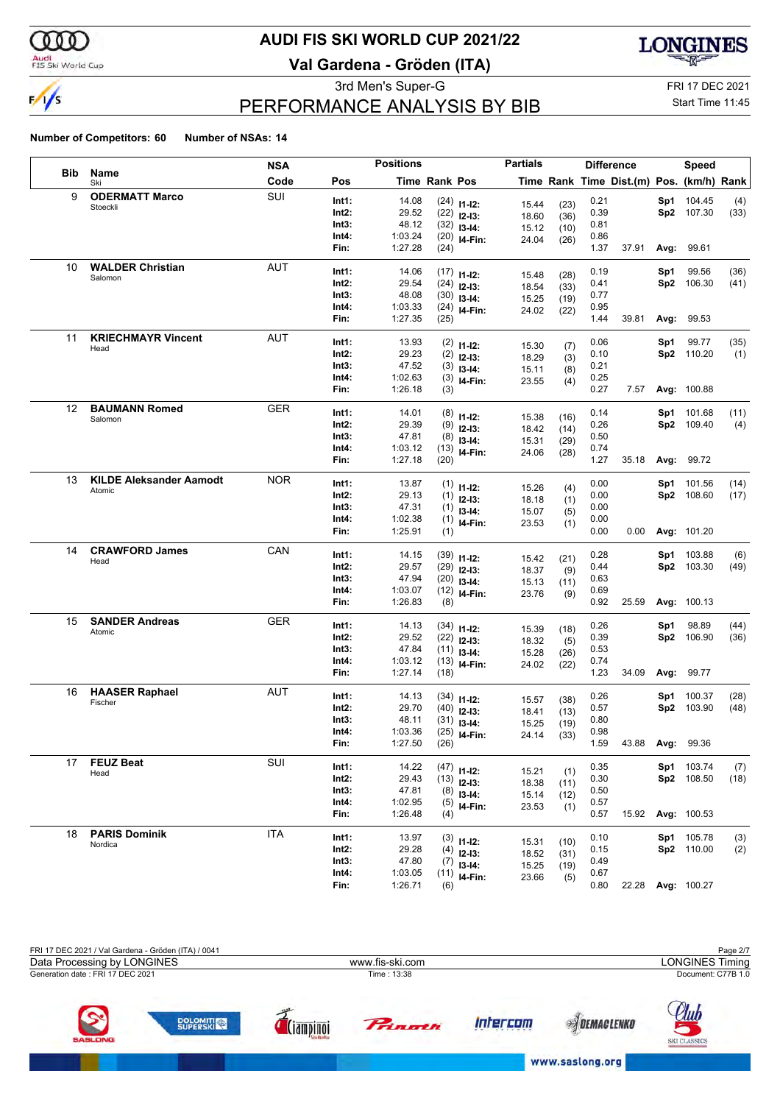

### Audi<br>FIS Ski World Cup

## **AUDI FIS SKI WORLD CUP 2021/22**

**Val Gardena - Gröden (ITA)**



3rd Men's Super-G FRI 17 DEC 2021

## PERFORMANCE ANALYSIS BY BIB

Start Time 11:45

|                   | <b>Positions</b><br><b>NSA</b> |            |       |         |               | <b>Partials</b> |                |              | <b>Difference</b> |                                          | <b>Speed</b> |                   |      |
|-------------------|--------------------------------|------------|-------|---------|---------------|-----------------|----------------|--------------|-------------------|------------------------------------------|--------------|-------------------|------|
| <b>Bib</b>        | Name<br>Ski                    | Code       | Pos   |         | Time Rank Pos |                 |                |              |                   | Time Rank Time Dist.(m) Pos. (km/h) Rank |              |                   |      |
| 9                 | <b>ODERMATT Marco</b>          | SUI        | Int1: | 14.08   |               | $(24)$ 11-12:   | 15.44          |              | 0.21              |                                          |              | Sp1 104.45        | (4)  |
|                   | Stoeckli                       |            | Int2: | 29.52   |               | $(22)$ 12-13:   | 18.60          | (23)<br>(36) | 0.39              |                                          |              | Sp2 107.30        | (33) |
|                   |                                |            | Int3: | 48.12   |               | $(32)$ 13-14:   | 15.12          | (10)         | 0.81              |                                          |              |                   |      |
|                   |                                |            | Int4: | 1:03.24 |               | $(20)$ 14-Fin:  | 24.04          | (26)         | 0.86              |                                          |              |                   |      |
|                   |                                |            | Fin:  | 1:27.28 | (24)          |                 |                |              | 1.37              | 37.91                                    |              | Avg: 99.61        |      |
| 10                | <b>WALDER Christian</b>        | AUT        | Int1: | 14.06   |               | $(17)$ 11-12:   | 15.48          |              | 0.19              |                                          | Sp1          | 99.56             | (36) |
|                   | Salomon                        |            | Int2: | 29.54   |               | $(24)$ 12-13:   | 18.54          | (28)<br>(33) | 0.41              |                                          |              | Sp2 106.30        | (41) |
|                   |                                |            | Int3: | 48.08   |               | $(30)$ 13-14:   | 15.25          | (19)         | 0.77              |                                          |              |                   |      |
|                   |                                |            | Int4: | 1:03.33 |               | $(24)$ 14-Fin:  | 24.02          | (22)         | 0.95              |                                          |              |                   |      |
|                   |                                |            | Fin:  | 1:27.35 | (25)          |                 |                |              | 1.44              | 39.81                                    |              | Avg: 99.53        |      |
| 11                | <b>KRIECHMAYR Vincent</b>      | AUT        | Int1: | 13.93   |               | $(2)$ 11-12:    | 15.30          |              | 0.06              |                                          | Sp1          | 99.77             | (35) |
|                   | Head                           |            | Int2: | 29.23   |               | $(2)$ 12-13:    | 18.29          | (7)<br>(3)   | 0.10              |                                          |              | Sp2 110.20        | (1)  |
|                   |                                |            | Int3: | 47.52   |               | $(3)$ 13-14:    | 15.11          | (8)          | 0.21              |                                          |              |                   |      |
|                   |                                |            | Int4: | 1:02.63 |               | $(3)$ 14-Fin:   | 23.55          | (4)          | 0.25              |                                          |              |                   |      |
|                   |                                |            | Fin:  | 1:26.18 | (3)           |                 |                |              | 0.27              | 7.57                                     |              | Avg: 100.88       |      |
| $12 \overline{ }$ | <b>BAUMANN Romed</b>           | <b>GER</b> | Int1: | 14.01   |               | $(8)$ 11-12:    | 15.38          | (16)         | 0.14              |                                          |              | Sp1 101.68        | (11) |
|                   | Salomon                        |            | Int2: | 29.39   |               | $(9)$ 12-13:    | 18.42          | (14)         | 0.26              |                                          |              | Sp2 109.40        | (4)  |
|                   |                                |            | Int3: | 47.81   |               | $(8)$ 13-14:    | 15.31          | (29)         | 0.50              |                                          |              |                   |      |
|                   |                                |            | Int4: | 1:03.12 |               | $(13)$ 14-Fin:  | 24.06          | (28)         | 0.74              |                                          |              |                   |      |
|                   |                                |            | Fin:  | 1:27.18 | (20)          |                 |                |              | 1.27              | 35.18                                    |              | Avg: 99.72        |      |
| 13                | <b>KILDE Aleksander Aamodt</b> | <b>NOR</b> | Int1: | 13.87   |               | $(1)$ 11-12:    | 15.26          | (4)          | 0.00              |                                          | Sp1          | 101.56            | (14) |
|                   | Atomic                         |            | Int2: | 29.13   |               | $(1)$ 12-13:    | 18.18          | (1)          | 0.00              |                                          |              | Sp2 108.60        | (17) |
|                   |                                |            | Int3: | 47.31   |               | $(1)$ 13-14:    | 15.07          | (5)          | 0.00              |                                          |              |                   |      |
|                   |                                |            | Int4: | 1:02.38 |               | $(1)$ 14-Fin:   | 23.53          | (1)          | 0.00              |                                          |              |                   |      |
|                   |                                |            | Fin:  | 1:25.91 | (1)           |                 |                |              | 0.00              | 0.00                                     |              | Avg: 101.20       |      |
| 14                | <b>CRAWFORD James</b>          | CAN        | Int1: | 14.15   |               | $(39)$ 11-12:   |                |              | 0.28              |                                          |              | Sp1 103.88        | (6)  |
|                   | Head                           |            | Int2: | 29.57   |               | $(29)$ 12-13:   | 15.42<br>18.37 | (21)         | 0.44              |                                          |              | Sp2 103.30        | (49) |
|                   |                                |            | Int3: | 47.94   |               | $(20)$ 13-14:   | 15.13          | (9)          | 0.63              |                                          |              |                   |      |
|                   |                                |            | Int4: | 1:03.07 |               | $(12)$ 14-Fin:  | 23.76          | (11)<br>(9)  | 0.69              |                                          |              |                   |      |
|                   |                                |            | Fin:  | 1:26.83 | (8)           |                 |                |              | 0.92              | 25.59                                    |              | Avg: 100.13       |      |
| 15                | <b>SANDER Andreas</b>          | <b>GER</b> | Int1: | 14.13   |               | $(34)$ 11-12:   |                |              | 0.26              |                                          | Sp1          | 98.89             | (44) |
|                   | Atomic                         |            | Int2: | 29.52   |               | $(22)$ 12-13:   | 15.39<br>18.32 | (18)<br>(5)  | 0.39              |                                          |              | Sp2 106.90        | (36) |
|                   |                                |            | Int3: | 47.84   |               | $(11)$ 13-14:   | 15.28          | (26)         | 0.53              |                                          |              |                   |      |
|                   |                                |            | Int4: | 1:03.12 |               | $(13)$ 14-Fin:  | 24.02          | (22)         | 0.74              |                                          |              |                   |      |
|                   |                                |            | Fin:  | 1:27.14 | (18)          |                 |                |              | 1.23              | 34.09                                    |              | Avg: 99.77        |      |
| 16                | <b>HAASER Raphael</b>          | AUT        | Int1: | 14.13   |               | $(34)$ 11-12:   |                |              | 0.26              |                                          | Sp1          | 100.37            | (28) |
|                   | Fischer                        |            | Int2: | 29.70   |               | $(40)$ 12-13:   | 15.57<br>18.41 | (38)<br>(13) | 0.57              |                                          |              | Sp2 103.90        | (48) |
|                   |                                |            | Int3: | 48.11   |               | $(31)$ 13-14:   | 15.25          | (19)         | 0.80              |                                          |              |                   |      |
|                   |                                |            | Int4: | 1:03.36 |               | $(25)$ 14-Fin:  | 24.14          | (33)         | 0.98              |                                          |              |                   |      |
|                   |                                |            | Fin:  | 1:27.50 | (26)          |                 |                |              | 1.59              | 43.88 Avg: 99.36                         |              |                   |      |
| 17                | <b>FEUZ Beat</b>               | SUI        | Int1: | 14.22   |               | $(47)$ 11-12:   | 15.21          | (1)          | 0.35              |                                          |              | Sp1 103.74        | (7)  |
|                   | Head                           |            | Int2: | 29.43   |               | $(13)$ 12-13:   | 18.38          | (11)         | 0.30              |                                          |              | Sp2 108.50        | (18) |
|                   |                                |            | Int3: | 47.81   |               | $(8)$ 13-14:    | 15.14          | (12)         | 0.50              |                                          |              |                   |      |
|                   |                                |            | Int4: | 1:02.95 |               | $(5)$ 14-Fin:   | 23.53          | (1)          | 0.57              |                                          |              |                   |      |
|                   |                                |            | Fin:  | 1:26.48 | (4)           |                 |                |              | 0.57              | 15.92                                    |              | Avg: 100.53       |      |
| 18                | <b>PARIS Dominik</b>           | <b>ITA</b> | Int1: | 13.97   |               | $(3)$ 11-12:    | 15.31          |              | 0.10              |                                          |              | Sp1 105.78        | (3)  |
|                   | Nordica                        |            | Int2: | 29.28   |               | $(4)$ 12-13:    | 18.52          | (10)<br>(31) | 0.15              |                                          |              | Sp2 110.00        | (2)  |
|                   |                                |            | Int3: | 47.80   |               | $(7)$ 13-14:    | 15.25          | (19)         | 0.49              |                                          |              |                   |      |
|                   |                                |            | Int4: | 1:03.05 |               | $(11)$ 14-Fin:  | 23.66          | (5)          | 0.67              |                                          |              |                   |      |
|                   |                                |            | Fin:  | 1:26.71 | (6)           |                 |                |              | 0.80              |                                          |              | 22.28 Avg: 100.27 |      |

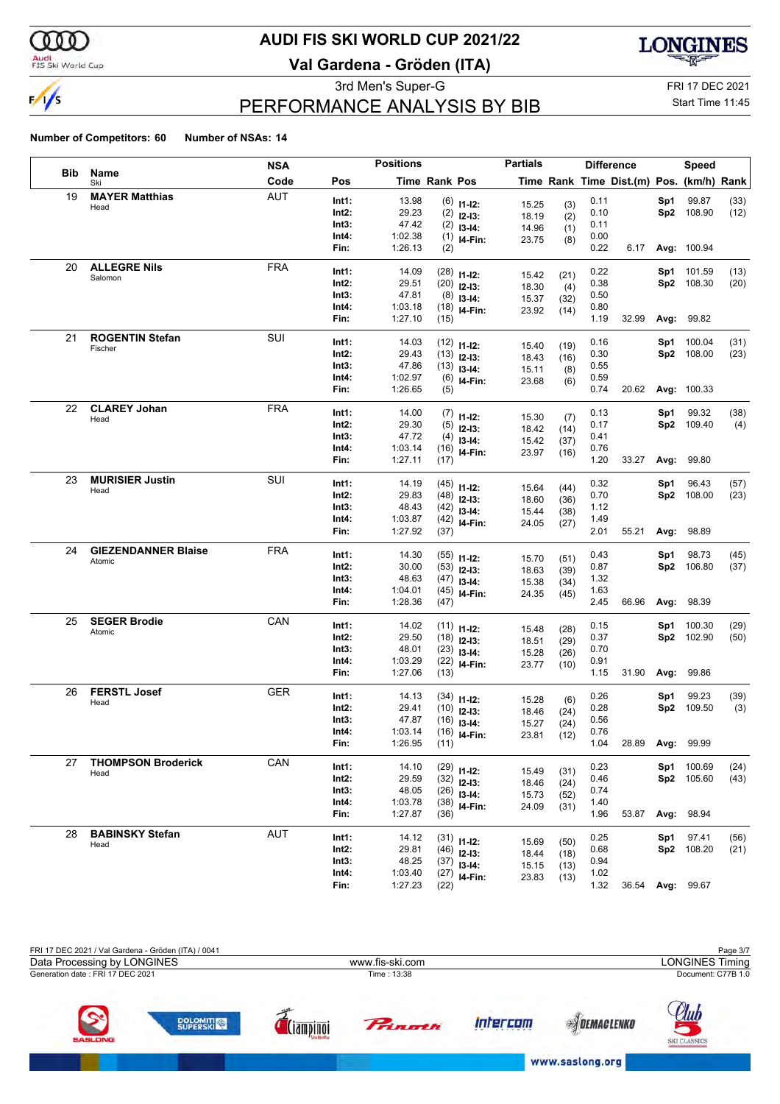

### Audi<br>FIS Ski World Cup

## **AUDI FIS SKI WORLD CUP 2021/22**

**Val Gardena - Gröden (ITA)**



# PERFORMANCE ANALYSIS BY BIB

3rd Men's Super-G FRI 17 DEC 2021

### Start Time 11:45

|     |                            | <b>NSA</b> |               | <b>Positions</b>   |               |                           | <b>Partials</b> |              |              | <b>Difference</b>                        |      | <b>Speed</b>         |              |
|-----|----------------------------|------------|---------------|--------------------|---------------|---------------------------|-----------------|--------------|--------------|------------------------------------------|------|----------------------|--------------|
| Bib | Name<br>Ski                | Code       | Pos           |                    | Time Rank Pos |                           |                 |              |              | Time Rank Time Dist.(m) Pos. (km/h) Rank |      |                      |              |
| 19  | <b>MAYER Matthias</b>      | <b>AUT</b> | Int1:         | 13.98              |               | $(6)$ 11-12:              | 15.25           | (3)          | 0.11         |                                          | Sp1  | 99.87                | (33)         |
|     | Head                       |            | Int2:         | 29.23              |               | $(2)$ 12-13:              | 18.19           | (2)          | 0.10         |                                          |      | Sp2 108.90           | (12)         |
|     |                            |            | Int3:         | 47.42              |               | $(2)$ 13-14:              | 14.96           | (1)          | 0.11         |                                          |      |                      |              |
|     |                            |            | Int4:         | 1:02.38            |               | $(1)$ 14-Fin:             | 23.75           | (8)          | 0.00         |                                          |      |                      |              |
|     |                            |            | Fin:          | 1:26.13            | (2)           |                           |                 |              | 0.22         | 6.17                                     |      | Avg: 100.94          |              |
| 20  | <b>ALLEGRE Nils</b>        | <b>FRA</b> | Int1:         | 14.09              |               | $(28)$ 11-12:             |                 |              | 0.22         |                                          | Sp1  | 101.59               | (13)         |
|     | Salomon                    |            | Int2:         | 29.51              |               | $(20)$ 12-13:             | 15.42           | (21)         | 0.38         |                                          |      | Sp2 108.30           | (20)         |
|     |                            |            | Int3:         | 47.81              |               | $(8)$ 13-14:              | 18.30           | (4)          | 0.50         |                                          |      |                      |              |
|     |                            |            | Int4:         | 1:03.18            |               | $(18)$ 14-Fin:            | 15.37           | (32)         | 0.80         |                                          |      |                      |              |
|     |                            |            | Fin:          | 1:27.10            | (15)          |                           | 23.92           | (14)         | 1.19         | 32.99                                    |      | <b>Avg: 99.82</b>    |              |
| 21  | <b>ROGENTIN Stefan</b>     | SUI        |               |                    |               |                           |                 |              |              |                                          |      |                      |              |
|     | Fischer                    |            | Int1:         | 14.03              |               | $(12)$ 11-12:             | 15.40           | (19)         | 0.16         |                                          | Sp1  | 100.04               | (31)         |
|     |                            |            | Int2:         | 29.43              |               | $(13)$ 12-13:             | 18.43           | (16)         | 0.30         |                                          |      | Sp2 108.00           | (23)         |
|     |                            |            | Int3:         | 47.86              |               | $(13)$ 13-14:             | 15.11           | (8)          | 0.55         |                                          |      |                      |              |
|     |                            |            | Int4:         | 1:02.97            |               | $(6)$ 14-Fin:             | 23.68           | (6)          | 0.59         |                                          |      |                      |              |
|     |                            |            | Fin:          | 1:26.65            | (5)           |                           |                 |              | 0.74         | 20.62                                    |      | Avg: 100.33          |              |
| 22  | <b>CLAREY Johan</b>        | <b>FRA</b> | Int1:         | 14.00              |               | $(7)$ 11-12:              |                 |              | 0.13         |                                          | Sp1  | 99.32                | (38)         |
|     | Head                       |            | Int2:         | 29.30              |               | $(5)$ 12-13:              | 15.30<br>18.42  | (7)          | 0.17         |                                          |      | Sp2 109.40           | (4)          |
|     |                            |            | Int3:         | 47.72              |               | $(4)$ 13-14:              | 15.42           | (14)         | 0.41         |                                          |      |                      |              |
|     |                            |            | Int4:         | 1:03.14            |               | $(16)$ 14-Fin:            | 23.97           | (37)<br>(16) | 0.76         |                                          |      |                      |              |
|     |                            |            | Fin:          | 1:27.11            | (17)          |                           |                 |              | 1.20         | 33.27                                    | Avg: | 99.80                |              |
| 23  | <b>MURISIER Justin</b>     | SUI        |               |                    |               |                           |                 |              |              |                                          |      |                      |              |
|     | Head                       |            | Int1:         | 14.19              |               | $(45)$ 11-12:             | 15.64           | (44)         | 0.32         |                                          | Sp1  | 96.43                | (57)         |
|     |                            |            | Int2:         | 29.83              |               | $(48)$ 12-13:             | 18.60           | (36)         | 0.70         |                                          | Sp2  | 108.00               | (23)         |
|     |                            |            | Int3:         | 48.43              |               | $(42)$ 13-14:             | 15.44           | (38)         | 1.12         |                                          |      |                      |              |
|     |                            |            | Int4:<br>Fin: | 1:03.87<br>1:27.92 | (37)          | $(42)$ 14-Fin:            | 24.05           | (27)         | 1.49<br>2.01 | 55.21                                    | Avg: | 98.89                |              |
|     |                            |            |               |                    |               |                           |                 |              |              |                                          |      |                      |              |
| 24  | <b>GIEZENDANNER Blaise</b> | <b>FRA</b> | Int1:         | 14.30              |               | $(55)$ 11-12:             | 15.70           | (51)         | 0.43         |                                          | Sp1  | 98.73                | (45)         |
|     | Atomic                     |            | Int2:         | 30.00              |               | $(53)$ 12-13:             | 18.63           | (39)         | 0.87         |                                          |      | Sp2 106.80           | (37)         |
|     |                            |            | Int3:         | 48.63              |               | $(47)$ 13-14:             | 15.38           | (34)         | 1.32         |                                          |      |                      |              |
|     |                            |            | Int4:         | 1:04.01            |               | $(45)$ 14-Fin:            | 24.35           | (45)         | 1.63         |                                          |      |                      |              |
|     |                            |            | Fin:          | 1:28.36            | (47)          |                           |                 |              | 2.45         | 66.96                                    | Avg: | 98.39                |              |
| 25  | <b>SEGER Brodie</b>        | CAN        | Int1:         |                    |               |                           |                 |              |              |                                          |      |                      |              |
|     | Atomic                     |            | Int2:         | 14.02<br>29.50     |               | $(11)$ 11-12:             | 15.48           | (28)         | 0.15<br>0.37 |                                          | Sp1  | 100.30<br>Sp2 102.90 | (29)<br>(50) |
|     |                            |            | Int3:         | 48.01              |               | $(18)$ 12-13:             | 18.51           | (29)         | 0.70         |                                          |      |                      |              |
|     |                            |            | Int4:         | 1:03.29            |               | $(23)$ 13-14:             | 15.28           | (26)         | 0.91         |                                          |      |                      |              |
|     |                            |            | Fin:          | 1:27.06            | (13)          | $(22)$ 14-Fin:            | 23.77           | (10)         | 1.15         | 31.90                                    | Avg: | 99.86                |              |
|     | <b>FERSTL Josef</b>        |            |               |                    |               |                           |                 |              |              |                                          |      |                      |              |
| 26  | Head                       | <b>GER</b> | Int1:         | 14.13              |               | $(34)$ 11-12:             | 15.28           | (6)          | 0.26         |                                          | Sp1  | 99.23                | (39)         |
|     |                            |            | Int2:         | 29.41              |               | $(10)$ 12-13:             | 18.46           | (24)         | 0.28         |                                          |      | Sp2 109.50           | (3)          |
|     |                            |            | Int3:         | 47.87              |               | $(16)$ 13-14:             | 15.27           | (24)         | 0.56         |                                          |      |                      |              |
|     |                            |            | Int4:         | 1:03.14            |               | $(16)$ <sub>14-Fin:</sub> | 23.81           | (12)         | 0.76         |                                          |      |                      |              |
|     |                            |            | Fin:          | 1:26.95            | (11)          |                           |                 |              | 1.04         |                                          |      | 28.89 Avg: 99.99     |              |
| 27  | <b>THOMPSON Broderick</b>  | CAN        | Int1:         | 14.10              |               | $(29)$ 11-12:             |                 |              | 0.23         |                                          |      | Sp1 100.69           | (24)         |
|     | Head                       |            | Int2:         | 29.59              |               | $(32)$ 12-13:             | 15.49           | (31)         | 0.46         |                                          |      | Sp2 105.60           | (43)         |
|     |                            |            | Int3:         | 48.05              |               | $(26)$ 13-14:             | 18.46           | (24)         | 0.74         |                                          |      |                      |              |
|     |                            |            | Int4:         | 1:03.78            |               | $(38)$ 14-Fin:            | 15.73           | (52)         | 1.40         |                                          |      |                      |              |
|     |                            |            | Fin:          | 1:27.87            | (36)          |                           | 24.09           | (31)         | 1.96         | 53.87                                    |      | Avg: 98.94           |              |
| 28  | <b>BABINSKY Stefan</b>     | <b>AUT</b> |               |                    |               |                           |                 |              |              |                                          |      |                      |              |
|     | Head                       |            | Int1:         | 14.12              |               | $(31)$ 11-12:             | 15.69           | (50)         | 0.25         |                                          | Sp1  | 97.41                | (56)         |
|     |                            |            | Int2:         | 29.81              |               | $(46)$ 12-13:             | 18.44           | (18)         | 0.68         |                                          |      | Sp2 108.20           | (21)         |
|     |                            |            | Int3:         | 48.25              |               | $(37)$ 13-14:             | 15.15           | (13)         | 0.94         |                                          |      |                      |              |
|     |                            |            | Int4:         | 1:03.40            |               | $(27)$ 14-Fin:            | 23.83           | (13)         | 1.02         |                                          |      |                      |              |
|     |                            |            | Fin:          | 1:27.23            | (22)          |                           |                 |              | 1.32         | 36.54 Avg: 99.67                         |      |                      |              |

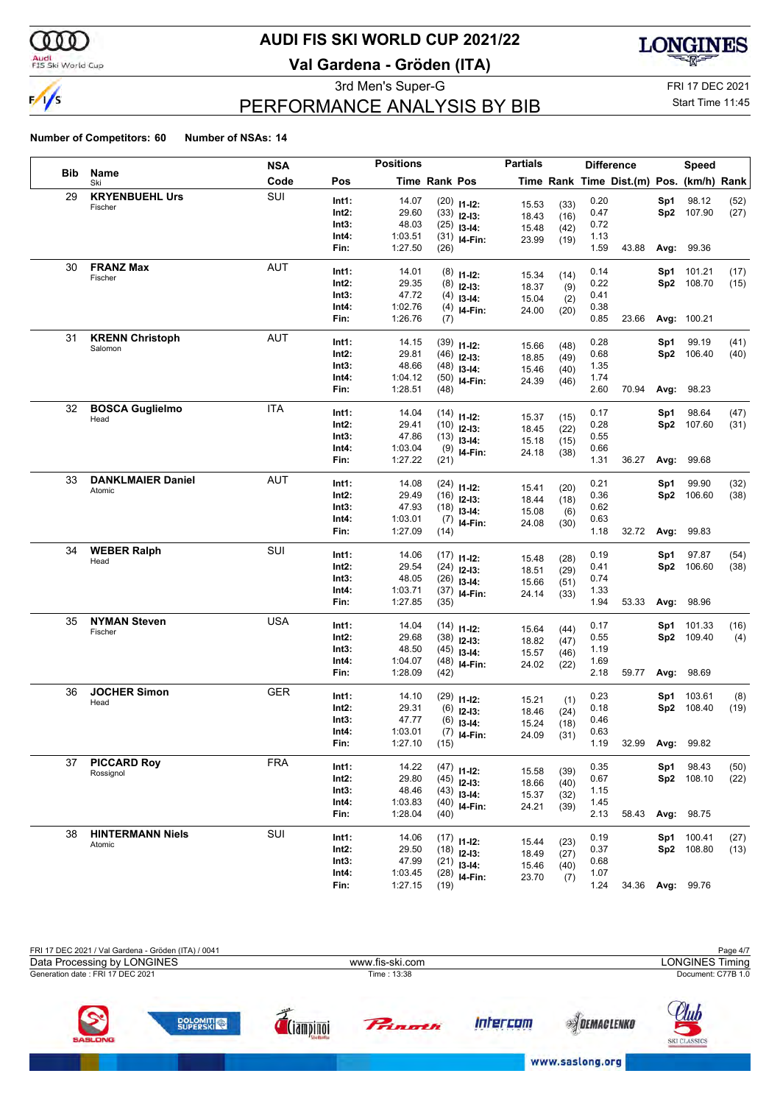

### Audi<br>FIS Ski World Cup

## **AUDI FIS SKI WORLD CUP 2021/22**

**Val Gardena - Gröden (ITA)**



3rd Men's Super-G FRI 17 DEC 2021

## PERFORMANCE ANALYSIS BY BIB

Start Time 11:45

|            |                                   | <b>NSA</b> |          | <b>Positions</b> |                      |                | <b>Partials</b> |      | <b>Difference</b> |                                          |      | Speed            |      |
|------------|-----------------------------------|------------|----------|------------------|----------------------|----------------|-----------------|------|-------------------|------------------------------------------|------|------------------|------|
| <b>Bib</b> | Name<br>Ski                       | Code       | Pos      |                  | <b>Time Rank Pos</b> |                |                 |      |                   | Time Rank Time Dist.(m) Pos. (km/h) Rank |      |                  |      |
| 29         | <b>KRYENBUEHL Urs</b>             | SUI        | Int1:    | 14.07            |                      | $(20)$ 11-12:  | 15.53           | (33) | 0.20              |                                          | Sp1  | 98.12            | (52) |
|            | Fischer                           |            | $Int2$ : | 29.60            |                      | $(33)$ 12-13:  | 18.43           | (16) | 0.47              |                                          | Sp2  | 107.90           | (27) |
|            |                                   |            | Int3:    | 48.03            |                      | $(25)$ 13-14:  | 15.48           | (42) | 0.72              |                                          |      |                  |      |
|            |                                   |            | Int4:    | 1:03.51          |                      | $(31)$ 14-Fin: | 23.99           | (19) | 1.13              |                                          |      |                  |      |
|            |                                   |            | Fin:     | 1:27.50          | (26)                 |                |                 |      | 1.59              | 43.88                                    |      | Avg: 99.36       |      |
| 30         | <b>FRANZ Max</b>                  | <b>AUT</b> | Int1:    | 14.01            |                      | $(8)$ 11-12:   | 15.34           | (14) | 0.14              |                                          | Sp1  | 101.21           | (17) |
|            | Fischer                           |            | $Int2$ : | 29.35            |                      | $(8)$ 12-13:   | 18.37           | (9)  | 0.22              |                                          | Sp2  | 108.70           | (15) |
|            |                                   |            | Int3:    | 47.72            | (4)                  | $13-14:$       | 15.04           | (2)  | 0.41              |                                          |      |                  |      |
|            |                                   |            | Int4:    | 1:02.76          |                      | $(4)$ 14-Fin:  | 24.00           | (20) | 0.38              |                                          |      |                  |      |
|            |                                   |            | Fin:     | 1:26.76          | (7)                  |                |                 |      | 0.85              | 23.66                                    |      | Avg: 100.21      |      |
| 31         | <b>KRENN Christoph</b><br>Salomon | <b>AUT</b> | Int1:    | 14.15            |                      | $(39)$ 11-12:  | 15.66           | (48) | 0.28              |                                          | Sp1  | 99.19            | (41) |
|            |                                   |            | $Int2$ : | 29.81            |                      | $(46)$ 12-13:  | 18.85           | (49) | 0.68              |                                          | Sp2  | 106.40           | (40) |
|            |                                   |            | Int3:    | 48.66            |                      | $(48)$ 13-14:  | 15.46           | (40) | 1.35              |                                          |      |                  |      |
|            |                                   |            | Int4:    | 1:04.12          |                      | $(50)$ 14-Fin: | 24.39           | (46) | 1.74              |                                          |      |                  |      |
|            |                                   |            | Fin:     | 1:28.51          | (48)                 |                |                 |      | 2.60              | 70.94                                    | Avg: | 98.23            |      |
| 32         | <b>BOSCA Guglielmo</b>            | <b>ITA</b> | Int1:    | 14.04            |                      | $(14)$ 11-12:  | 15.37           | (15) | 0.17              |                                          | Sp1  | 98.64            | (47) |
|            | Head                              |            | $Int2$ : | 29.41            |                      | $(10)$ 12-13:  | 18.45           | (22) | 0.28              |                                          | Sp2  | 107.60           | (31) |
|            |                                   |            | Int3:    | 47.86            |                      | $(13)$ 13-14:  | 15.18           | (15) | 0.55              |                                          |      |                  |      |
|            |                                   |            | Int4:    | 1:03.04          |                      | $(9)$ 14-Fin:  | 24.18           | (38) | 0.66              |                                          |      |                  |      |
|            |                                   |            | Fin:     | 1:27.22          | (21)                 |                |                 |      | 1.31              | 36.27                                    | Avg: | 99.68            |      |
| 33         | <b>DANKLMAIER Daniel</b>          | AUT        | Int1:    | 14.08            |                      | $(24)$ 11-12:  | 15.41           | (20) | 0.21              |                                          | Sp1  | 99.90            | (32) |
|            | Atomic                            |            | $Int2$ : | 29.49            |                      | $(16)$ 12-13:  | 18.44           | (18) | 0.36              |                                          | Sp2  | 106.60           | (38) |
|            |                                   |            | Int3:    | 47.93            |                      | $(18)$ 13-14:  | 15.08           | (6)  | 0.62              |                                          |      |                  |      |
|            |                                   |            | Int4:    | 1:03.01          |                      | $(7)$ 14-Fin:  | 24.08           | (30) | 0.63              |                                          |      |                  |      |
|            |                                   |            | Fin:     | 1:27.09          | (14)                 |                |                 |      | 1.18              | 32.72                                    | Avg: | 99.83            |      |
| 34         | <b>WEBER Ralph</b>                | SUI        | Int1:    | 14.06            |                      | $(17)$ 11-12:  | 15.48           | (28) | 0.19              |                                          | Sp1  | 97.87            | (54) |
|            | Head                              |            | Int2:    | 29.54            |                      | $(24)$ 12-13:  | 18.51           | (29) | 0.41              |                                          | Sp2  | 106.60           | (38) |
|            |                                   |            | Int3:    | 48.05            |                      | $(26)$ 13-14:  | 15.66           | (51) | 0.74              |                                          |      |                  |      |
|            |                                   |            | Int4:    | 1:03.71          |                      | $(37)$ 14-Fin: | 24.14           | (33) | 1.33              |                                          |      |                  |      |
|            |                                   |            | Fin:     | 1:27.85          | (35)                 |                |                 |      | 1.94              | 53.33                                    | Avg: | 98.96            |      |
| 35         | <b>NYMAN Steven</b>               | <b>USA</b> | Int1:    | 14.04            |                      | $(14)$ 11-12:  | 15.64           | (44) | 0.17              |                                          | Sp1  | 101.33           | (16) |
|            | Fischer                           |            | $Int2$ : | 29.68            |                      | $(38)$ 12-13:  | 18.82           | (47) | 0.55              |                                          |      | Sp2 109.40       | (4)  |
|            |                                   |            | Int3:    | 48.50            |                      | $(45)$ 13-14:  | 15.57           | (46) | 1.19              |                                          |      |                  |      |
|            |                                   |            | Int4:    | 1:04.07          |                      | $(48)$ 14-Fin: | 24.02           | (22) | 1.69              |                                          |      |                  |      |
|            |                                   |            | Fin:     | 1:28.09          | (42)                 |                |                 |      | 2.18              | 59.77                                    | Avg: | 98.69            |      |
| 36         | <b>JOCHER Simon</b>               | <b>GER</b> | Int1:    | 14.10            |                      | $(29)$ 11-12:  | 15.21           | (1)  | 0.23              |                                          | Sp1  | 103.61           | (8)  |
|            | Head                              |            | Int2:    | 29.31            | (6)                  | $12-13:$       | 18.46           | (24) | 0.18              |                                          | Sp2  | 108.40           | (19) |
|            |                                   |            | Int3:    | 47.77            | (6)                  | $13-14:$       | 15.24           | (18) | 0.46              |                                          |      |                  |      |
|            |                                   |            | Int4:    | 1:03.01          |                      | $(7)$ 14-Fin:  | 24.09           | (31) | 0.63              |                                          |      |                  |      |
|            |                                   |            | Fin:     | 1:27.10          | (15)                 |                |                 |      | 1.19              | 32.99                                    | Avg: | 99.82            |      |
| 37         | <b>PICCARD Roy</b>                | <b>FRA</b> | Int1:    | 14.22            |                      | $(47)$ 11-12:  | 15.58           | (39) | 0.35              |                                          | Sp1  | 98.43            | (50) |
|            | Rossignol                         |            | $Int2$ : | 29.80            |                      | $(45)$ 12-13:  | 18.66           | (40) | 0.67              |                                          |      | Sp2 108.10       | (22) |
|            |                                   |            | Int3:    | 48.46            |                      | $(43)$ 13-14:  | 15.37           | (32) | 1.15              |                                          |      |                  |      |
|            |                                   |            | Int4:    | 1:03.83          |                      | $(40)$ 14-Fin: | 24.21           | (39) | 1.45              |                                          |      |                  |      |
|            |                                   |            | Fin:     | 1:28.04          | (40)                 |                |                 |      | 2.13              | 58.43                                    |      | Avg: 98.75       |      |
| 38         | <b>HINTERMANN Niels</b>           | SUI        | Int1:    | 14.06            |                      | $(17)$ 11-12:  | 15.44           | (23) | 0.19              |                                          | Sp1  | 100.41           | (27) |
|            | Atomic                            |            | Int2:    | 29.50            |                      | $(18)$ 12-13:  | 18.49           | (27) | 0.37              |                                          |      | Sp2 108.80       | (13) |
|            |                                   |            | Int3:    | 47.99            |                      | $(21)$ 13-14:  | 15.46           | (40) | 0.68              |                                          |      |                  |      |
|            |                                   |            | Int4:    | 1:03.45          |                      | $(28)$ 14-Fin: | 23.70           | (7)  | 1.07              |                                          |      |                  |      |
|            |                                   |            | Fin:     | 1:27.15          | (19)                 |                |                 |      | 1.24              |                                          |      | 34.36 Avg: 99.76 |      |

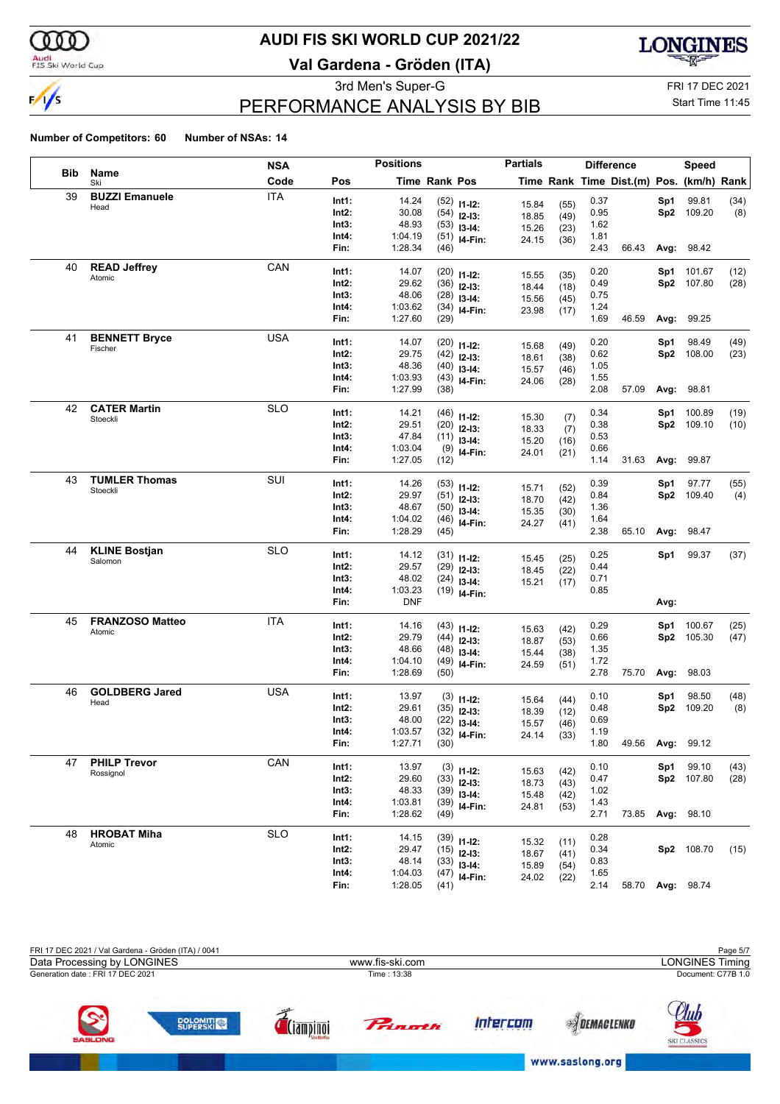

### Audi<br>FIS Ski World Cup

## **AUDI FIS SKI WORLD CUP 2021/22**

**Val Gardena - Gröden (ITA)**



3rd Men's Super-G FRI 17 DEC 2021

## PERFORMANCE ANALYSIS BY BIB

Start Time 11:45

|     |                        | NSA        |       | <b>Positions</b> |               |                | <b>Partials</b> |              |              | <b>Difference</b>                        |      | Speed             |      |
|-----|------------------------|------------|-------|------------------|---------------|----------------|-----------------|--------------|--------------|------------------------------------------|------|-------------------|------|
| Bib | Name<br>Ski            | Code       | Pos   |                  | Time Rank Pos |                |                 |              |              | Time Rank Time Dist.(m) Pos. (km/h) Rank |      |                   |      |
| 39  | <b>BUZZI Emanuele</b>  | <b>ITA</b> | Int1: | 14.24            |               | $(52)$ 11-12:  | 15.84           |              | 0.37         |                                          | Sp1  | 99.81             | (34) |
|     | Head                   |            | Int2: | 30.08            |               | $(54)$ 12-13:  | 18.85           | (55)<br>(49) | 0.95         |                                          |      | Sp2 109.20        | (8)  |
|     |                        |            | Int3: | 48.93            |               | $(53)$ 13-14:  | 15.26           | (23)         | 1.62         |                                          |      |                   |      |
|     |                        |            | Int4: | 1:04.19          |               | $(51)$ 14-Fin: | 24.15           | (36)         | 1.81         |                                          |      |                   |      |
|     |                        |            | Fin:  | 1:28.34          | (46)          |                |                 |              | 2.43         | 66.43                                    |      | <b>Avg: 98.42</b> |      |
| 40  | <b>READ Jeffrey</b>    | CAN        | Int1: | 14.07            |               | $(20)$ 11-12:  |                 |              | 0.20         |                                          | Sp1  | 101.67            | (12) |
|     | Atomic                 |            | Int2: | 29.62            |               | $(36)$ 12-13:  | 15.55           | (35)         | 0.49         |                                          |      | Sp2 107.80        | (28) |
|     |                        |            | Int3: | 48.06            |               | $(28)$ 13-14:  | 18.44<br>15.56  | (18)         | 0.75         |                                          |      |                   |      |
|     |                        |            | Int4: | 1:03.62          |               | $(34)$ 14-Fin: | 23.98           | (45)<br>(17) | 1.24         |                                          |      |                   |      |
|     |                        |            | Fin:  | 1:27.60          | (29)          |                |                 |              | 1.69         | 46.59                                    |      | <b>Avg: 99.25</b> |      |
| 41  | <b>BENNETT Bryce</b>   | <b>USA</b> | Int1: | 14.07            |               |                |                 |              | 0.20         |                                          | Sp1  | 98.49             | (49) |
|     | Fischer                |            | Int2: | 29.75            |               | $(20)$ 11-12:  | 15.68           | (49)         | 0.62         |                                          |      | Sp2 108.00        | (23) |
|     |                        |            | Int3: | 48.36            |               | $(42)$ 12-13:  | 18.61           | (38)         | 1.05         |                                          |      |                   |      |
|     |                        |            | Int4: | 1:03.93          |               | $(40)$ 13-14:  | 15.57           | (46)         | 1.55         |                                          |      |                   |      |
|     |                        |            | Fin:  | 1:27.99          | (38)          | $(43)$ 14-Fin: | 24.06           | (28)         | 2.08         | 57.09                                    |      | Avg: 98.81        |      |
|     | <b>CATER Martin</b>    |            |       |                  |               |                |                 |              |              |                                          |      |                   |      |
| 42  | Stoeckli               | <b>SLO</b> | Int1: | 14.21            |               | $(46)$ 11-12:  | 15.30           | (7)          | 0.34         |                                          | Sp1  | 100.89            | (19) |
|     |                        |            | Int2: | 29.51            |               | $(20)$ 12-13:  | 18.33           | (7)          | 0.38         |                                          |      | Sp2 109.10        | (10) |
|     |                        |            | Int3: | 47.84            |               | $(11)$ 13-14:  | 15.20           | (16)         | 0.53         |                                          |      |                   |      |
|     |                        |            | Int4: | 1:03.04          |               | $(9)$ 14-Fin:  | 24.01           | (21)         | 0.66         |                                          |      |                   |      |
|     |                        |            | Fin:  | 1:27.05          | (12)          |                |                 |              | 1.14         | 31.63                                    |      | Avg: 99.87        |      |
| 43  | <b>TUMLER Thomas</b>   | SUI        | Int1: | 14.26            |               | $(53)$ 11-12:  | 15.71           | (52)         | 0.39         |                                          | Sp1  | 97.77             | (55) |
|     | Stoeckli               |            | Int2: | 29.97            |               | $(51)$ 12-13:  | 18.70           | (42)         | 0.84         |                                          |      | Sp2 109.40        | (4)  |
|     |                        |            | Int3: | 48.67            |               | $(50)$ 13-14:  | 15.35           | (30)         | 1.36         |                                          |      |                   |      |
|     |                        |            | Int4: | 1:04.02          |               | $(46)$ 14-Fin: | 24.27           | (41)         | 1.64         |                                          |      |                   |      |
|     |                        |            | Fin:  | 1:28.29          | (45)          |                |                 |              | 2.38         | 65.10                                    |      | Avg: 98.47        |      |
| 44  | <b>KLINE Bostjan</b>   | <b>SLO</b> | Int1: | 14.12            |               |                |                 |              | 0.25         |                                          |      | Sp1 99.37         |      |
|     | Salomon                |            | Int2: | 29.57            |               | $(31)$ 11-12:  | 15.45           | (25)         | 0.44         |                                          |      |                   | (37) |
|     |                        |            | Int3: | 48.02            |               | $(29)$ 12-13:  | 18.45           | (22)         |              |                                          |      |                   |      |
|     |                        |            | Int4: | 1:03.23          |               | $(24)$ 13-14:  | 15.21           | (17)         | 0.71<br>0.85 |                                          |      |                   |      |
|     |                        |            | Fin:  | <b>DNF</b>       |               | $(19)$ 14-Fin: |                 |              |              |                                          | Avg: |                   |      |
| 45  | <b>FRANZOSO Matteo</b> | <b>ITA</b> |       |                  |               |                |                 |              |              |                                          |      |                   |      |
|     | Atomic                 |            | Int1: | 14.16            |               | $(43)$ 11-12:  | 15.63           | (42)         | 0.29         |                                          | Sp1  | 100.67            | (25) |
|     |                        |            | Int2: | 29.79            |               | $(44)$ 12-13:  | 18.87           | (53)         | 0.66         |                                          |      | Sp2 105.30        | (47) |
|     |                        |            | Int3: | 48.66            |               | $(48)$ 13-14:  | 15.44           | (38)         | 1.35         |                                          |      |                   |      |
|     |                        |            | Int4: | 1:04.10          |               | $(49)$ 14-Fin: | 24.59           | (51)         | 1.72         |                                          |      |                   |      |
|     |                        |            | Fin:  | 1:28.69          | (50)          |                |                 |              | 2.78         | 75.70                                    |      | Avg: 98.03        |      |
| 46  | <b>GOLDBERG Jared</b>  | <b>USA</b> | Int1: | 13.97            |               | $(3)$ 11-12:   | 15.64           | (44)         | 0.10         |                                          | Sp1  | 98.50             | (48) |
|     | Head                   |            | Int2: | 29.61            |               | $(35)$ 12-13:  | 18.39           | (12)         | 0.48         |                                          |      | Sp2 109.20        | (8)  |
|     |                        |            | Int3: | 48.00            |               | $(22)$ 13-14:  | 15.57           | (46)         | 0.69         |                                          |      |                   |      |
|     |                        |            | Int4: | 1:03.57          |               | $(32)$ 14-Fin: | 24.14           | (33)         | 1.19         |                                          |      |                   |      |
|     |                        |            | Fin:  | 1:27.71          | (30)          |                |                 |              | 1.80         | 49.56 Avg: 99.12                         |      |                   |      |
| 47  | <b>PHILP Trevor</b>    | CAN        | Int1: | 13.97            |               |                |                 |              | 0.10         |                                          | Sp1  | 99.10             |      |
|     | Rossignol              |            | Int2: | 29.60            |               | $(3)$ 11-12:   | 15.63           | (42)         |              |                                          |      | Sp2 107.80        | (43) |
|     |                        |            | Int3: | 48.33            |               | $(33)$ 12-13:  | 18.73           | (43)         | 0.47         |                                          |      |                   | (28) |
|     |                        |            | Int4: | 1:03.81          |               | $(39)$ 13-14:  | 15.48           | (42)         | 1.02<br>1.43 |                                          |      |                   |      |
|     |                        |            | Fin:  | 1:28.62          | (49)          | $(39)$ 14-Fin: | 24.81           | (53)         | 2.71         | 73.85                                    |      | Avg: 98.10        |      |
| 48  | <b>HROBAT Miha</b>     | <b>SLO</b> |       |                  |               |                |                 |              |              |                                          |      |                   |      |
|     | Atomic                 |            | Int1: | 14.15            |               | $(39)$ 11-12:  | 15.32           | (11)         | 0.28         |                                          |      |                   |      |
|     |                        |            | Int2: | 29.47            |               | $(15)$ 12-13:  | 18.67           | (41)         | 0.34         |                                          |      | Sp2 108.70        | (15) |
|     |                        |            | Int3: | 48.14            |               | $(33)$ 13-14:  | 15.89           | (54)         | 0.83         |                                          |      |                   |      |
|     |                        |            | Int4: | 1:04.03          |               | $(47)$ 14-Fin: | 24.02           | (22)         | 1.65         |                                          |      |                   |      |
|     |                        |            | Fin:  | 1:28.05          | (41)          |                |                 |              | 2.14         |                                          |      | 58.70 Avg: 98.74  |      |

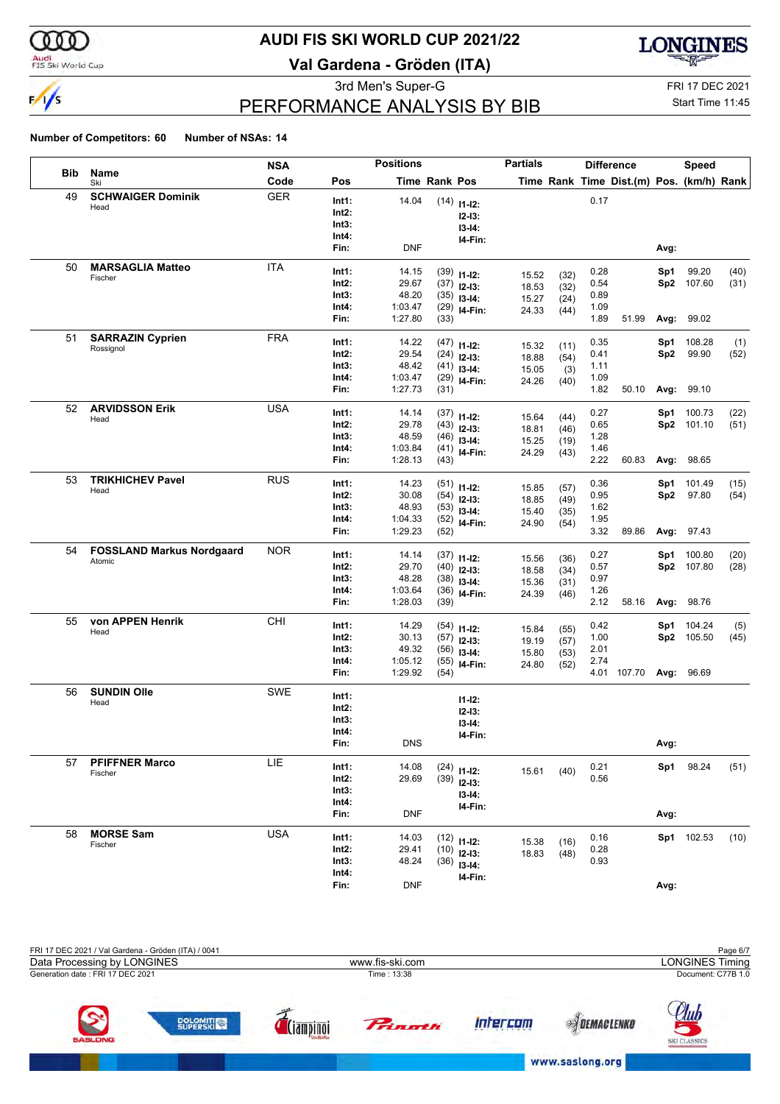

### Audi<br>FIS Ski World Cup

## **AUDI FIS SKI WORLD CUP 2021/22**

**Val Gardena - Gröden (ITA)**



## PERFORMANCE ANALYSIS BY BIB

3rd Men's Super-G FRI 17 DEC 2021

## Start Time 11:45

|            |                                  | <b>NSA</b> |                | <b>Positions</b> |               |                                 | <b>Partials</b> |              |              | <b>Difference</b>                        |            | <b>Speed</b>         |              |
|------------|----------------------------------|------------|----------------|------------------|---------------|---------------------------------|-----------------|--------------|--------------|------------------------------------------|------------|----------------------|--------------|
| <b>Bib</b> | Name<br>Ski                      | Code       | Pos            |                  | Time Rank Pos |                                 |                 |              |              | Time Rank Time Dist.(m) Pos. (km/h) Rank |            |                      |              |
| 49         | <b>SCHWAIGER Dominik</b>         | <b>GER</b> | Int1:          | 14.04            |               | $(14)$ 11-12:                   |                 |              | 0.17         |                                          |            |                      |              |
|            | Head                             |            | Int2:          |                  |               | $12-13:$                        |                 |              |              |                                          |            |                      |              |
|            |                                  |            | Int3:          |                  |               | $13 - 14:$                      |                 |              |              |                                          |            |                      |              |
|            |                                  |            | Int4:          |                  |               | I4-Fin:                         |                 |              |              |                                          |            |                      |              |
|            |                                  |            | Fin:           | <b>DNF</b>       |               |                                 |                 |              |              |                                          | Avg:       |                      |              |
| 50         | <b>MARSAGLIA Matteo</b>          | <b>ITA</b> | Int1:          | 14.15            |               | $(39)$ 11-12:                   | 15.52           | (32)         | 0.28         |                                          | Sp1        | 99.20                | (40)         |
|            | Fischer                          |            | Int2:          | 29.67            |               | $(37)$ 12-13:                   | 18.53           | (32)         | 0.54         |                                          |            | Sp2 107.60           | (31)         |
|            |                                  |            | Int3:          | 48.20            |               | $(35)$ 13-14:                   | 15.27           | (24)         | 0.89         |                                          |            |                      |              |
|            |                                  |            | Int4:          | 1:03.47          |               | $(29)$ 14-Fin:                  | 24.33           | (44)         | 1.09         |                                          |            |                      |              |
|            |                                  |            | Fin:           | 1:27.80          | (33)          |                                 |                 |              | 1.89         | 51.99                                    |            | Avg: 99.02           |              |
| 51         | <b>SARRAZIN Cyprien</b>          | <b>FRA</b> | Int1:          | 14.22            |               | $(47)$ 11-12:                   |                 |              | 0.35         |                                          | Sp1        | 108.28               | (1)          |
|            | Rossignol                        |            | Int2:          | 29.54            |               | $(24)$ 12-13:                   | 15.32<br>18.88  | (11)         | 0.41         |                                          | Sp2        | 99.90                | (52)         |
|            |                                  |            | Int3:          | 48.42            |               | $(41)$ 13-14:                   | 15.05           | (54)<br>(3)  | 1.11         |                                          |            |                      |              |
|            |                                  |            | Int4:          | 1:03.47          |               | $(29)$ 14-Fin:                  | 24.26           | (40)         | 1.09         |                                          |            |                      |              |
|            |                                  |            | Fin:           | 1:27.73          | (31)          |                                 |                 |              | 1.82         | 50.10                                    |            | Avg: 99.10           |              |
| 52         | <b>ARVIDSSON Erik</b>            | <b>USA</b> | Int1:          | 14.14            |               | $(37)$ 11-12:                   |                 |              | 0.27         |                                          | Sp1        | 100.73               | (22)         |
|            | Head                             |            | Int2:          | 29.78            |               | $(43)$ 12-13:                   | 15.64           | (44)         | 0.65         |                                          |            | Sp2 101.10           | (51)         |
|            |                                  |            | Int3:          | 48.59            |               | $(46)$ 13-14:                   | 18.81<br>15.25  | (46)         | 1.28         |                                          |            |                      |              |
|            |                                  |            | Int4:          | 1:03.84          |               | $(41)$ 14-Fin:                  | 24.29           | (19)<br>(43) | 1.46         |                                          |            |                      |              |
|            |                                  |            | Fin:           | 1:28.13          | (43)          |                                 |                 |              | 2.22         | 60.83                                    |            | Avg: 98.65           |              |
| 53         | <b>TRIKHICHEV Pavel</b>          | <b>RUS</b> | Int1:          | 14.23            |               |                                 |                 |              | 0.36         |                                          |            |                      |              |
|            | Head                             |            | Int2:          | 30.08            |               | $(51)$ 11-12:                   | 15.85           | (57)         | 0.95         |                                          | Sp1<br>Sp2 | 101.49<br>97.80      | (15)<br>(54) |
|            |                                  |            | Int3:          | 48.93            |               | $(54)$ 12-13:<br>$(53)$ 13-14:  | 18.85           | (49)         | 1.62         |                                          |            |                      |              |
|            |                                  |            | Int4:          | 1:04.33          |               | $(52)$ 14-Fin:                  | 15.40           | (35)         | 1.95         |                                          |            |                      |              |
|            |                                  |            | Fin:           | 1:29.23          | (52)          |                                 | 24.90           | (54)         | 3.32         | 89.86                                    |            | <b>Avg: 97.43</b>    |              |
| 54         | <b>FOSSLAND Markus Nordgaard</b> | <b>NOR</b> | Int1:          |                  |               |                                 |                 |              |              |                                          |            |                      |              |
|            | Atomic                           |            | Int2:          | 14.14<br>29.70   |               | $(37)$ 11-12:                   | 15.56           | (36)         | 0.27<br>0.57 |                                          | Sp1        | 100.80<br>Sp2 107.80 | (20)<br>(28) |
|            |                                  |            | Int3:          | 48.28            |               | $(40)$ 12-13:                   | 18.58           | (34)         | 0.97         |                                          |            |                      |              |
|            |                                  |            | Int4:          | 1:03.64          |               | $(38)$ 13-14:<br>$(36)$ 14-Fin: | 15.36           | (31)         | 1.26         |                                          |            |                      |              |
|            |                                  |            | Fin:           | 1:28.03          | (39)          |                                 | 24.39           | (46)         | 2.12         | 58.16                                    |            | Avg: 98.76           |              |
| 55         | von APPEN Henrik                 | CHI        |                |                  |               |                                 |                 |              |              |                                          |            |                      |              |
|            | Head                             |            | Int1:<br>Int2: | 14.29<br>30.13   |               | $(54)$ 11-12:                   | 15.84           | (55)         | 0.42<br>1.00 |                                          | Sp1        | 104.24<br>Sp2 105.50 | (5)<br>(45)  |
|            |                                  |            | Int3:          | 49.32            |               | $(57)$ 12-13:                   | 19.19           | (57)         | 2.01         |                                          |            |                      |              |
|            |                                  |            | Int4:          | 1:05.12          |               | $(56)$ 13-14:<br>$(55)$ 14-Fin: | 15.80           | (53)         | 2.74         |                                          |            |                      |              |
|            |                                  |            | Fin:           | 1:29.92          | (54)          |                                 | 24.80           | (52)         |              | 4.01 107.70 Avg: 96.69                   |            |                      |              |
| 56         | <b>SUNDIN Olle</b>               | <b>SWE</b> |                |                  |               |                                 |                 |              |              |                                          |            |                      |              |
|            | Head                             |            | Int1:          |                  |               | $11 - 12$ :                     |                 |              |              |                                          |            |                      |              |
|            |                                  |            | Int2:          |                  |               | $12 - 13:$                      |                 |              |              |                                          |            |                      |              |
|            |                                  |            | Int3:<br>Int4: |                  |               | $13 - 14:$                      |                 |              |              |                                          |            |                      |              |
|            |                                  |            | Fin:           | <b>DNS</b>       |               | I4-Fin:                         |                 |              |              |                                          | Avg:       |                      |              |
| 57         | <b>PFIFFNER Marco</b>            | <b>LIE</b> |                |                  |               |                                 |                 |              |              |                                          |            |                      |              |
|            | Fischer                          |            | Int1:          | 14.08            |               | $(24)$ 11-12:                   | 15.61           | (40)         | 0.21         |                                          | Sp1        | 98.24                | (51)         |
|            |                                  |            | Int2:          | 29.69            |               | $(39)$ 12-13:                   |                 |              | 0.56         |                                          |            |                      |              |
|            |                                  |            | Int3:          |                  |               | $13-14:$                        |                 |              |              |                                          |            |                      |              |
|            |                                  |            | Int4:<br>Fin:  | <b>DNF</b>       |               | 14-Fin:                         |                 |              |              |                                          | Avg:       |                      |              |
|            |                                  |            |                |                  |               |                                 |                 |              |              |                                          |            |                      |              |
| 58         | <b>MORSE Sam</b><br>Fischer      | <b>USA</b> | Int1:          | 14.03            |               | $(12)$ 11-12:                   | 15.38           | (16)         | 0.16         |                                          |            | Sp1 102.53           | (10)         |
|            |                                  |            | Int2:          | 29.41            |               | $(10)$ 12-13:                   | 18.83           | (48)         | 0.28         |                                          |            |                      |              |
|            |                                  |            | Int3:          | 48.24            |               | $(36)$ 13-14:                   |                 |              | 0.93         |                                          |            |                      |              |
|            |                                  |            | Int4:          |                  |               | I4-Fin:                         |                 |              |              |                                          |            |                      |              |
|            |                                  |            | Fin:           | <b>DNF</b>       |               |                                 |                 |              |              |                                          | Avg:       |                      |              |

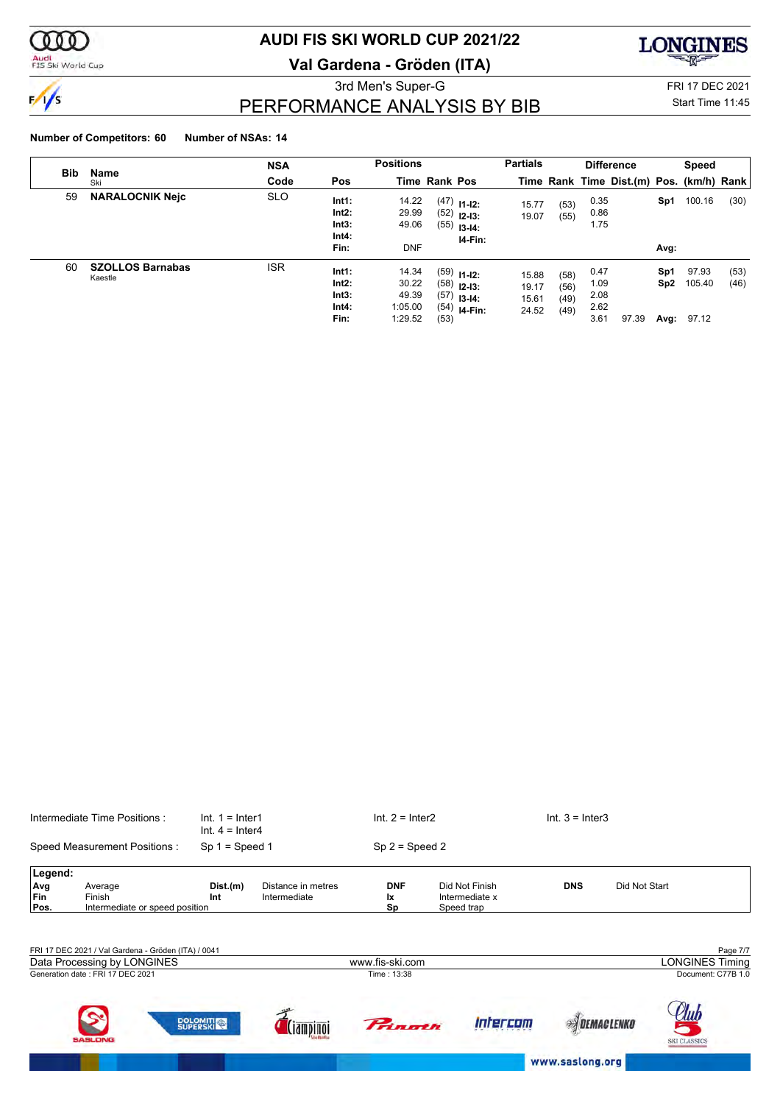

## Audi<br>FIS Ski World Cup

## **AUDI FIS SKI WORLD CUP 2021/22**

**Val Gardena - Gröden (ITA)**



3rd Men's Super-G FRI 17 DEC 2021 PERFORMANCE ANALYSIS BY BIB

## Start Time 11:45

## **Number of Competitors: 60 Number of NSAs: 14**

| <b>Bib</b> | Name                               | <b>NSA</b> |                                             | <b>Positions</b>                              |                      |                                                                              | <b>Partials</b>                  |                              |                                      | <b>Difference</b>                        |                    | <b>Speed</b>             |              |
|------------|------------------------------------|------------|---------------------------------------------|-----------------------------------------------|----------------------|------------------------------------------------------------------------------|----------------------------------|------------------------------|--------------------------------------|------------------------------------------|--------------------|--------------------------|--------------|
|            | Ski                                | Code       | <b>Pos</b>                                  |                                               | <b>Time Rank Pos</b> |                                                                              |                                  |                              |                                      | Time Rank Time Dist.(m) Pos. (km/h) Rank |                    |                          |              |
| 59         | <b>NARALOCNIK Nejc</b>             | <b>SLO</b> | Int1:<br>$Int2$ :<br>Int3:<br>Int4:<br>Fin: | 14.22<br>29.99<br>49.06<br><b>DNF</b>         | (55)                 | $(47)$ 11-12:<br>$(52)$ 12-13:<br>$13 - 14$ :<br>$14-Fin:$                   | 15.77<br>19.07                   | (53)<br>(55)                 | 0.35<br>0.86<br>1.75                 |                                          | Sp1<br>Avg:        | 100.16                   | (30)         |
| 60         | <b>SZOLLOS Barnabas</b><br>Kaestle | <b>ISR</b> | Int1:<br>Int2:<br>Int3:<br>Int4:<br>Fin:    | 14.34<br>30.22<br>49.39<br>1:05.00<br>1:29.52 | (53)                 | $(59)$ 11-12:<br>$(58)$ 12-13:<br>$(57)$ 13-14:<br>$(54)$ <sub>14-Fin:</sub> | 15.88<br>19.17<br>15.61<br>24.52 | (58)<br>(56)<br>(49)<br>(49) | 0.47<br>1.09<br>2.08<br>2.62<br>3.61 | 97.39                                    | Sp1<br>Sp2<br>Avg: | 97.93<br>105.40<br>97.12 | (53)<br>(46) |

|                           | Intermediate Time Positions:                        |                   | $Int. 1 = Inter1$<br>$Int. 4 = Inter4$ | $Int. 2 = Inter2$             |                                                | $Int. 3 = Inter3$  |                        |
|---------------------------|-----------------------------------------------------|-------------------|----------------------------------------|-------------------------------|------------------------------------------------|--------------------|------------------------|
|                           | Speed Measurement Positions:                        | $Sp 1 = Speed 1$  |                                        | $Sp 2 = Speed 2$              |                                                |                    |                        |
| Legend:                   |                                                     |                   |                                        |                               |                                                |                    |                        |
| Avg<br><b>Fin</b><br>Pos. | Average<br>Finish<br>Intermediate or speed position | Dist.(m)<br>Int   | Distance in metres<br>Intermediate     | <b>DNF</b><br><b>Ix</b><br>Sp | Did Not Finish<br>Intermediate x<br>Speed trap | <b>DNS</b>         | Did Not Start          |
|                           |                                                     |                   |                                        |                               |                                                |                    |                        |
|                           | FRI 17 DEC 2021 / Val Gardena - Gröden (ITA) / 0041 |                   |                                        |                               |                                                |                    | Page 7/7               |
|                           | Data Processing by LONGINES                         |                   |                                        | www.fis-ski.com               |                                                |                    | <b>LONGINES Timing</b> |
|                           | Generation date: FRI 17 DEC 2021                    |                   |                                        | Time: 13:38                   |                                                |                    | Document: C77B 1.0     |
|                           |                                                     | <b>DOLOMITICA</b> |                                        | <b>Primoth</b>                | Intercom                                       | <b>SOEMACLENKO</b> |                        |

www.saslong.org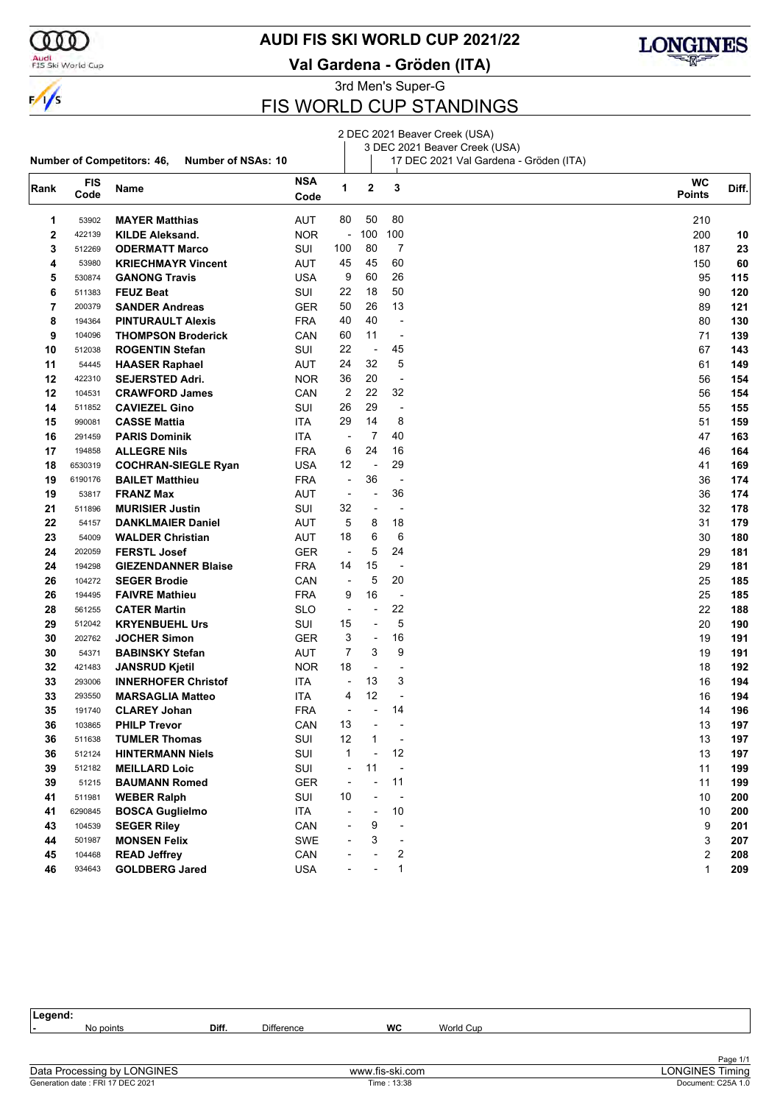

### **AUDI FIS SKI WORLD CUP 2021/22**

Audi<br>FIS Ski World Cup

**Rank FIS**

**Val Gardena - Gröden (ITA)**



**Diff. WC**

3rd Men's Super-G

## FIS WORLD CUP STANDINGS

#### **Number of Competitors: 46, Number of NSAs: 10** 2 DEC 2021 Beaver Creek (USA) 3 DEC 2021 Beaver Creek (USA) 17 DEC 2021 Val Gardena - Gröden (ITA) **Code Name NSA Code Points <sup>2</sup> <sup>3</sup>** 53902 **MAYER Matthias** AUT 80 50 80 210 422139 **KILDE Aleksand.** NOR - 100 100 200 **10**

| 3  | 512269  | <b>ODERMATT Marco</b>      | <b>SUI</b> | 100                      | 80                       | 7                        | 187            | 23  |
|----|---------|----------------------------|------------|--------------------------|--------------------------|--------------------------|----------------|-----|
| 4  | 53980   | <b>KRIECHMAYR Vincent</b>  | AUT        | 45                       | 45                       | 60                       | 150            | 60  |
| 5  | 530874  | <b>GANONG Travis</b>       | <b>USA</b> | 9                        | 60                       | 26                       | 95             | 115 |
| 6  | 511383  | <b>FEUZ Beat</b>           | SUI        | 22                       | 18                       | 50                       | 90             | 120 |
| 7  | 200379  | <b>SANDER Andreas</b>      | <b>GER</b> | 50                       | 26                       | 13                       | 89             | 121 |
| 8  | 194364  | <b>PINTURAULT Alexis</b>   | <b>FRA</b> | 40                       | 40                       | ÷,                       | 80             | 130 |
| 9  | 104096  | <b>THOMPSON Broderick</b>  | CAN        | 60                       | 11                       | $\blacksquare$           | 71             | 139 |
| 10 | 512038  | <b>ROGENTIN Stefan</b>     | SUI        | 22                       | $\overline{\phantom{a}}$ | 45                       | 67             | 143 |
| 11 | 54445   | <b>HAASER Raphael</b>      | AUT        | 24                       | 32                       | 5                        | 61             | 149 |
| 12 | 422310  | <b>SEJERSTED Adri.</b>     | <b>NOR</b> | 36                       | 20                       | $\overline{\phantom{a}}$ | 56             | 154 |
| 12 | 104531  | <b>CRAWFORD James</b>      | CAN        | 2                        | 22                       | 32                       | 56             | 154 |
| 14 | 511852  | <b>CAVIEZEL Gino</b>       | SUI        | 26                       | 29                       | $\overline{\phantom{a}}$ | 55             | 155 |
| 15 | 990081  | <b>CASSE Mattia</b>        | <b>ITA</b> | 29                       | 14                       | 8                        | 51             | 159 |
| 16 | 291459  | <b>PARIS Dominik</b>       | <b>ITA</b> | $\overline{\phantom{a}}$ | $\overline{7}$           | 40                       | 47             | 163 |
| 17 | 194858  | <b>ALLEGRE Nils</b>        | <b>FRA</b> | 6                        | 24                       | 16                       | 46             | 164 |
| 18 | 6530319 | <b>COCHRAN-SIEGLE Ryan</b> | <b>USA</b> | 12                       | $\blacksquare$           | 29                       | 41             | 169 |
| 19 | 6190176 | <b>BAILET Matthieu</b>     | <b>FRA</b> | $\overline{\phantom{a}}$ | 36                       | $\overline{\phantom{a}}$ | 36             | 174 |
| 19 | 53817   | <b>FRANZ Max</b>           | AUT        | $\overline{\phantom{a}}$ | ÷,                       | 36                       | 36             | 174 |
| 21 | 511896  | <b>MURISIER Justin</b>     | SUI        | 32                       | $\overline{a}$           | $\overline{a}$           | 32             | 178 |
| 22 | 54157   | <b>DANKLMAIER Daniel</b>   | AUT        | 5                        | 8                        | 18                       | 31             | 179 |
| 23 | 54009   | <b>WALDER Christian</b>    | AUT        | 18                       | 6                        | 6                        | 30             | 180 |
| 24 | 202059  | <b>FERSTL Josef</b>        | <b>GER</b> | $\overline{\phantom{a}}$ | 5                        | 24                       | 29             | 181 |
| 24 | 194298  | <b>GIEZENDANNER Blaise</b> | <b>FRA</b> | 14                       | 15                       | $\overline{a}$           | 29             | 181 |
| 26 | 104272  | <b>SEGER Brodie</b>        | CAN        | $\overline{\phantom{a}}$ | 5                        | 20                       | 25             | 185 |
| 26 | 194495  | <b>FAIVRE Mathieu</b>      | <b>FRA</b> | 9                        | 16                       | $\overline{\phantom{a}}$ | 25             | 185 |
| 28 | 561255  | <b>CATER Martin</b>        | <b>SLO</b> | $\overline{\phantom{a}}$ | $\overline{a}$           | 22                       | 22             | 188 |
| 29 | 512042  | <b>KRYENBUEHL Urs</b>      | SUI        | 15                       | $\overline{a}$           | 5                        | 20             | 190 |
| 30 | 202762  | <b>JOCHER Simon</b>        | <b>GER</b> | 3                        | $\frac{1}{2}$            | 16                       | 19             | 191 |
| 30 | 54371   | <b>BABINSKY Stefan</b>     | AUT        | $\overline{7}$           | 3                        | 9                        | 19             | 191 |
| 32 | 421483  | <b>JANSRUD Kjetil</b>      | <b>NOR</b> | 18                       | $\overline{\phantom{a}}$ | $\blacksquare$           | 18             | 192 |
| 33 | 293006  | <b>INNERHOFER Christof</b> | ITA        | $\overline{\phantom{a}}$ | 13                       | 3                        | 16             | 194 |
| 33 | 293550  | <b>MARSAGLIA Matteo</b>    | ITA        | 4                        | 12                       | $\frac{1}{2}$            | 16             | 194 |
| 35 | 191740  | <b>CLAREY Johan</b>        | <b>FRA</b> | $\overline{\phantom{a}}$ | $\overline{a}$           | 14                       | 14             | 196 |
| 36 | 103865  | <b>PHILP Trevor</b>        | CAN        | 13                       | $\blacksquare$           | $\overline{\phantom{a}}$ | 13             | 197 |
| 36 | 511638  | <b>TUMLER Thomas</b>       | SUI        | 12                       | 1                        | $\overline{\phantom{a}}$ | 13             | 197 |
| 36 | 512124  | <b>HINTERMANN Niels</b>    | SUI        | 1                        | $\frac{1}{2}$            | 12                       | 13             | 197 |
| 39 | 512182  | <b>MEILLARD Loic</b>       | SUI        | $\overline{\phantom{a}}$ | 11                       | $\blacksquare$           | 11             | 199 |
| 39 | 51215   | <b>BAUMANN Romed</b>       | <b>GER</b> | $\overline{\phantom{a}}$ | $\frac{1}{2}$            | 11                       | 11             | 199 |
| 41 | 511981  | <b>WEBER Ralph</b>         | SUI        | 10                       | ÷,                       | L,                       | 10             | 200 |
| 41 | 6290845 | <b>BOSCA Guglielmo</b>     | ITA        | $\overline{\phantom{a}}$ | ÷,                       | 10                       | 10             | 200 |
| 43 | 104539  | <b>SEGER Riley</b>         | CAN        | ÷,                       | 9                        | $\overline{a}$           | 9              | 201 |
| 44 | 501987  | <b>MONSEN Felix</b>        | <b>SWE</b> | ÷,                       | 3                        | $\blacksquare$           | 3              | 207 |
| 45 | 104468  | <b>READ Jeffrey</b>        | CAN        |                          | $\overline{a}$           | 2                        | $\overline{2}$ | 208 |
| 46 | 934643  | <b>GOLDBERG Jared</b>      | <b>USA</b> | $\blacksquare$           | $\overline{a}$           | 1                        | $\mathbf{1}$   | 209 |

| Legend:                           |       |                   |                 |           |                        |
|-----------------------------------|-------|-------------------|-----------------|-----------|------------------------|
| No points                         | Diff. | <b>Difference</b> | WC              | World Cup |                        |
|                                   |       |                   |                 |           |                        |
|                                   |       |                   |                 |           |                        |
|                                   |       |                   |                 |           | Page 1/1               |
| Data Processing by LONGINES       |       |                   | www.fis-ski.com |           | <b>LONGINES Timing</b> |
| Generation date : FRI 17 DEC 2021 |       |                   | Time: 13:38     |           | Document: C25A 1.0     |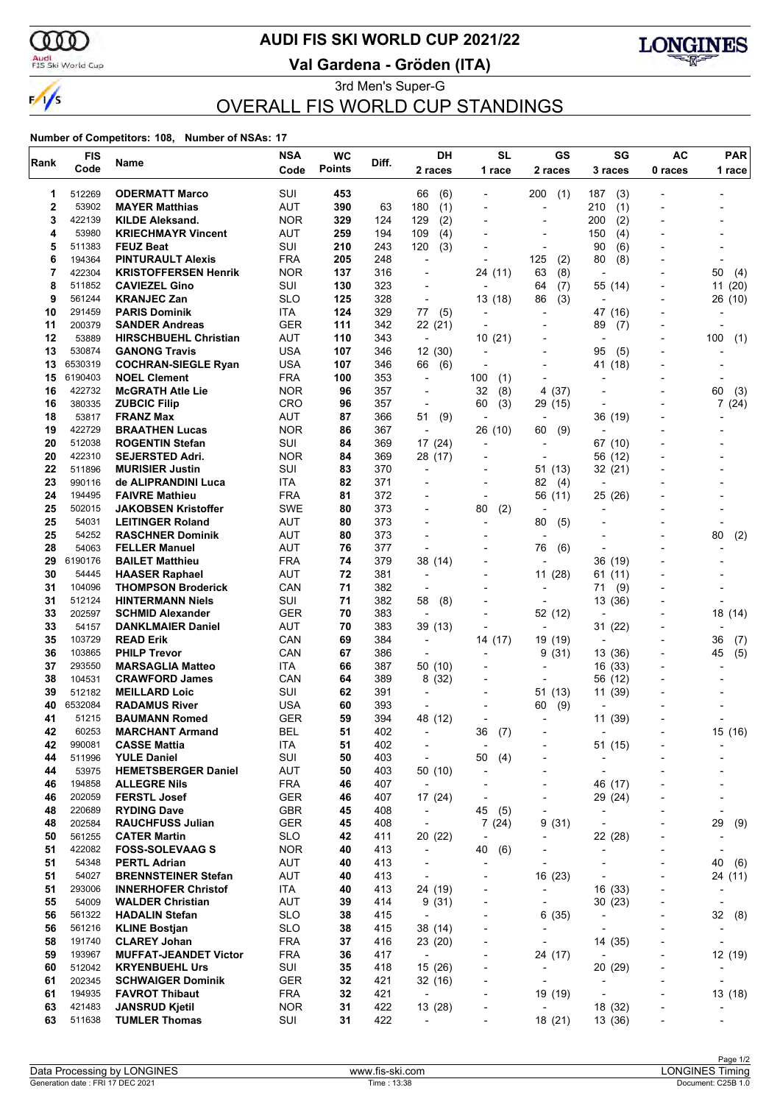

 $\frac{1}{\sqrt{2}}$ 

### Audi<br>FIS Ski World Cup

## **AUDI FIS SKI WORLD CUP 2021/22**

**Val Gardena - Gröden (ITA)**



3rd Men's Super-G OVERALL FIS WORLD CUP STANDINGS

| Rank        | <b>FIS</b>        | Name                                                | <b>NSA</b>               | <b>WC</b>     | Diff.      | DH                                  | <b>SL</b>                   | GS                                | SG                                                       | <b>AC</b>                    | <b>PAR</b>                   |
|-------------|-------------------|-----------------------------------------------------|--------------------------|---------------|------------|-------------------------------------|-----------------------------|-----------------------------------|----------------------------------------------------------|------------------------------|------------------------------|
|             | Code              |                                                     | Code                     | <b>Points</b> |            | 2 races                             | 1 race                      | 2 races                           | 3 races                                                  | 0 races                      | 1 race                       |
| 1           | 512269            | <b>ODERMATT Marco</b>                               | SUI                      | 453           |            | 66<br>(6)                           |                             | 200<br>(1)                        | 187<br>(3)                                               |                              |                              |
| $\mathbf 2$ | 53902             | <b>MAYER Matthias</b>                               | AUT                      | 390           | 63         | (1)<br>180                          |                             | $\overline{a}$                    | 210<br>(1)                                               |                              |                              |
| 3           | 422139            | <b>KILDE Aleksand.</b>                              | <b>NOR</b>               | 329           | 124        | (2)<br>129                          | $\overline{\phantom{a}}$    | ٠                                 | 200<br>(2)                                               | -                            |                              |
| 4<br>5      | 53980<br>511383   | <b>KRIECHMAYR Vincent</b>                           | AUT<br>SUI               | 259<br>210    | 194        | 109<br>(4)<br>120                   |                             | $\overline{a}$                    | 150<br>(4)                                               |                              |                              |
| 6           | 194364            | <b>FEUZ Beat</b><br><b>PINTURAULT Alexis</b>        | <b>FRA</b>               | 205           | 243<br>248 | (3)<br>÷,                           |                             | 125<br>(2)                        | (6)<br>90<br>80<br>(8)                                   |                              |                              |
| 7           | 422304            | <b>KRISTOFFERSEN Henrik</b>                         | <b>NOR</b>               | 137           | 316        | $\overline{a}$                      | 24 (11)                     | (8)<br>63                         | $\overline{\phantom{a}}$                                 |                              | 50<br>(4)                    |
| 8           | 511852            | <b>CAVIEZEL Gino</b>                                | SUI                      | 130           | 323        | $\overline{a}$                      |                             | 64<br>(7)                         | 55 (14)                                                  |                              | 11(20)                       |
| 9           | 561244            | <b>KRANJEC Zan</b>                                  | <b>SLO</b>               | 125           | 328        | ÷,                                  | 13 (18)                     | (3)<br>86                         | ÷                                                        | $\blacksquare$               | 26 (10)                      |
| 10          | 291459            | <b>PARIS Dominik</b>                                | ITA                      | 124           | 329        | 77<br>(5)                           |                             |                                   | 47 (16)                                                  |                              |                              |
| 11          | 200379            | <b>SANDER Andreas</b>                               | <b>GER</b>               | 111           | 342        | 22 (21)                             |                             |                                   | 89<br>(7)                                                |                              |                              |
| 12          | 53889             | <b>HIRSCHBUEHL Christian</b>                        | AUT                      | 110           | 343        | $\overline{\phantom{a}}$            | 10(21)                      | -                                 | $\overline{a}$                                           | $\overline{\phantom{a}}$     | 100<br>(1)                   |
| 13          | 530874<br>6530319 | <b>GANONG Travis</b>                                | USA<br><b>USA</b>        | 107<br>107    | 346        | 12(30)                              |                             | $\overline{a}$                    | 95<br>(5)                                                |                              |                              |
| 13<br>15    | 6190403           | <b>COCHRAN-SIEGLE Ryan</b><br><b>NOEL Clement</b>   | FRA                      | 100           | 346<br>353 | 66<br>(6)<br>÷,                     | 100<br>(1)                  | $\overline{\phantom{a}}$          | 41 (18)                                                  |                              |                              |
| 16          | 422732            | <b>McGRATH Atle Lie</b>                             | <b>NOR</b>               | 96            | 357        | $\overline{\phantom{a}}$            | 32<br>(8)                   | (37)<br>4                         |                                                          |                              | 60<br>(3)                    |
| 16          | 380335            | <b>ZUBCIC Filip</b>                                 | <b>CRO</b>               | 96            | 357        | $\overline{\phantom{a}}$            | 60<br>(3)                   | 29 (15)                           | $\overline{a}$                                           |                              | 7(24)                        |
| 18          | 53817             | <b>FRANZ Max</b>                                    | AUT                      | 87            | 366        | 51<br>(9)                           | $\overline{\phantom{a}}$    | $\overline{\phantom{a}}$          | 36 (19)                                                  | -                            |                              |
| 19          | 422729            | <b>BRAATHEN Lucas</b>                               | <b>NOR</b>               | 86            | 367        | ÷,                                  | 26 (10)                     | 60<br>(9)                         |                                                          |                              |                              |
| 20          | 512038            | <b>ROGENTIN Stefan</b>                              | SUI                      | 84            | 369        | 17 (24)                             | $\overline{\phantom{a}}$    | $\overline{\phantom{a}}$          | 67 (10)                                                  |                              |                              |
| 20          | 422310            | <b>SEJERSTED Adri.</b>                              | <b>NOR</b>               | 84            | 369        | 28 (17)                             | $\blacksquare$              | $\overline{a}$                    | 56 (12)                                                  |                              |                              |
| 22          | 511896            | <b>MURISIER Justin</b>                              | SUI                      | 83            | 370        | ÷                                   |                             | 51 (13)                           | 32 (21)                                                  |                              |                              |
| 23<br>24    | 990116            | de ALIPRANDINI Luca                                 | ITA                      | 82            | 371        |                                     |                             | 82<br>(4)                         | $\overline{a}$                                           |                              |                              |
| 25          | 194495<br>502015  | <b>FAIVRE Mathieu</b><br><b>JAKOBSEN Kristoffer</b> | <b>FRA</b><br><b>SWE</b> | 81<br>80      | 372<br>373 | ٠                                   | $\overline{a}$<br>(2)<br>80 | 56 (11)<br>$\overline{a}$         | 25 (26)                                                  |                              |                              |
| 25          | 54031             | <b>LEITINGER Roland</b>                             | AUT                      | 80            | 373        |                                     |                             | 80<br>(5)                         |                                                          |                              |                              |
| 25          | 54252             | <b>RASCHNER Dominik</b>                             | AUT                      | 80            | 373        | ÷                                   | $\overline{\phantom{a}}$    |                                   |                                                          |                              | 80<br>(2)                    |
| 28          | 54063             | <b>FELLER Manuel</b>                                | AUT                      | 76            | 377        | $\overline{a}$                      |                             | 76<br>(6)                         |                                                          |                              |                              |
| 29          | 6190176           | <b>BAILET Matthieu</b>                              | <b>FRA</b>               | 74            | 379        | 38 (14)                             |                             | L,                                | 36 (19)                                                  |                              |                              |
| 30          | 54445             | <b>HAASER Raphael</b>                               | AUT                      | 72            | 381        | ÷                                   | $\overline{\phantom{a}}$    | 11(28)                            | 61<br>(11)                                               |                              |                              |
| 31          | 104096            | <b>THOMPSON Broderick</b>                           | CAN                      | 71            | 382        |                                     |                             | $\overline{a}$                    | 71<br>(9)                                                |                              |                              |
| 31          | 512124            | <b>HINTERMANN Niels</b>                             | SUI                      | 71            | 382        | (8)<br>58                           |                             | $\overline{\phantom{a}}$          | 13 (36)                                                  |                              |                              |
| 33          | 202597            | <b>SCHMID Alexander</b>                             | GER                      | 70            | 383        | ÷                                   |                             | 52 (12)                           |                                                          |                              | 18 (14)                      |
| 33<br>35    | 54157<br>103729   | <b>DANKLMAIER Daniel</b><br><b>READ Erik</b>        | AUT<br>CAN               | 70<br>69      | 383<br>384 | 39 (13)<br>$\overline{\phantom{a}}$ | 14 (17)                     | ÷                                 | 31 (22)<br>$\overline{a}$                                |                              | 36                           |
| 36          | 103865            | <b>PHILP Trevor</b>                                 | CAN                      | 67            | 386        | $\overline{\phantom{a}}$            | $\blacksquare$              | 19 (19)<br>(31)<br>9              | 13 (36)                                                  | $\overline{a}$               | (7)<br>(5)<br>45             |
| 37          | 293550            | <b>MARSAGLIA Matteo</b>                             | ITA                      | 66            | 387        | 50 (10)                             |                             |                                   | 16 (33)                                                  |                              |                              |
| 38          | 104531            | <b>CRAWFORD James</b>                               | CAN                      | 64            | 389        | 8(32)                               |                             | $\overline{\phantom{a}}$          | 56 (12)                                                  |                              |                              |
| 39          | 512182            | <b>MEILLARD Loic</b>                                | SUI                      | 62            | 391        | ÷                                   |                             | 51 (13)                           | 11 (39)                                                  |                              |                              |
| 40          | 6532084           | <b>RADAMUS River</b>                                | <b>USA</b>               | 60            | 393        | ÷                                   |                             | (9)<br>60                         |                                                          |                              |                              |
| 41          | 51215             | <b>BAUMANN Romed</b>                                | GER                      | 59            | 394        | 48 (12)                             |                             | $\overline{a}$                    | 11 (39)                                                  |                              |                              |
| 42          | 60253             | <b>MARCHANT Armand</b>                              | <b>BEL</b>               | 51            | 402        | $\overline{\phantom{a}}$            | 36<br>(7)                   |                                   |                                                          |                              | 15 (16)                      |
| 42          | 990081            | <b>CASSE Mattia</b>                                 | <b>ITA</b>               | 51            | 402        | $\overline{a}$                      |                             |                                   | 51 (15)                                                  |                              |                              |
| 44<br>44    | 511996<br>53975   | <b>YULE Daniel</b><br><b>HEMETSBERGER Daniel</b>    | SUI<br><b>AUT</b>        | 50<br>50      | 403<br>403 | $\overline{\phantom{a}}$<br>50 (10) | 50<br>(4)<br>$\overline{a}$ | $\overline{a}$<br>٠               | $\overline{a}$<br>÷,                                     |                              |                              |
| 46          | 194858            | <b>ALLEGRE Nils</b>                                 | <b>FRA</b>               | 46            | 407        | $\overline{\phantom{a}}$            |                             |                                   | 46 (17)                                                  |                              |                              |
| 46          | 202059            | <b>FERSTL Josef</b>                                 | <b>GER</b>               | 46            | 407        | 17 (24)                             | $\overline{a}$              | -                                 | 29 (24)                                                  | -                            |                              |
| 48          | 220689            | <b>RYDING Dave</b>                                  | <b>GBR</b>               | 45            | 408        | $\overline{\phantom{a}}$            | 45<br>(5)                   | $\overline{\phantom{a}}$          |                                                          | $\overline{a}$               | $\overline{\phantom{a}}$     |
| 48          | 202584            | <b>RAUCHFUSS Julian</b>                             | <b>GER</b>               | 45            | 408        | $\overline{\phantom{a}}$            | 7(24)                       | 9(31)                             | $\overline{a}$                                           |                              | 29<br>(9)                    |
| 50          | 561255            | <b>CATER Martin</b>                                 | <b>SLO</b>               | 42            | 411        | 20 (22)                             | $\overline{\phantom{a}}$    | -                                 | 22 (28)                                                  | -                            | $\overline{\phantom{a}}$     |
| 51          | 422082            | <b>FOSS-SOLEVAAG S</b>                              | <b>NOR</b>               | 40            | 413        | $\overline{\phantom{a}}$            | 40<br>(6)                   | ٠                                 | $\overline{a}$                                           | $\overline{a}$               |                              |
| 51          | 54348             | <b>PERTL Adrian</b>                                 | AUT                      | 40            | 413        | $\overline{\phantom{a}}$            |                             | $\overline{\phantom{a}}$          | $\overline{a}$                                           | $\overline{a}$               | 40<br>(6)                    |
| 51          | 54027             | <b>BRENNSTEINER Stefan</b>                          | AUT                      | 40            | 413        | $\overline{\phantom{a}}$            |                             | 16 (23)                           | $\blacksquare$                                           | $\overline{\phantom{a}}$     | 24 (11)                      |
| 51          | 293006            | <b>INNERHOFER Christof</b>                          | ITA                      | 40            | 413        | 24 (19)                             | $\overline{a}$              | $\overline{\phantom{a}}$          | 16 (33)                                                  | $\overline{\phantom{0}}$     |                              |
| 55<br>56    | 54009<br>561322   | <b>WALDER Christian</b><br><b>HADALIN Stefan</b>    | <b>AUT</b><br><b>SLO</b> | 39<br>38      | 414<br>415 | 9(31)<br>$\overline{\phantom{a}}$   | $\overline{\phantom{a}}$    | $\overline{\phantom{0}}$          | 30(23)                                                   | $\qquad \qquad \blacksquare$ | 32 (8)                       |
| 56          | 561216            | <b>KLINE Bostjan</b>                                | <b>SLO</b>               | 38            | 415        | 38 (14)                             | $\overline{\phantom{a}}$    | 6(35)<br>$\overline{\phantom{a}}$ | $\qquad \qquad \blacksquare$<br>$\overline{\phantom{a}}$ | ٠                            | $\qquad \qquad \blacksquare$ |
| 58          | 191740            | <b>CLAREY Johan</b>                                 | <b>FRA</b>               | 37            | 416        | 23 (20)                             |                             | $\overline{\phantom{a}}$          | 14 (35)                                                  |                              |                              |
| 59          | 193967            | <b>MUFFAT-JEANDET Victor</b>                        | <b>FRA</b>               | 36            | 417        | $\overline{\phantom{a}}$            | $\overline{\phantom{a}}$    | 24 (17)                           | $\overline{\phantom{a}}$                                 | $\overline{a}$               | 12 (19)                      |
| 60          | 512042            | <b>KRYENBUEHL Urs</b>                               | SUI                      | 35            | 418        | 15 (26)                             | $\overline{\phantom{a}}$    | $\overline{\phantom{a}}$          | 20 (29)                                                  | $\overline{\phantom{0}}$     |                              |
| 61          | 202345            | <b>SCHWAIGER Dominik</b>                            | <b>GER</b>               | 32            | 421        | 32 (16)                             |                             | $\overline{\phantom{a}}$          | $\overline{a}$                                           |                              |                              |
| 61          | 194935            | <b>FAVROT Thibaut</b>                               | <b>FRA</b>               | 32            | 421        | $\overline{\phantom{a}}$            | $\overline{a}$              | 19 (19)                           | $\overline{\phantom{a}}$                                 | $\overline{\phantom{0}}$     | 13 (18)                      |
| 63          | 421483            | <b>JANSRUD Kjetil</b>                               | <b>NOR</b>               | 31            | 422        | 13 (28)                             | $\overline{a}$              | $\overline{\phantom{a}}$          | 18 (32)                                                  | $\overline{\phantom{0}}$     |                              |
| 63          | 511638            | <b>TUMLER Thomas</b>                                | SUI                      | 31            | 422        | $\overline{\phantom{a}}$            |                             | 18 (21)                           | 13 (36)                                                  |                              |                              |
|             |                   |                                                     |                          |               |            |                                     |                             |                                   |                                                          |                              |                              |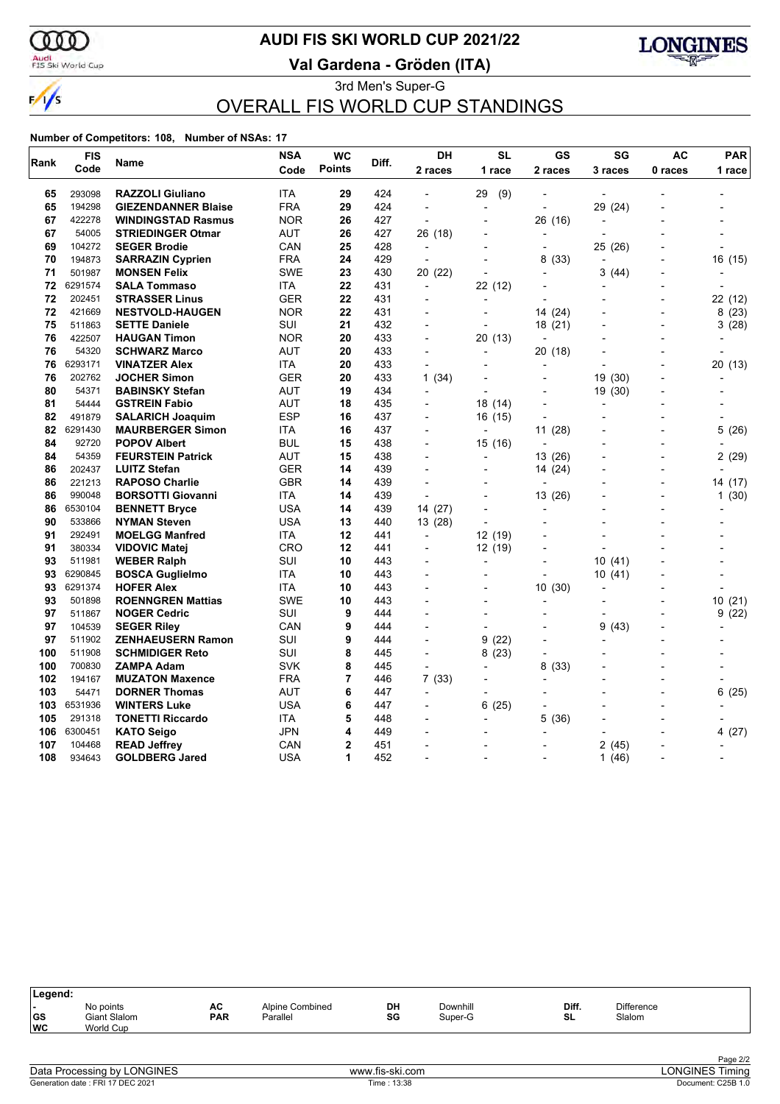

 $\frac{1}{\sqrt{2}}$ 

### Audi<br>FIS Ski World Cup

## **AUDI FIS SKI WORLD CUP 2021/22**

**Val Gardena - Gröden (ITA)**



3rd Men's Super-G OVERALL FIS WORLD CUP STANDINGS

| Rank | <b>FIS</b> | Name                       | <b>NSA</b> | <b>WC</b>      | Diff. | <b>DH</b>                | <b>SL</b>                | GS                       | SG                       | AC                       | <b>PAR</b> |
|------|------------|----------------------------|------------|----------------|-------|--------------------------|--------------------------|--------------------------|--------------------------|--------------------------|------------|
|      | Code       |                            | Code       | <b>Points</b>  |       | 2 races                  | 1 race                   | 2 races                  | 3 races                  | 0 races                  | 1 race     |
| 65   | 293098     | <b>RAZZOLI Giuliano</b>    | <b>ITA</b> | 29             | 424   | $\overline{\phantom{a}}$ | 29<br>(9)                |                          |                          |                          |            |
| 65   | 194298     | <b>GIEZENDANNER Blaise</b> | <b>FRA</b> | 29             | 424   |                          |                          |                          | 29 (24)                  |                          |            |
| 67   | 422278     | <b>WINDINGSTAD Rasmus</b>  | <b>NOR</b> | 26             | 427   | $\overline{a}$           |                          | 26 (16)                  | $\blacksquare$           |                          |            |
| 67   | 54005      | <b>STRIEDINGER Otmar</b>   | AUT        | 26             | 427   | 26 (18)                  |                          |                          |                          |                          |            |
| 69   | 104272     | <b>SEGER Brodie</b>        | CAN        | 25             | 428   | ÷,                       |                          |                          | 25 (26)                  |                          |            |
| 70   | 194873     | <b>SARRAZIN Cyprien</b>    | FRA        | 24             | 429   | $\overline{\phantom{a}}$ |                          | 8<br>(33)                |                          | $\blacksquare$           | 16 (15)    |
| 71   | 501987     | <b>MONSEN Felix</b>        | <b>SWE</b> | 23             | 430   | 20 (22)                  |                          |                          | 3<br>(44)                |                          |            |
| 72   | 6291574    | <b>SALA Tommaso</b>        | ITA        | 22             | 431   | $\blacksquare$           | 22 (12)                  |                          |                          |                          |            |
| 72   | 202451     | <b>STRASSER Linus</b>      | GER        | 22             | 431   | $\overline{a}$           |                          |                          |                          |                          | 22 (12)    |
| 72   | 421669     | <b>NESTVOLD-HAUGEN</b>     | <b>NOR</b> | 22             | 431   |                          |                          | 14 (24)                  |                          | $\overline{\phantom{a}}$ | 8(23)      |
| 75   | 511863     | <b>SETTE Daniele</b>       | SUI        | 21             | 432   | $\blacksquare$           | ÷                        | 18 (21)                  |                          | $\blacksquare$           | 3(28)      |
| 76   | 422507     | <b>HAUGAN Timon</b>        | <b>NOR</b> | 20             | 433   | $\overline{\phantom{0}}$ | 20 (13)                  | $\overline{\phantom{0}}$ |                          |                          |            |
| 76   | 54320      | <b>SCHWARZ Marco</b>       | <b>AUT</b> | 20             | 433   | L,                       | $\overline{\phantom{a}}$ | 20 (18)                  |                          |                          |            |
| 76   | 6293171    | <b>VINATZER Alex</b>       | ITA        | 20             | 433   | $\overline{a}$           |                          | $\overline{a}$           |                          |                          | 20 (13)    |
| 76   | 202762     | <b>JOCHER Simon</b>        | GER        | 20             | 433   | 1(34)                    |                          |                          | 19<br>(30)               |                          |            |
| 80   | 54371      | <b>BABINSKY Stefan</b>     | <b>AUT</b> | 19             | 434   | $\blacksquare$           | $\blacksquare$           |                          | 19 (30)                  | $\overline{a}$           |            |
| 81   | 54444      | <b>GSTREIN Fabio</b>       | <b>AUT</b> | 18             | 435   |                          | 18 (14)                  |                          |                          |                          |            |
| 82   | 491879     | <b>SALARICH Joaquim</b>    | ESP        | 16             | 437   |                          | 16 (15)                  |                          |                          |                          |            |
| 82   | 6291430    | <b>MAURBERGER Simon</b>    | <b>ITA</b> | 16             | 437   |                          |                          | 11(28)                   |                          |                          | 5(26)      |
| 84   | 92720      | <b>POPOV Albert</b>        | BUL        | 15             | 438   | $\overline{a}$           | 15 (16)                  |                          |                          | $\overline{a}$           |            |
| 84   | 54359      | <b>FEURSTEIN Patrick</b>   | AUT        | 15             | 438   | $\overline{a}$           |                          | 13 (26)                  |                          | $\overline{a}$           | 2(29)      |
| 86   | 202437     | <b>LUITZ Stefan</b>        | <b>GER</b> | 14             | 439   |                          |                          | 14 (24)                  |                          | $\blacksquare$           |            |
| 86   | 221213     | <b>RAPOSO Charlie</b>      | <b>GBR</b> | 14             | 439   | $\overline{\phantom{a}}$ |                          | $\overline{\phantom{a}}$ |                          | $\overline{a}$           | 14 (17)    |
| 86   | 990048     | <b>BORSOTTI Giovanni</b>   | ITA        | 14             | 439   |                          |                          | 13 (26)                  |                          |                          | 1(30)      |
| 86   | 6530104    | <b>BENNETT Bryce</b>       | USA        | 14             | 439   | 14 (27)                  |                          | $\blacksquare$           |                          |                          |            |
| 90   | 533866     | <b>NYMAN Steven</b>        | USA        | 13             | 440   | 13 (28)                  |                          |                          |                          |                          |            |
| 91   | 292491     | <b>MOELGG Manfred</b>      | ITA        | 12             | 441   | $\overline{\phantom{a}}$ | 12 (19)                  |                          |                          |                          |            |
| 91   | 380334     | <b>VIDOVIC Matei</b>       | CRO        | 12             | 441   | $\overline{\phantom{a}}$ | 12 (19)                  |                          |                          |                          |            |
| 93   | 511981     | <b>WEBER Ralph</b>         | SUI        | 10             | 443   |                          |                          |                          | 10(41)                   |                          |            |
| 93   | 6290845    | <b>BOSCA Guglielmo</b>     | ITA        | 10             | 443   | $\overline{\phantom{a}}$ |                          | $\overline{a}$           | 10 (41)                  |                          |            |
| 93   | 6291374    | <b>HOFER Alex</b>          | ITA        | 10             | 443   |                          |                          | 10(30)                   |                          |                          |            |
| 93   | 501898     | <b>ROENNGREN Mattias</b>   | <b>SWE</b> | 10             | 443   |                          |                          |                          |                          |                          | 10(21)     |
| 97   | 511867     | <b>NOGER Cedric</b>        | SUI        | 9              | 444   | $\overline{\phantom{a}}$ |                          | $\overline{a}$           | $\overline{\phantom{a}}$ | $\overline{a}$           | 9(22)      |
| 97   | 104539     | <b>SEGER Riley</b>         | CAN        | 9              | 444   |                          |                          |                          | 9<br>(43)                |                          |            |
| 97   | 511902     | <b>ZENHAEUSERN Ramon</b>   | SUI        | 9              | 444   |                          | (22)<br>9                |                          |                          |                          |            |
| 100  | 511908     | <b>SCHMIDIGER Reto</b>     | SUI        | 8              | 445   | $\overline{\phantom{a}}$ | 8(23)                    | $\overline{a}$           |                          | $\overline{a}$           |            |
| 100  | 700830     | <b>ZAMPA Adam</b>          | <b>SVK</b> | 8              | 445   |                          |                          | 8<br>(33)                |                          |                          |            |
| 102  | 194167     | <b>MUZATON Maxence</b>     | <b>FRA</b> | 7              | 446   | 7(33)                    |                          |                          |                          | $\overline{\phantom{0}}$ |            |
| 103  | 54471      | <b>DORNER Thomas</b>       | AUT        | 6              | 447   | $\blacksquare$           |                          |                          |                          | $\overline{a}$           | 6<br>(25)  |
| 103  | 6531936    | <b>WINTERS Luke</b>        | USA        | 6              | 447   |                          | (25)<br>6                |                          |                          |                          |            |
| 105  | 291318     | <b>TONETTI Riccardo</b>    | ITA        | 5              | 448   |                          | $\overline{a}$           | 5<br>(36)                |                          |                          |            |
| 106  | 6300451    | <b>KATO Seigo</b>          | JPN        | 4              | 449   |                          |                          |                          |                          |                          | 4(27)      |
| 107  | 104468     | <b>READ Jeffrey</b>        | CAN        | $\overline{2}$ | 451   | $\overline{\phantom{a}}$ | $\overline{\phantom{a}}$ |                          | 2<br>(45)                |                          |            |
| 108  | 934643     | <b>GOLDBERG Jared</b>      | <b>USA</b> | 1              | 452   | $\overline{a}$           |                          | $\overline{a}$           | (46)<br>1                |                          |            |

| Legend:                 |                                        |                  |                             |          |                     |                    |                             |  |
|-------------------------|----------------------------------------|------------------|-----------------------------|----------|---------------------|--------------------|-----------------------------|--|
| . .<br> GS<br><b>WC</b> | No points<br>Giant Slalom<br>World Cup | AC<br><b>PAR</b> | Alpine Combined<br>Parallel | DH<br>SG | Downhill<br>Super-G | Diff.<br><b>SL</b> | <b>Difference</b><br>Slalom |  |
|                         |                                        |                  |                             |          |                     |                    |                             |  |

| Data Processing by LONGINES      |  |
|----------------------------------|--|
| Generation date: FRI 17 DEC 2021 |  |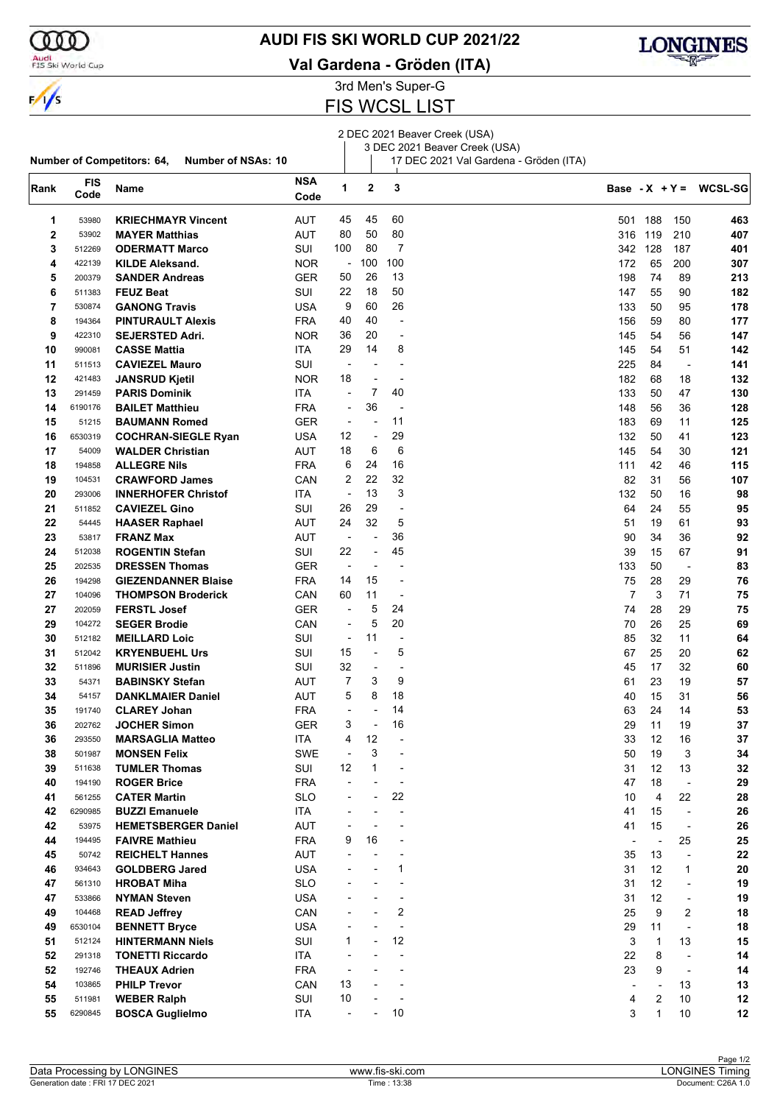

### Audi<br>FIS Ski World Cup

**Number of Competitors: 64, Number of NSAs: 10**

### **AUDI FIS SKI WORLD CUP 2021/22**

**Val Gardena - Gröden (ITA)**



3rd Men's Super-G

### FIS WCSL LIST

2 DEC 2021 Beaver Creek (USA)

3 DEC 2021 Beaver Creek (USA)

17 DEC 2021 Val Gardena - Gröden (ITA)

| Rank | <b>FIS</b><br>Code | Name                       | <b>NSA</b><br>Code | 1                        | $\mathbf{2}$             | 3                        |                          |                          |                          | Base - $X + Y = WCSL-SG$ |
|------|--------------------|----------------------------|--------------------|--------------------------|--------------------------|--------------------------|--------------------------|--------------------------|--------------------------|--------------------------|
| 1    | 53980              | <b>KRIECHMAYR Vincent</b>  | AUT                | 45                       | 45                       | 60                       | 501                      | 188                      | 150                      | 463                      |
| 2    | 53902              | <b>MAYER Matthias</b>      | AUT                | 80                       | 50                       | 80                       | 316                      | 119                      | 210                      | 407                      |
| 3    | 512269             | <b>ODERMATT Marco</b>      | SUI                | 100                      | 80                       | 7                        | 342                      | 128                      | 187                      | 401                      |
| 4    | 422139             | <b>KILDE Aleksand.</b>     | <b>NOR</b>         | $\overline{\phantom{a}}$ | 100                      | 100                      | 172                      | 65                       | 200                      | 307                      |
| 5    | 200379             | <b>SANDER Andreas</b>      | <b>GER</b>         | 50                       | 26                       | 13                       | 198                      | 74                       | 89                       | 213                      |
|      |                    |                            |                    | 22                       | 18                       | 50                       |                          |                          |                          |                          |
| 6    | 511383             | <b>FEUZ Beat</b>           | SUI                |                          |                          |                          | 147                      | 55                       | 90                       | 182                      |
| 7    | 530874             | <b>GANONG Travis</b>       | USA                | 9                        | 60                       | 26                       | 133                      | 50                       | 95                       | 178                      |
| 8    | 194364             | <b>PINTURAULT Alexis</b>   | <b>FRA</b>         | 40                       | 40                       | $\overline{\phantom{a}}$ | 156                      | 59                       | 80                       | 177                      |
| 9    | 422310             | <b>SEJERSTED Adri.</b>     | <b>NOR</b>         | 36                       | 20                       | $\overline{\phantom{a}}$ | 145                      | 54                       | 56                       | 147                      |
| 10   | 990081             | <b>CASSE Mattia</b>        | <b>ITA</b>         | 29                       | 14                       | 8                        | 145                      | 54                       | 51                       | 142                      |
| 11   | 511513             | <b>CAVIEZEL Mauro</b>      | SUI                | $\overline{\phantom{a}}$ |                          | L,                       | 225                      | 84                       | $\overline{\phantom{a}}$ | 141                      |
| 12   | 421483             | <b>JANSRUD Kjetil</b>      | <b>NOR</b>         | 18                       | $\overline{\phantom{a}}$ | $\overline{a}$           | 182                      | 68                       | 18                       | 132                      |
| 13   | 291459             | <b>PARIS Dominik</b>       | <b>ITA</b>         | $\overline{\phantom{a}}$ | 7                        | 40                       | 133                      | 50                       | 47                       | 130                      |
| 14   | 6190176            | <b>BAILET Matthieu</b>     | <b>FRA</b>         | $\overline{\phantom{a}}$ | 36                       | ÷,                       | 148                      | 56                       | 36                       | 128                      |
| 15   | 51215              | <b>BAUMANN Romed</b>       | GER                | $\overline{\phantom{a}}$ |                          | 11                       | 183                      | 69                       | 11                       | 125                      |
| 16   | 6530319            | <b>COCHRAN-SIEGLE Ryan</b> | USA                | 12                       | ÷,                       | 29                       | 132                      | 50                       | 41                       | 123                      |
| 17   | 54009              | <b>WALDER Christian</b>    | <b>AUT</b>         | 18                       | 6                        | 6                        | 145                      | 54                       | 30                       | 121                      |
| 18   | 194858             | <b>ALLEGRE Nils</b>        | <b>FRA</b>         | 6                        | 24                       | 16                       | 111                      | 42                       | 46                       | 115                      |
| 19   | 104531             | <b>CRAWFORD James</b>      | CAN                | 2                        | 22                       | 32                       | 82                       | 31                       | 56                       | 107                      |
| 20   | 293006             | <b>INNERHOFER Christof</b> | ITA                | ÷,                       | 13                       | 3                        | 132                      | 50                       | 16                       | 98                       |
| 21   | 511852             | <b>CAVIEZEL Gino</b>       | SUI                | 26                       | 29                       | $\overline{\phantom{a}}$ | 64                       | 24                       | 55                       | 95                       |
| 22   | 54445              | <b>HAASER Raphael</b>      | <b>AUT</b>         | 24                       | 32                       | 5                        | 51                       | 19                       | 61                       | 93                       |
| 23   | 53817              | <b>FRANZ Max</b>           | AUT                | $\overline{\phantom{a}}$ | L,                       | 36                       | 90                       | 34                       | 36                       | 92                       |
|      |                    |                            |                    | 22                       | $\overline{\phantom{a}}$ | 45                       |                          |                          |                          |                          |
| 24   | 512038             | <b>ROGENTIN Stefan</b>     | SUI                |                          |                          |                          | 39                       | 15                       | 67                       | 91                       |
| 25   | 202535             | <b>DRESSEN Thomas</b>      | GER                | $\overline{\phantom{a}}$ | $\overline{\phantom{a}}$ | $\overline{a}$           | 133                      | 50                       | $\overline{\phantom{a}}$ | 83                       |
| 26   | 194298             | <b>GIEZENDANNER Blaise</b> | <b>FRA</b>         | 14                       | 15                       | $\overline{a}$           | 75                       | 28                       | 29                       | 76                       |
| 27   | 104096             | <b>THOMPSON Broderick</b>  | CAN                | 60                       | 11                       | ÷                        | 7                        | 3                        | 71                       | 75                       |
| 27   | 202059             | <b>FERSTL Josef</b>        | <b>GER</b>         | $\overline{\phantom{a}}$ | 5                        | 24                       | 74                       | 28                       | 29                       | 75                       |
| 29   | 104272             | <b>SEGER Brodie</b>        | CAN                | ÷,                       | 5                        | 20                       | 70                       | 26                       | 25                       | 69                       |
| 30   | 512182             | <b>MEILLARD Loic</b>       | SUI                | $\overline{\phantom{a}}$ | 11                       | $\overline{\phantom{a}}$ | 85                       | 32                       | 11                       | 64                       |
| 31   | 512042             | <b>KRYENBUEHL Urs</b>      | SUI                | 15                       | ÷,                       | 5                        | 67                       | 25                       | 20                       | 62                       |
| 32   | 511896             | <b>MURISIER Justin</b>     | SUI                | 32                       | $\overline{\phantom{a}}$ | ÷                        | 45                       | 17                       | 32                       | 60                       |
| 33   | 54371              | <b>BABINSKY Stefan</b>     | AUT                | 7                        | 3                        | 9                        | 61                       | 23                       | 19                       | 57                       |
| 34   | 54157              | <b>DANKLMAIER Daniel</b>   | <b>AUT</b>         | 5                        | 8                        | 18                       | 40                       | 15                       | 31                       | 56                       |
| 35   | 191740             | <b>CLAREY Johan</b>        | <b>FRA</b>         | $\overline{a}$           | $\overline{\phantom{a}}$ | 14                       | 63                       | 24                       | 14                       | 53                       |
| 36   | 202762             | <b>JOCHER Simon</b>        | GER                | 3                        | $\overline{\phantom{a}}$ | 16                       | 29                       | 11                       | 19                       | 37                       |
| 36   | 293550             | <b>MARSAGLIA Matteo</b>    | ITA                | 4                        | 12                       |                          | 33                       | 12                       | 16                       | 37                       |
| 38   | 501987             | <b>MONSEN Felix</b>        | SWE                |                          | 3                        |                          | 50                       | 19                       | 3                        | 34                       |
| 39   | 511638             | <b>TUMLER Thomas</b>       | SUI                | 12                       | 1                        | $\overline{\phantom{a}}$ | 31                       | 12                       | 13                       | 32                       |
| 40   | 194190             | <b>ROGER Brice</b>         | <b>FRA</b>         |                          |                          |                          | 47                       | 18                       | $\overline{\phantom{a}}$ | 29                       |
| 41   | 561255             | <b>CATER Martin</b>        | <b>SLO</b>         |                          | $\overline{\phantom{a}}$ | 22                       | 10                       | 4                        | 22                       | 28                       |
| 42   | 6290985            | <b>BUZZI Emanuele</b>      | ITA                |                          |                          | L,                       | 41                       | 15                       | $\overline{\phantom{a}}$ | 26                       |
| 42   | 53975              | <b>HEMETSBERGER Daniel</b> | AUT                |                          |                          |                          | 41                       | 15                       | $\blacksquare$           | 26                       |
| 44   | 194495             | <b>FAIVRE Mathieu</b>      | <b>FRA</b>         | 9                        | 16                       |                          | $\overline{\phantom{a}}$ | $\overline{\phantom{a}}$ | 25                       | 25                       |
| 45   | 50742              |                            | AUT                |                          |                          |                          |                          |                          |                          |                          |
|      |                    | <b>REICHELT Hannes</b>     |                    |                          |                          |                          | 35                       | 13                       | $\overline{a}$           | 22                       |
| 46   | 934643             | <b>GOLDBERG Jared</b>      | <b>USA</b>         |                          |                          | 1                        | 31                       | 12                       | 1                        | 20                       |
| 47   | 561310             | <b>HROBAT Miha</b>         | <b>SLO</b>         |                          |                          |                          | 31                       | 12                       | $\overline{\phantom{a}}$ | 19                       |
| 47   | 533866             | <b>NYMAN Steven</b>        | <b>USA</b>         |                          |                          | -                        | 31                       | 12                       | $\overline{\phantom{a}}$ | 19                       |
| 49   | 104468             | <b>READ Jeffrey</b>        | CAN                |                          |                          | 2                        | 25                       | 9                        | 2                        | 18                       |
| 49   | 6530104            | <b>BENNETT Bryce</b>       | USA                |                          |                          | ÷                        | 29                       | 11                       | $\blacksquare$           | 18                       |
| 51   | 512124             | <b>HINTERMANN Niels</b>    | SUI                | 1                        |                          | 12                       | 3                        | 1                        | 13                       | 15                       |
| 52   | 291318             | <b>TONETTI Riccardo</b>    | ITA                |                          |                          | $\overline{a}$           | 22                       | 8                        | $\overline{\phantom{a}}$ | 14                       |
| 52   | 192746             | <b>THEAUX Adrien</b>       | <b>FRA</b>         |                          |                          |                          | 23                       | 9                        | $\overline{\phantom{a}}$ | 14                       |
| 54   | 103865             | <b>PHILP Trevor</b>        | CAN                | 13                       |                          |                          |                          |                          | 13                       | 13                       |
| 55   | 511981             | <b>WEBER Ralph</b>         | SUI                | 10                       |                          |                          | 4                        | 2                        | 10                       | 12                       |
| 55   | 6290845            | <b>BOSCA Guglielmo</b>     | ITA                |                          |                          | 10                       | 3                        | $\mathbf{1}$             | 10                       | 12                       |
|      |                    |                            |                    |                          |                          |                          |                          |                          |                          |                          |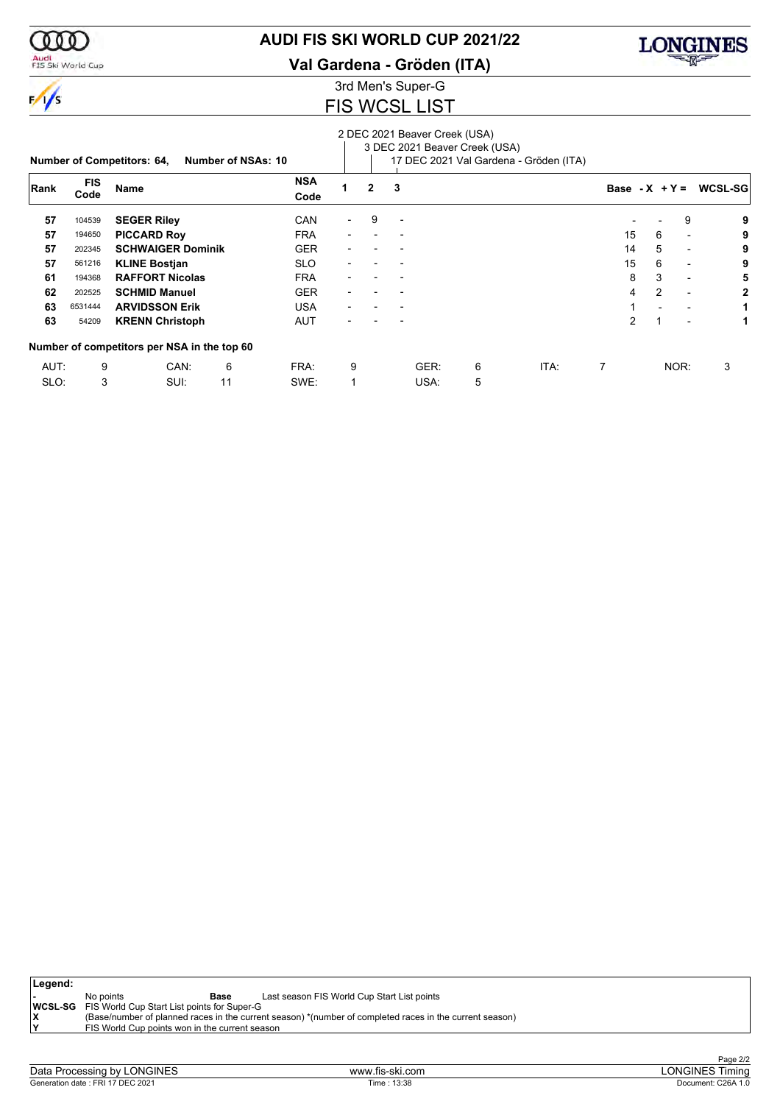

 $\frac{1}{\sqrt{2}}$ 

### Audi<br>FIS Ski World Cup

### **AUDI FIS SKI WORLD CUP 2021/22**

**Val Gardena - Gröden (ITA)**

# 3rd Men's Super-G

## FIS WCSL LIST

#### 2 DEC 2021 Beaver Creek (USA)

 $\mathcal{L}$ 3 DEC 2021 Beaver Creek (USA)

|      |                    | <b>Number of Competitors: 64,</b>           | <b>Number of NSAs: 10</b> |                    |                          |                |                          |      |   | 17 DEC 2021 Val Gardena - Gröden (ITA) |                  |   |                          |                     |
|------|--------------------|---------------------------------------------|---------------------------|--------------------|--------------------------|----------------|--------------------------|------|---|----------------------------------------|------------------|---|--------------------------|---------------------|
| Rank | <b>FIS</b><br>Code | <b>Name</b>                                 |                           | <b>NSA</b><br>Code |                          | $\overline{2}$ | 3                        |      |   |                                        | Base - $X + Y =$ |   |                          | WCSL-SG             |
| 57   | 104539             | <b>SEGER Riley</b>                          |                           | CAN                | $\overline{\phantom{0}}$ | 9              | $\overline{\phantom{0}}$ |      |   |                                        |                  |   | 9                        | 9                   |
| 57   | 194650             | <b>PICCARD Roy</b>                          |                           | <b>FRA</b>         | -                        |                |                          |      |   |                                        | 15               | 6 |                          | 9<br>$\blacksquare$ |
| 57   | 202345             | <b>SCHWAIGER Dominik</b>                    |                           | <b>GER</b>         |                          |                |                          |      |   |                                        | 14               | 5 | $\overline{\phantom{0}}$ | 9                   |
| 57   | 561216             | <b>KLINE Bostjan</b>                        |                           | <b>SLO</b>         |                          |                |                          |      |   |                                        | 15               | 6 | $\overline{\phantom{a}}$ | 9                   |
| 61   | 194368             | <b>RAFFORT Nicolas</b>                      |                           | <b>FRA</b>         |                          |                |                          |      |   |                                        | 8                | 3 | $\overline{\phantom{a}}$ | 5                   |
| 62   | 202525             | <b>SCHMID Manuel</b>                        |                           | <b>GER</b>         |                          |                |                          |      |   |                                        | 4                | 2 | $\overline{\phantom{a}}$ | 2                   |
| 63   | 6531444            | <b>ARVIDSSON Erik</b>                       |                           | <b>USA</b>         |                          |                |                          |      |   |                                        |                  |   | $\overline{\phantom{0}}$ | 1                   |
| 63   | 54209              | <b>KRENN Christoph</b>                      |                           | <b>AUT</b>         |                          |                |                          |      |   |                                        | 2                |   |                          | 1<br>$\blacksquare$ |
|      |                    | Number of competitors per NSA in the top 60 |                           |                    |                          |                |                          |      |   |                                        |                  |   |                          |                     |
| AUT: | 9                  | CAN:                                        | 6                         | FRA:               | 9                        |                |                          | GER: | 6 | ITA:                                   | 7                |   | NOR:                     | 3                   |
| SLO: | 3                  | SUI:                                        | 11                        | SWE:               |                          |                |                          | USA: | 5 |                                        |                  |   |                          |                     |

| Legend: |                                                            |                                                                                                         |
|---------|------------------------------------------------------------|---------------------------------------------------------------------------------------------------------|
|         | No points<br>Base                                          | Last season FIS World Cup Start List points                                                             |
|         | <b>WCSL-SG</b> FIS World Cup Start List points for Super-G |                                                                                                         |
|         |                                                            | (Base/number of planned races in the current season) *(number of completed races in the current season) |
| lv      | FIS World Cup points won in the current season             |                                                                                                         |
|         |                                                            |                                                                                                         |

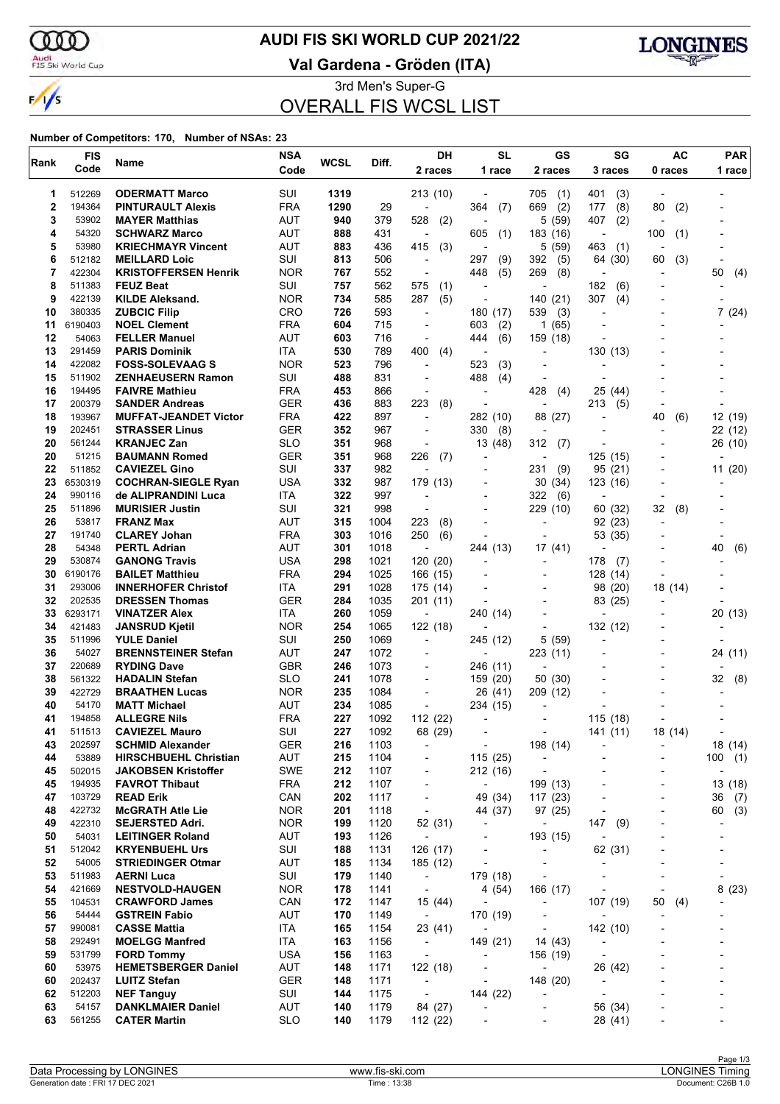$\alpha\sigma$ 

 $\frac{1}{\sqrt{2}}$ 

## **AUDI FIS SKI WORLD CUP 2021/22**

Audi<br>FIS Ski World Cup

**Val Gardena - Gröden (ITA)**



3rd Men's Super-G OVERALL FIS WCSL LIST

| Rank         | <b>FIS</b>       | Name                                              | <b>NSA</b>               | <b>WCSL</b> | Diff.        | DН                                                   | <b>SL</b>                                  | GS                                     | SG                                                   | <b>AC</b>                | <b>PAR</b>               |
|--------------|------------------|---------------------------------------------------|--------------------------|-------------|--------------|------------------------------------------------------|--------------------------------------------|----------------------------------------|------------------------------------------------------|--------------------------|--------------------------|
|              | Code             |                                                   | Code                     |             |              | 2 races                                              | 1 race                                     | 2 races                                | 3 races                                              | 0 races                  | 1 race                   |
| 1            | 512269           | <b>ODERMATT Marco</b>                             | SUI                      | 1319        |              | 213 (10)                                             |                                            | 705<br>(1)                             | 401<br>(3)                                           |                          |                          |
| $\mathbf{2}$ | 194364           | <b>PINTURAULT Alexis</b>                          | <b>FRA</b>               | 1290        | 29           | ÷,                                                   | 364<br>(7)                                 | (2)<br>669                             | (8)<br>177                                           | 80<br>(2)                |                          |
| 3            | 53902            | <b>MAYER Matthias</b>                             | AUT                      | 940         | 379          | 528<br>(2)                                           |                                            | 5<br>(59)                              | 407<br>(2)                                           |                          |                          |
| 4            | 54320            | <b>SCHWARZ Marco</b>                              | AUT                      | 888         | 431          | $\overline{\phantom{a}}$                             | 605<br>(1)                                 | 183 (16)                               | $\overline{\phantom{a}}$                             | 100<br>(1)               |                          |
| 5            | 53980            | <b>KRIECHMAYR Vincent</b>                         | <b>AUT</b>               | 883         | 436          | 415<br>(3)                                           | $\blacksquare$                             | 5<br>(59)                              | 463<br>(1)                                           | $\blacksquare$           |                          |
| 6            | 512182           | <b>MEILLARD Loic</b>                              | SUI                      | 813         | 506          | $\overline{\phantom{a}}$                             | 297<br>(9)                                 | 392<br>(5)                             | 64 (30)                                              | 60<br>(3)                | $\overline{\phantom{0}}$ |
| 7<br>8       | 422304<br>511383 | <b>KRISTOFFERSEN Henrik</b><br><b>FEUZ Beat</b>   | <b>NOR</b><br>SUI        | 767<br>757  | 552<br>562   | $\overline{a}$<br>575<br>(1)                         | (5)<br>448<br>$\blacksquare$               | 269<br>(8)<br>٠                        | ٠<br>182<br>(6)                                      |                          | 50<br>(4)                |
| 9            | 422139           | <b>KILDE Aleksand.</b>                            | <b>NOR</b>               | 734         | 585          | 287<br>(5)                                           | $\overline{\phantom{a}}$                   | 140<br>(21)                            | 307<br>(4)                                           |                          |                          |
| 10           | 380335           | <b>ZUBCIC Filip</b>                               | CRO                      | 726         | 593          | $\overline{\phantom{a}}$                             | 180 (17)                                   | (3)<br>539                             |                                                      |                          | 7 (24)                   |
| 11           | 6190403          | <b>NOEL Clement</b>                               | <b>FRA</b>               | 604         | 715          | $\overline{\phantom{a}}$                             | 603<br>(2)                                 | 1<br>(65)                              |                                                      |                          |                          |
| 12           | 54063            | <b>FELLER Manuel</b>                              | AUT                      | 603         | 716          | $\overline{\phantom{a}}$                             | 444<br>(6)                                 | 159 (18)                               |                                                      |                          |                          |
| 13           | 291459           | <b>PARIS Dominik</b>                              | ITA                      | 530         | 789          | 400<br>(4)                                           | $\overline{\phantom{a}}$                   |                                        | 130 (13)                                             |                          |                          |
| 14           | 422082           | <b>FOSS-SOLEVAAG S</b>                            | <b>NOR</b>               | 523         | 796          | ÷,                                                   | 523<br>(3)                                 | ٠                                      |                                                      |                          |                          |
| 15           | 511902           | ZENHAEUSERN Ramon                                 | SUI                      | 488         | 831          | $\overline{a}$                                       | 488<br>(4)                                 | $\overline{\phantom{a}}$               |                                                      |                          |                          |
| 16<br>17     | 194495<br>200379 | <b>FAIVRE Mathieu</b><br><b>SANDER Andreas</b>    | <b>FRA</b><br><b>GER</b> | 453<br>436  | 866<br>883   | 223<br>(8)                                           | $\overline{\phantom{a}}$<br>$\overline{a}$ | 428<br>(4)<br>$\overline{\phantom{a}}$ | 25 (44)<br>213<br>(5)                                | $\blacksquare$           |                          |
| 18           | 193967           | <b>MUFFAT-JEANDET Victor</b>                      | <b>FRA</b>               | 422         | 897          | $\overline{\phantom{a}}$                             | 282 (10)                                   | 88 (27)                                | ٠                                                    | 40<br>(6)                | 12 (19)                  |
| 19           | 202451           | <b>STRASSER Linus</b>                             | <b>GER</b>               | 352         | 967          | $\overline{a}$                                       | 330<br>(8)                                 |                                        |                                                      |                          | 22 (12)                  |
| 20           | 561244           | <b>KRANJEC Zan</b>                                | <b>SLO</b>               | 351         | 968          |                                                      | 13 (48)                                    | 312<br>(7)                             |                                                      |                          | 26 (10)                  |
| 20           | 51215            | <b>BAUMANN Romed</b>                              | <b>GER</b>               | 351         | 968          | 226<br>(7)                                           | ÷                                          |                                        | 125(15)                                              |                          |                          |
| 22           | 511852           | <b>CAVIEZEL Gino</b>                              | SUI                      | 337         | 982          |                                                      |                                            | (9)<br>231                             | 95 (21)                                              |                          | 11 (20)                  |
| 23           | 6530319          | <b>COCHRAN-SIEGLE Ryan</b>                        | <b>USA</b>               | 332         | 987          | 179 (13)                                             |                                            | 30<br>(34)                             | 123 (16)                                             |                          |                          |
| 24           | 990116           | de ALIPRANDINI Luca                               | ITA                      | 322         | 997          | $\overline{\phantom{a}}$                             | $\blacksquare$                             | 322<br>(6)                             |                                                      |                          |                          |
| 25           | 511896           | <b>MURISIER Justin</b>                            | SUI                      | 321         | 998          | $\overline{\phantom{a}}$                             |                                            | 229 (10)                               | 60 (32)                                              | 32<br>(8)                |                          |
| 26<br>27     | 53817<br>191740  | <b>FRANZ Max</b><br><b>CLAREY Johan</b>           | <b>AUT</b><br><b>FRA</b> | 315<br>303  | 1004<br>1016 | 223<br>(8)<br>250                                    |                                            | $\overline{\phantom{a}}$<br>٠          | 92 (23)                                              |                          |                          |
| 28           | 54348            | <b>PERTL Adrian</b>                               | AUT                      | 301         | 1018         | (6)<br>$\overline{\phantom{a}}$                      | 244 (13)                                   | 17 (41)                                | 53 (35)                                              |                          | 40<br>(6)                |
| 29           | 530874           | <b>GANONG Travis</b>                              | <b>USA</b>               | 298         | 1021         | 120 (20)                                             | $\overline{a}$                             | ٠                                      | 178<br>(7)                                           |                          |                          |
| 30           | 6190176          | <b>BAILET Matthieu</b>                            | <b>FRA</b>               | 294         | 1025         | 166 (15)                                             |                                            | $\overline{\phantom{0}}$               | 128 (14)                                             |                          |                          |
| 31           | 293006           | <b>INNERHOFER Christof</b>                        | ITA                      | 291         | 1028         | 175 (14)                                             |                                            |                                        | 98 (20)                                              | 18 (14)                  |                          |
| 32           | 202535           | <b>DRESSEN Thomas</b>                             | <b>GER</b>               | 284         | 1035         | 201 (11)                                             |                                            |                                        | 83 (25)                                              |                          |                          |
| 33           | 6293171          | <b>VINATZER Alex</b>                              | ITA                      | 260         | 1059         | $\overline{\phantom{a}}$                             | 240 (14)                                   | $\overline{\phantom{0}}$               |                                                      |                          | 20 (13)                  |
| 34           | 421483           | <b>JANSRUD Kjetil</b>                             | <b>NOR</b>               | 254         | 1065         | 122 (18)                                             |                                            |                                        | 132 (12)                                             |                          |                          |
| 35           | 511996           | <b>YULE Daniel</b>                                | SUI                      | 250         | 1069         | $\overline{\phantom{a}}$                             | 245 (12)                                   | 5<br>(59)                              | $\blacksquare$                                       |                          |                          |
| 36           | 54027            | <b>BRENNSTEINER Stefan</b>                        | AUT                      | 247         | 1072         | $\overline{\phantom{a}}$                             | $\overline{a}$                             | 223 (11)                               |                                                      |                          | 24 (11)                  |
| 37<br>38     | 220689<br>561322 | <b>RYDING Dave</b><br><b>HADALIN Stefan</b>       | <b>GBR</b><br><b>SLO</b> | 246<br>241  | 1073<br>1078 | $\blacksquare$<br>$\overline{\phantom{a}}$           | 246 (11)<br>159 (20)                       | $\blacksquare$<br>50<br>(30)           |                                                      |                          | 32<br>(8)                |
| 39           | 422729           | <b>BRAATHEN Lucas</b>                             | <b>NOR</b>               | 235         | 1084         | $\overline{a}$                                       | 26 (41)                                    | 209 (12)                               |                                                      |                          |                          |
| 40           | 54170            | <b>MATT Michael</b>                               | <b>AUT</b>               | 234         | 1085         | $\overline{a}$                                       | 234 (15)                                   |                                        |                                                      |                          |                          |
| 41           | 194858           | <b>ALLEGRE Nils</b>                               | <b>FRA</b>               | 227         | 1092         | 112 (22)                                             | $\overline{\phantom{a}}$                   |                                        | 115(18)                                              |                          |                          |
| 41           | 511513           | <b>CAVIEZEL Mauro</b>                             | SUI                      | 227         | 1092         | 68 (29)                                              |                                            |                                        | 141 (11)                                             | 18 (14)                  |                          |
| 43           | 202597           | <b>SCHMID Alexander</b>                           | GER                      | 216         | 1103         |                                                      | $\overline{\phantom{a}}$                   | 198 (14)                               |                                                      |                          | 18 (14)                  |
| 44           | 53889            | <b>HIRSCHBUEHL Christian</b>                      | <b>AUT</b>               | 215         | 1104         | $\overline{\phantom{a}}$                             | 115 (25)                                   | $\overline{\phantom{a}}$               |                                                      |                          | 100(1)                   |
| 45           | 502015           | <b>JAKOBSEN Kristoffer</b>                        | <b>SWE</b>               | 212         | 1107         | $\overline{\phantom{a}}$                             | 212 (16)                                   | $\overline{\phantom{a}}$               |                                                      |                          | $\overline{a}$           |
| 45           | 194935           | <b>FAVROT Thibaut</b>                             | <b>FRA</b>               | 212         | 1107         | $\overline{\phantom{a}}$                             | $\overline{\phantom{a}}$                   | 199 (13)                               |                                                      |                          | 13 (18)                  |
| 47           | 103729           | <b>READ Erik</b>                                  | CAN                      | 202         | 1117         | $\overline{\phantom{a}}$                             | 49 (34)                                    | 117 (23)                               | $\overline{a}$                                       | $\overline{\phantom{a}}$ | 36<br>(7)                |
| 48           | 422732           | <b>McGRATH Atle Lie</b>                           | <b>NOR</b>               | 201         | 1118         | $\overline{\phantom{a}}$                             | 44 (37)                                    | 97 (25)                                | $\overline{a}$                                       |                          | (3)<br>60                |
| 49<br>50     | 422310<br>54031  | <b>SEJERSTED Adri.</b><br><b>LEITINGER Roland</b> | <b>NOR</b><br><b>AUT</b> | 199<br>193  | 1120<br>1126 | 52 (31)<br>$\overline{\phantom{a}}$                  | $\overline{a}$<br>$\overline{\phantom{a}}$ | $\overline{\phantom{a}}$<br>193 (15)   | 147<br>(9)<br>$\blacksquare$                         |                          | -                        |
| 51           | 512042           | <b>KRYENBUEHL Urs</b>                             | SUI                      | 188         | 1131         | 126 (17)                                             | ÷,                                         | $\overline{\phantom{a}}$               | 62 (31)                                              |                          |                          |
| 52           | 54005            | <b>STRIEDINGER Otmar</b>                          | <b>AUT</b>               | 185         | 1134         | 185 (12)                                             | $\overline{a}$                             | $\overline{\phantom{a}}$               | ÷,                                                   |                          |                          |
| 53           | 511983           | <b>AERNI Luca</b>                                 | SUI                      | 179         | 1140         | $\overline{\phantom{a}}$                             | 179 (18)                                   | $\overline{\phantom{a}}$               | $\overline{\phantom{a}}$                             |                          | -                        |
| 54           | 421669           | <b>NESTVOLD-HAUGEN</b>                            | <b>NOR</b>               | 178         | 1141         | $\overline{\phantom{a}}$                             | 4 (54)                                     | 166 (17)                               | $\overline{a}$                                       |                          | 8(23)                    |
| 55           | 104531           | <b>CRAWFORD James</b>                             | CAN                      | 172         | 1147         | 15 (44)                                              | $\overline{\phantom{a}}$                   | -                                      | 107 (19)                                             | 50<br>(4)                |                          |
| 56           | 54444            | <b>GSTREIN Fabio</b>                              | <b>AUT</b>               | 170         | 1149         | $\overline{\phantom{a}}$                             | 170 (19)                                   | $\overline{\phantom{a}}$               | $\overline{\phantom{a}}$                             |                          |                          |
| 57           | 990081           | <b>CASSE Mattia</b>                               | ITA                      | 165         | 1154         | 23 (41)                                              | $\overline{\phantom{a}}$                   | $\overline{\phantom{a}}$               | 142 (10)                                             |                          |                          |
| 58           | 292491           | <b>MOELGG Manfred</b>                             | ITA                      | 163         | 1156         | $\overline{\phantom{a}}$                             | 149 (21)                                   | 14 (43)                                | $\overline{\phantom{a}}$                             |                          |                          |
| 59           | 531799           | <b>FORD Tommy</b>                                 | <b>USA</b>               | 156         | 1163         | $\overline{\phantom{a}}$                             | $\overline{\phantom{a}}$                   | 156 (19)                               | $\overline{\phantom{a}}$                             |                          |                          |
| 60           | 53975            | <b>HEMETSBERGER Daniel</b>                        | AUT                      | 148         | 1171         | 122 (18)                                             | $\overline{\phantom{a}}$                   | $\overline{\phantom{a}}$               | 26 (42)                                              |                          |                          |
| 60<br>62     | 202437           | <b>LUITZ Stefan</b><br><b>NEF Tanguy</b>          | <b>GER</b><br>SUI        | 148<br>144  | 1171         | $\overline{\phantom{a}}$<br>$\overline{\phantom{a}}$ | $\overline{\phantom{a}}$                   | 148 (20)                               | $\overline{\phantom{a}}$<br>$\overline{\phantom{a}}$ |                          | ٠                        |
| 63           | 512203<br>54157  | <b>DANKLMAIER Daniel</b>                          | AUT                      | 140         | 1175<br>1179 | 84 (27)                                              | 144 (22)<br>÷,                             | -<br>$\overline{a}$                    | 56 (34)                                              |                          |                          |
| 63           | 561255           | <b>CATER Martin</b>                               | <b>SLO</b>               | 140         | 1179         | 112 (22)                                             |                                            |                                        | 28 (41)                                              |                          |                          |
|              |                  |                                                   |                          |             |              |                                                      |                                            |                                        |                                                      |                          |                          |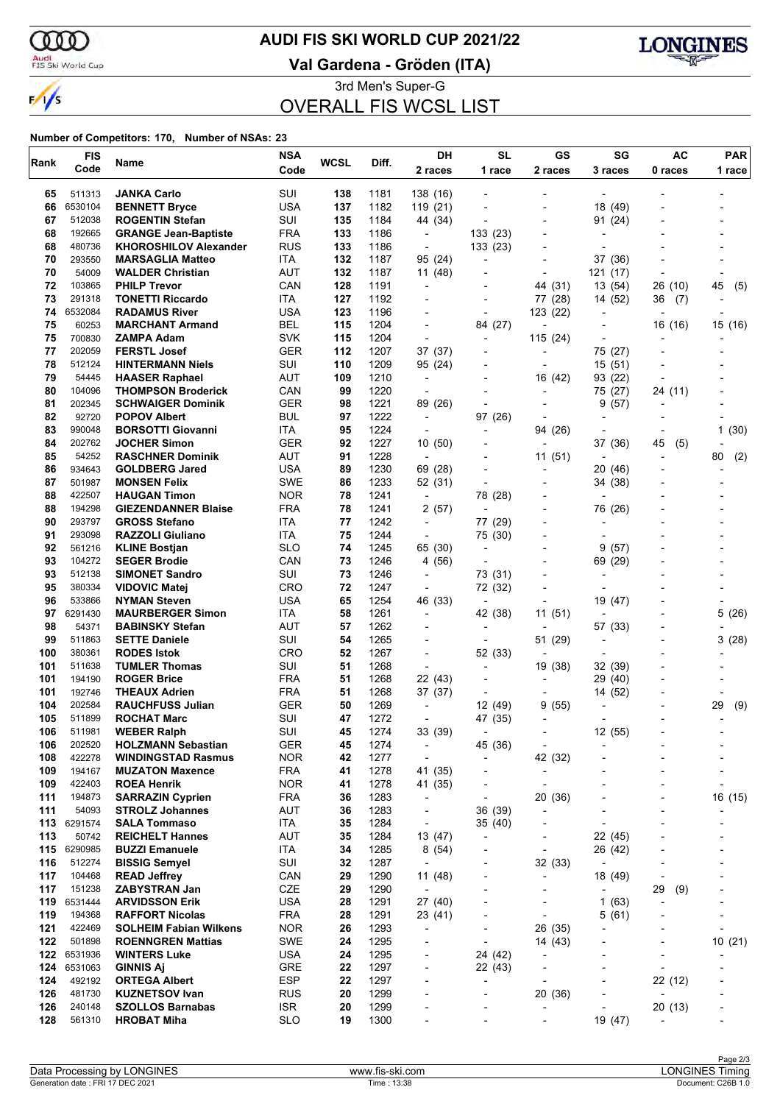ഞ

 $\frac{1}{\sqrt{2}}$ 

## **AUDI FIS SKI WORLD CUP 2021/22**

Audi<br>FIS Ski World Cup

**Val Gardena - Gröden (ITA)**



3rd Men's Super-G OVERALL FIS WCSL LIST

| Rank       | <b>FIS</b>        | Name                                                | <b>NSA</b>               | <b>WCSL</b> | Diff.        | DH                             | <b>SL</b>                           | GS                                   | SG                       | <b>AC</b>                 | <b>PAR</b>               |
|------------|-------------------|-----------------------------------------------------|--------------------------|-------------|--------------|--------------------------------|-------------------------------------|--------------------------------------|--------------------------|---------------------------|--------------------------|
|            | Code              |                                                     | Code                     |             |              | 2 races                        | 1 race                              | 2 races                              | 3 races                  | 0 races                   | 1 race                   |
| 65         | 511313            | <b>JANKA Carlo</b>                                  | SUI                      | 138         | 1181         | 138 (16)                       |                                     |                                      |                          |                           |                          |
| 66         | 6530104           | <b>BENNETT Bryce</b>                                | <b>USA</b>               | 137         | 1182         | 119 (21)                       |                                     |                                      | 18 (49)                  |                           |                          |
| 67         | 512038            | <b>ROGENTIN Stefan</b>                              | SUI                      | 135         | 1184         | 44 (34)                        |                                     | $\overline{a}$                       | 91 (24)                  |                           |                          |
| 68         | 192665            | <b>GRANGE Jean-Baptiste</b>                         | <b>FRA</b>               | 133         | 1186         | $\overline{\phantom{a}}$       | 133 (23)                            |                                      |                          |                           |                          |
| 68         | 480736            | <b>KHOROSHILOV Alexander</b>                        | <b>RUS</b>               | 133         | 1186         | $\overline{\phantom{a}}$       | 133 (23)                            |                                      |                          |                           |                          |
| 70         | 293550            | <b>MARSAGLIA Matteo</b>                             | ITA.                     | 132         | 1187         | 95 (24)                        | $\overline{a}$                      |                                      | 37 (36)                  |                           |                          |
| 70         | 54009             | <b>WALDER Christian</b>                             | AUT                      | 132         | 1187         | 11 (48)                        |                                     |                                      | 121 (17)                 |                           |                          |
| 72         | 103865            | <b>PHILP Trevor</b>                                 | CAN                      | 128         | 1191         | $\overline{\phantom{a}}$       |                                     | 44 (31)                              | 13 (54)                  | 26 (10)                   | 45<br>(5)                |
| 73         | 291318            | <b>TONETTI Riccardo</b>                             | ITA.                     | 127         | 1192         | -                              | $\overline{\phantom{a}}$            | 77 (28)                              | 14 (52)                  | 36<br>(7)                 |                          |
| 74         | 6532084           | <b>RADAMUS River</b>                                | <b>USA</b>               | 123         | 1196         |                                |                                     | 123 (22)                             |                          |                           |                          |
| 75<br>75   | 60253<br>700830   | <b>MARCHANT Armand</b><br>ZAMPA Adam                | <b>BEL</b><br><b>SVK</b> | 115<br>115  | 1204<br>1204 | $\overline{a}$                 | 84 (27)                             | $\overline{\phantom{a}}$<br>115 (24) | $\blacksquare$           | 16 (16)                   | 15 (16)                  |
| 77         | 202059            | <b>FERSTL Josef</b>                                 | <b>GER</b>               | 112         | 1207         | 37 (37)                        | $\overline{\phantom{a}}$            |                                      | 75 (27)                  |                           |                          |
| 78         | 512124            | <b>HINTERMANN Niels</b>                             | SUI                      | 110         | 1209         | 95 (24)                        |                                     |                                      | 15(51)                   |                           |                          |
| 79         | 54445             | <b>HAASER Raphael</b>                               | AUT                      | 109         | 1210         | $\overline{a}$                 | $\overline{a}$                      | 16 (42)                              | 93 (22)                  |                           |                          |
| 80         | 104096            | <b>THOMPSON Broderick</b>                           | CAN                      | 99          | 1220         |                                |                                     |                                      | 75 (27)                  | 24 (11)                   |                          |
| 81         | 202345            | <b>SCHWAIGER Dominik</b>                            | <b>GER</b>               | 98          | 1221         | 89 (26)                        |                                     |                                      | (57)<br>9                |                           |                          |
| 82         | 92720             | <b>POPOV Albert</b>                                 | <b>BUL</b>               | 97          | 1222         | $\overline{\phantom{a}}$       | 97 (26)                             | $\blacksquare$                       | Ĭ.                       |                           |                          |
| 83         | 990048            | <b>BORSOTTI Giovanni</b>                            | ITA                      | 95          | 1224         | $\blacksquare$                 |                                     | 94 (26)                              |                          |                           | 1(30)                    |
| 84         | 202762            | <b>JOCHER Simon</b>                                 | <b>GER</b>               | 92          | 1227         | 10(50)                         |                                     |                                      | 37 (36)                  | 45<br>(5)                 |                          |
| 85         | 54252             | <b>RASCHNER Dominik</b>                             | <b>AUT</b>               | 91          | 1228         | $\overline{\phantom{a}}$       |                                     | 11 (51)                              |                          |                           | 80<br>(2)                |
| 86         | 934643            | <b>GOLDBERG Jared</b>                               | <b>USA</b>               | 89          | 1230         | 69 (28)                        |                                     |                                      | 20 (46)                  |                           |                          |
| 87         | 501987            | <b>MONSEN Felix</b>                                 | <b>SWE</b>               | 86          | 1233         | 52 (31)                        | $\blacksquare$                      |                                      | 34 (38)                  |                           |                          |
| 88         | 422507            | <b>HAUGAN Timon</b>                                 | <b>NOR</b>               | 78          | 1241         | $\overline{\phantom{a}}$       | 78 (28)                             | $\overline{\phantom{a}}$             | Ĭ.                       |                           |                          |
| 88         | 194298            | <b>GIEZENDANNER Blaise</b>                          | <b>FRA</b>               | 78          | 1241         | 2(57)                          | $\overline{\phantom{a}}$            |                                      | 76 (26)                  |                           |                          |
| 90         | 293797            | <b>GROSS Stefano</b>                                | <b>ITA</b>               | 77          | 1242         | $\overline{\phantom{a}}$       | 77 (29)                             | $\overline{\phantom{0}}$             |                          |                           |                          |
| 91         | 293098            | <b>RAZZOLI Giuliano</b>                             | ITA.                     | 75          | 1244         | $\overline{\phantom{a}}$       | 75 (30)                             | $\overline{\phantom{a}}$             |                          |                           |                          |
| 92<br>93   | 561216<br>104272  | <b>KLINE Bostjan</b><br><b>SEGER Brodie</b>         | <b>SLO</b><br>CAN        | 74<br>73    | 1245<br>1246 | 65 (30)<br>4 (56)              |                                     |                                      | (57)<br>9<br>69 (29)     |                           |                          |
| 93         | 512138            | <b>SIMONET Sandro</b>                               | SUI                      | 73          | 1246         | $\overline{\phantom{a}}$       | 73 (31)                             |                                      | $\overline{\phantom{a}}$ |                           |                          |
| 95         | 380334            | <b>VIDOVIC Matej</b>                                | <b>CRO</b>               | 72          | 1247         | $\overline{\phantom{a}}$       | 72 (32)                             |                                      |                          |                           |                          |
| 96         | 533866            | <b>NYMAN Steven</b>                                 | <b>USA</b>               | 65          | 1254         | 46 (33)                        | $\blacksquare$                      | $\overline{\phantom{a}}$             | 19 (47)                  |                           |                          |
| 97         | 6291430           | <b>MAURBERGER Simon</b>                             | ITA                      | 58          | 1261         | $\overline{\phantom{a}}$       | 42 (38)                             | 11 (51)                              |                          |                           | 5 (26)                   |
| 98         | 54371             | <b>BABINSKY Stefan</b>                              | AUT                      | 57          | 1262         |                                |                                     |                                      | 57 (33)                  |                           |                          |
| 99         | 511863            | <b>SETTE Daniele</b>                                | SUI                      | 54          | 1265         |                                |                                     | 51 (29)                              | $\overline{a}$           |                           | 3(28)                    |
| 100        | 380361            | <b>RODES Istok</b>                                  | <b>CRO</b>               | 52          | 1267         | $\overline{a}$                 | 52 (33)                             |                                      | Ĭ.                       |                           |                          |
| 101        | 511638            | <b>TUMLER Thomas</b>                                | SUI                      | 51          | 1268         | $\blacksquare$                 | $\blacksquare$                      | 19 (38)                              | 32 (39)                  |                           |                          |
| 101        | 194190            | <b>ROGER Brice</b>                                  | <b>FRA</b>               | 51          | 1268         | 22 (43)                        | $\blacksquare$                      |                                      | 29 (40)                  |                           |                          |
| 101        | 192746            | <b>THEAUX Adrien</b>                                | <b>FRA</b>               | 51          | 1268         | 37 (37)                        | $\overline{\phantom{a}}$            | $\overline{a}$                       | 14 (52)                  |                           |                          |
| 104        | 202584            | <b>RAUCHFUSS Julian</b>                             | <b>GER</b>               | 50          | 1269         |                                | 12 (49)                             | 9<br>(55)                            |                          |                           | 29<br>(9)                |
| 105        | 511899            | <b>ROCHAT Marc</b>                                  | SUI                      | 47          | 1272         | $\blacksquare$                 | 47 (35)                             | $\overline{\phantom{a}}$             |                          |                           |                          |
| 106        | 511981            | <b>WEBER Ralph</b>                                  | SUI                      | 45          | 1274         | 33 (39)                        |                                     |                                      | 12 (55)                  |                           |                          |
| 106        | 202520<br>422278  | <b>HOLZMANN Sebastian</b>                           | GER                      | 45<br>42    | 1274<br>1277 | $\overline{\phantom{a}}$<br>÷, | 45 (36)<br>$\overline{\phantom{a}}$ | -                                    | ۰                        |                           |                          |
| 108<br>109 | 194167            | <b>WINDINGSTAD Rasmus</b><br><b>MUZATON Maxence</b> | <b>NOR</b><br>FRA        | 41          | 1278         | 41 (35)                        | $\overline{a}$                      | 42 (32)<br>$\overline{\phantom{a}}$  |                          |                           |                          |
| 109        | 422403            | <b>ROEA Henrik</b>                                  | <b>NOR</b>               | 41          | 1278         | 41 (35)                        |                                     |                                      |                          |                           |                          |
| 111        | 194873            | <b>SARRAZIN Cyprien</b>                             | <b>FRA</b>               | 36          | 1283         | $\overline{\phantom{a}}$       | $\overline{\phantom{a}}$            | 20 (36)                              |                          |                           | 16 (15)                  |
| 111        | 54093             | <b>STROLZ Johannes</b>                              | AUT                      | 36          | 1283         | $\overline{\phantom{a}}$       | 36 (39)                             | $\overline{\phantom{a}}$             |                          |                           |                          |
|            | 113 6291574       | <b>SALA Tommaso</b>                                 | ITA                      | 35          | 1284         | $\overline{a}$                 | 35 (40)                             |                                      |                          |                           |                          |
| 113        | 50742             | <b>REICHELT Hannes</b>                              | <b>AUT</b>               | 35          | 1284         | 13 (47)                        | $\overline{\phantom{a}}$            | $\overline{\phantom{a}}$             | 22 (45)                  |                           |                          |
| 115        | 6290985           | <b>BUZZI Emanuele</b>                               | ITA                      | 34          | 1285         | 8(54)                          | ٠                                   | $\overline{\phantom{a}}$             | 26 (42)                  |                           |                          |
| 116        | 512274            | <b>BISSIG Semyel</b>                                | SUI                      | 32          | 1287         | $\overline{\phantom{a}}$       |                                     | 32 (33)                              | $\overline{\phantom{a}}$ |                           |                          |
| 117        | 104468            | <b>READ Jeffrey</b>                                 | CAN                      | 29          | 1290         | 11 (48)                        | -                                   | $\overline{\phantom{0}}$             | 18 (49)                  | $\overline{a}$            |                          |
| 117        | 151238            | <b>ZABYSTRAN Jan</b>                                | CZE                      | 29          | 1290         | $\overline{\phantom{a}}$       | ٠                                   | $\overline{\phantom{0}}$             |                          | 29<br>(9)                 |                          |
| 119        | 6531444           | <b>ARVIDSSON Erik</b>                               | <b>USA</b>               | 28          | 1291         | 27 (40)                        |                                     |                                      | 1(63)                    |                           |                          |
| 119        | 194368            | <b>RAFFORT Nicolas</b>                              | <b>FRA</b>               | 28          | 1291         | 23 (41)                        | $\overline{a}$                      | $\overline{a}$                       | 5(61)                    |                           |                          |
| 121        | 422469            | <b>SOLHEIM Fabian Wilkens</b>                       | <b>NOR</b>               | 26          | 1293         | $\overline{\phantom{a}}$       | $\overline{\phantom{a}}$            | 26 (35)                              |                          |                           |                          |
| 122        | 501898            | <b>ROENNGREN Mattias</b>                            | <b>SWE</b>               | 24          | 1295         |                                | $\overline{a}$                      | 14 (43)                              |                          |                           | 10(21)                   |
| 122        | 6531936           | <b>WINTERS Luke</b>                                 | <b>USA</b>               | 24          | 1295         | $\overline{\phantom{a}}$       | 24 (42)                             |                                      | ۰                        | $\overline{\phantom{a}}$  |                          |
| 124<br>124 | 6531063<br>492192 | <b>GINNIS Aj</b>                                    | <b>GRE</b><br><b>ESP</b> | 22<br>22    | 1297<br>1297 | $\overline{\phantom{a}}$       | 22 (43)                             | $\overline{\phantom{0}}$             | ٠                        | $\overline{\phantom{a}}$  |                          |
| 126        | 481730            | <b>ORTEGA Albert</b><br><b>KUZNETSOV Ivan</b>       | <b>RUS</b>               | 20          | 1299         | -                              | $\overline{\phantom{a}}$            | 20 (36)                              | $\overline{a}$           | 22 (12)<br>$\blacksquare$ | $\overline{\phantom{0}}$ |
| 126        | 240148            | <b>SZOLLOS Barnabas</b>                             | <b>ISR</b>               | 20          | 1299         | -                              | $\overline{a}$                      | $\overline{\phantom{a}}$             |                          | 20 (13)                   | ٠                        |
| 128        | 561310            | <b>HROBAT Miha</b>                                  | <b>SLO</b>               | 19          | 1300         |                                |                                     |                                      | 19 (47)                  |                           |                          |
|            |                   |                                                     |                          |             |              |                                |                                     |                                      |                          |                           |                          |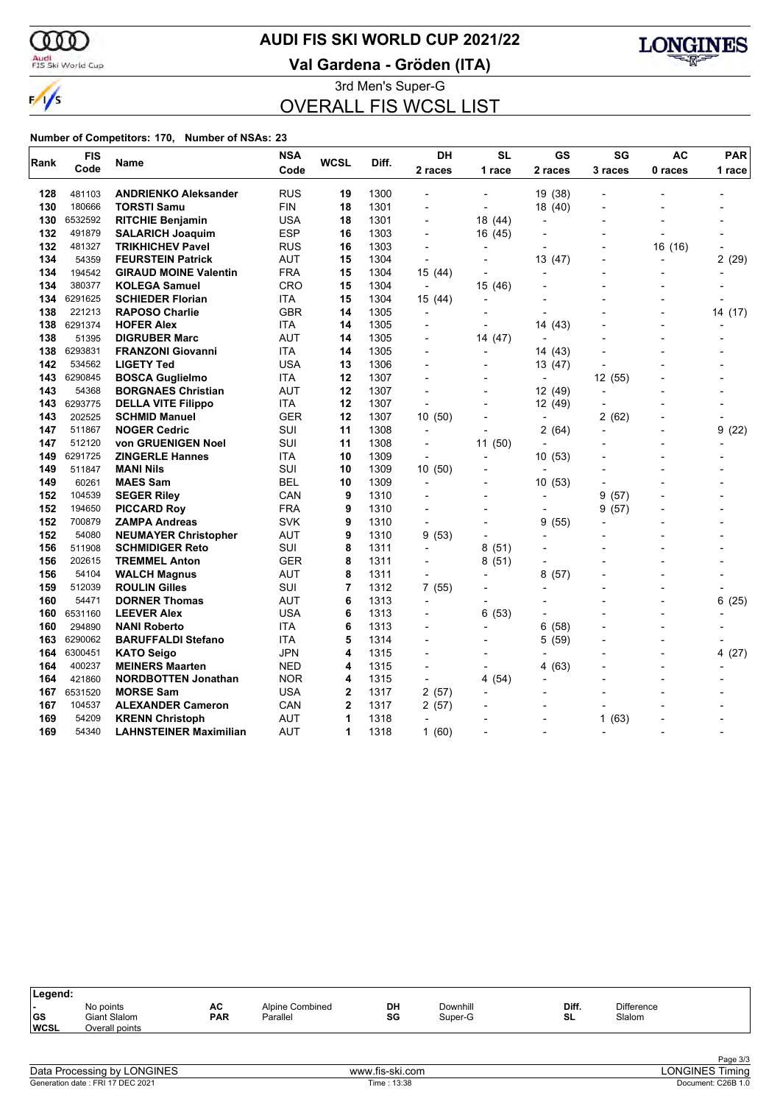w

## **AUDI FIS SKI WORLD CUP 2021/22**

Audi<br>FIS Ski World Cup

 $\frac{1}{\sqrt{2}}$ 

### **Val Gardena - Gröden (ITA)**



3rd Men's Super-G OVERALL FIS WCSL LIST

| Rank | <b>FIS</b> |                               | <b>NSA</b> | <b>WCSL</b> | Diff. | DH                       | <b>SL</b>                | GS                       | SG             | <b>AC</b>                | <b>PAR</b> |
|------|------------|-------------------------------|------------|-------------|-------|--------------------------|--------------------------|--------------------------|----------------|--------------------------|------------|
|      | Code       | Name                          | Code       |             |       | 2 races                  | 1 race                   | 2 races                  | 3 races        | 0 races                  | 1 race     |
| 128  | 481103     | <b>ANDRIENKO Aleksander</b>   | <b>RUS</b> | 19          | 1300  | $\blacksquare$           |                          | 19 (38)                  |                |                          |            |
| 130  | 180666     | <b>TORSTI Samu</b>            | <b>FIN</b> | 18          | 1301  | $\overline{\phantom{a}}$ | $\blacksquare$           | 18 (40)                  | $\blacksquare$ | $\blacksquare$           |            |
| 130  | 6532592    | <b>RITCHIE Benjamin</b>       | <b>USA</b> | 18          | 1301  |                          | 18 (44)                  | $\overline{a}$           |                |                          |            |
| 132  | 491879     | <b>SALARICH Joaquim</b>       | <b>ESP</b> | 16          | 1303  | $\blacksquare$           | 16 (45)                  |                          |                |                          |            |
| 132  | 481327     | <b>TRIKHICHEV Pavel</b>       | <b>RUS</b> | 16          | 1303  | $\overline{\phantom{a}}$ | $\overline{\phantom{a}}$ | $\overline{a}$           |                | 16 (16)                  |            |
| 134  | 54359      | <b>FEURSTEIN Patrick</b>      | <b>AUT</b> | 15          | 1304  | $\overline{a}$           |                          | 13 (47)                  |                |                          | 2<br>(29)  |
| 134  | 194542     | <b>GIRAUD MOINE Valentin</b>  | <b>FRA</b> | 15          | 1304  | 15 (44)                  |                          |                          |                |                          |            |
| 134  | 380377     | <b>KOLEGA Samuel</b>          | <b>CRO</b> | 15          | 1304  | $\overline{\phantom{a}}$ | 15 (46)                  | $\overline{a}$           |                |                          |            |
| 134  | 6291625    | <b>SCHIEDER Florian</b>       | <b>ITA</b> | 15          | 1304  | 15 (44)                  |                          |                          |                |                          |            |
| 138  | 221213     | <b>RAPOSO Charlie</b>         | <b>GBR</b> | 14          | 1305  | $\overline{\phantom{a}}$ |                          |                          |                |                          | 14 (17)    |
| 138  | 6291374    | <b>HOFER Alex</b>             | ITA        | 14          | 1305  | $\blacksquare$           | $\blacksquare$           | 14 (43)                  |                | $\overline{a}$           |            |
| 138  | 51395      | <b>DIGRUBER Marc</b>          | <b>AUT</b> | 14          | 1305  |                          | 14 (47)                  | $\overline{a}$           |                |                          |            |
| 138  | 6293831    | <b>FRANZONI Giovanni</b>      | <b>ITA</b> | 14          | 1305  | $\overline{a}$           |                          | 14 (43)                  |                | $\overline{a}$           |            |
| 142  | 534562     | <b>LIGETY Ted</b>             | <b>USA</b> | 13          | 1306  | $\overline{a}$           | $\overline{a}$           | 13 (47)                  |                |                          |            |
| 143  | 6290845    | <b>BOSCA Guglielmo</b>        | ITA        | 12          | 1307  |                          |                          | ÷                        | 12 (55)        |                          |            |
| 143  | 54368      | <b>BORGNAES Christian</b>     | AUT        | 12          | 1307  |                          |                          | 12 (49)                  | $\overline{a}$ |                          |            |
| 143  | 6293775    | <b>DELLA VITE Filippo</b>     | ITA        | 12          | 1307  | L,                       |                          | 12 (49)                  |                |                          |            |
| 143  | 202525     | <b>SCHMID Manuel</b>          | <b>GER</b> | 12          | 1307  | 10 (50)                  |                          | $\overline{a}$           | (62)<br>2      |                          |            |
| 147  | 511867     | <b>NOGER Cedric</b>           | SUI        | 11          | 1308  | $\overline{a}$           |                          | 2<br>(64)                |                |                          | (22)<br>9  |
| 147  | 512120     | von GRUENIGEN Noel            | SUI        | 11          | 1308  | ÷,                       | 11 (50)                  |                          |                |                          |            |
| 149  | 6291725    | <b>ZINGERLE Hannes</b>        | ITA        | 10          | 1309  | $\overline{\phantom{a}}$ | $\overline{\phantom{a}}$ | 10(53)                   |                |                          |            |
| 149  | 511847     | <b>MANI Nils</b>              | SUI        | 10          | 1309  | 10 (50)                  |                          | $\overline{a}$           |                |                          |            |
| 149  | 60261      | <b>MAES Sam</b>               | BEL        | 10          | 1309  | ٠                        |                          | 10 (53)                  |                |                          |            |
| 152  | 104539     | <b>SEGER Riley</b>            | CAN        | 9           | 1310  |                          |                          | $\overline{\phantom{0}}$ | 9<br>(57)      |                          |            |
| 152  | 194650     | <b>PICCARD Rov</b>            | <b>FRA</b> | 9           | 1310  |                          |                          | L,                       | 9<br>(57)      |                          |            |
| 152  | 700879     | <b>ZAMPA Andreas</b>          | <b>SVK</b> | 9           | 1310  | $\overline{a}$           |                          | (55)<br>9                |                |                          |            |
| 152  | 54080      | <b>NEUMAYER Christopher</b>   | AUT        | 9           | 1310  | 9(53)                    |                          |                          |                |                          |            |
| 156  | 511908     | <b>SCHMIDIGER Reto</b>        | SUI        | 8           | 1311  | $\overline{\phantom{a}}$ | 8(51)                    |                          |                |                          |            |
| 156  | 202615     | <b>TREMMEL Anton</b>          | GER        | 8           | 1311  |                          | 8(51)                    | $\overline{\phantom{a}}$ |                |                          |            |
| 156  | 54104      | <b>WALCH Magnus</b>           | <b>AUT</b> | 8           | 1311  |                          |                          | 8<br>(57)                |                |                          |            |
| 159  | 512039     | <b>ROULIN Gilles</b>          | SUI        | 7           | 1312  | 7 (55)                   |                          |                          |                |                          |            |
| 160  | 54471      | <b>DORNER Thomas</b>          | <b>AUT</b> | 6           | 1313  |                          |                          |                          |                |                          | 6<br>(25)  |
| 160  | 6531160    | <b>LEEVER Alex</b>            | USA        | 6           | 1313  |                          | 6(53)                    |                          |                | $\overline{\phantom{0}}$ |            |
| 160  | 294890     | <b>NANI Roberto</b>           | <b>ITA</b> | 6           | 1313  | $\overline{\phantom{a}}$ |                          | 6<br>(58)                |                | $\overline{a}$           |            |
| 163  | 6290062    | <b>BARUFFALDI Stefano</b>     | ITA        | 5           | 1314  |                          |                          | (59)<br>5                |                |                          |            |
| 164  | 6300451    | <b>KATO Seigo</b>             | <b>JPN</b> | 4           | 1315  |                          |                          |                          |                |                          | 4(27)      |
| 164  | 400237     | <b>MEINERS Maarten</b>        | <b>NED</b> | 4           | 1315  | $\blacksquare$           | $\blacksquare$           | (63)<br>4                |                | $\overline{a}$           |            |
| 164  | 421860     | <b>NORDBOTTEN Jonathan</b>    | <b>NOR</b> | 4           | 1315  |                          | 4(54)                    |                          |                |                          |            |
| 167  | 6531520    | <b>MORSE Sam</b>              | USA        | 2           | 1317  | 2(57)                    |                          |                          |                |                          |            |
| 167  | 104537     | <b>ALEXANDER Cameron</b>      | CAN        | 2           | 1317  | 2 (57)                   |                          |                          |                |                          |            |
| 169  | 54209      | <b>KRENN Christoph</b>        | <b>AUT</b> | 1           | 1318  | $\overline{a}$           |                          |                          | (63)<br>1      |                          |            |
| 169  | 54340      | <b>LAHNSTEINER Maximilian</b> | <b>AUT</b> | 1           | 1318  | 1(60)                    |                          | $\overline{\phantom{a}}$ | $\blacksquare$ | $\overline{a}$           |            |

| Legend:                   |                                                    |                  |                             |          |                     |             |                      |  |
|---------------------------|----------------------------------------------------|------------------|-----------------------------|----------|---------------------|-------------|----------------------|--|
| . .<br> GS<br><b>WCSL</b> | No points<br><b>Giant Slalom</b><br>Overall points | AC<br><b>PAR</b> | Alpine Combined<br>Parallel | DH<br>SG | Downhill<br>Super-G | Diff.<br>SL | Difference<br>Slalom |  |
|                           |                                                    |                  |                             |          |                     |             |                      |  |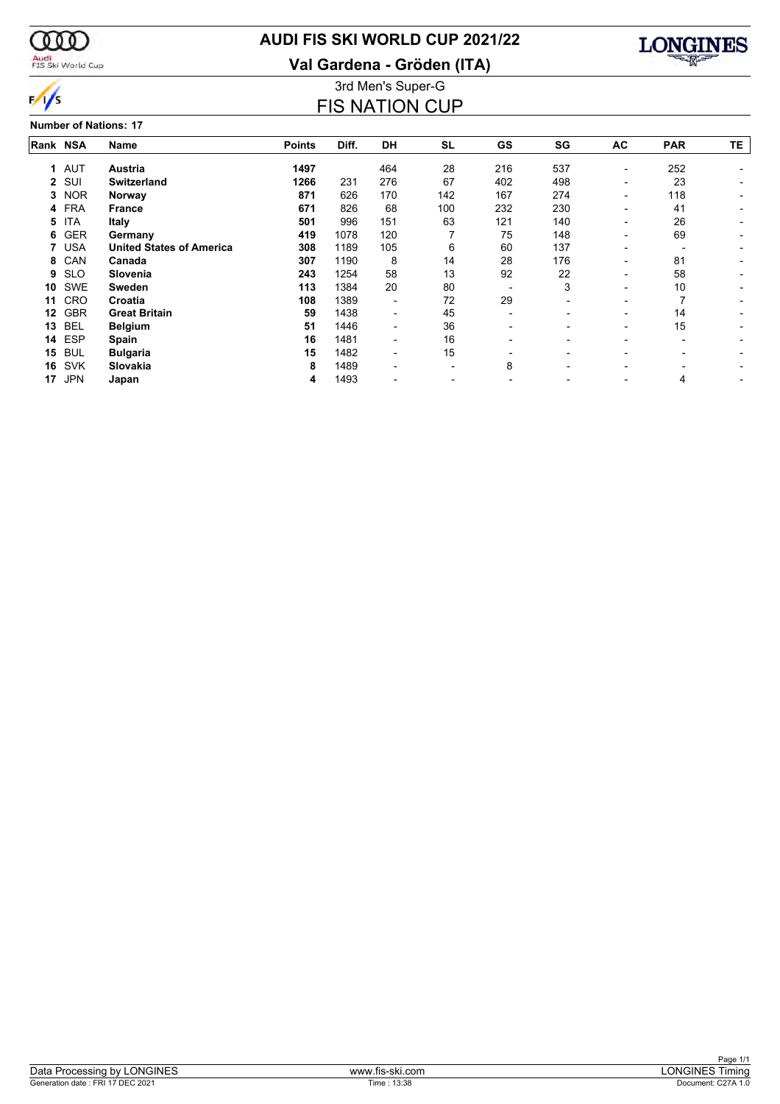

## **AUDI FIS SKI WORLD CUP 2021/22**

**Val Gardena - Gröden (ITA)**



3rd Men's Super-G FIS NATION CUP

#### **Number of Nations: 17**

| Rank NSA    |            | <b>Name</b>                     | <b>Points</b> | Diff. | <b>DH</b> | <b>SL</b>                | GS  | SG  | AC | <b>PAR</b> | TE |
|-------------|------------|---------------------------------|---------------|-------|-----------|--------------------------|-----|-----|----|------------|----|
| $\mathbf 1$ | AUT        | Austria                         | 1497          |       | 464       | 28                       | 216 | 537 | -  | 252        |    |
| 2           | SUI        | <b>Switzerland</b>              | 1266          | 231   | 276       | 67                       | 402 | 498 | -  | 23         |    |
| 3           | <b>NOR</b> | Norway                          | 871           | 626   | 170       | 142                      | 167 | 274 | -  | 118        |    |
| 4           | <b>FRA</b> | <b>France</b>                   | 671           | 826   | 68        | 100                      | 232 | 230 |    | 41         |    |
| 5           | <b>ITA</b> | Italy                           | 501           | 996   | 151       | 63                       | 121 | 140 |    | 26         |    |
| 6           | <b>GER</b> | Germany                         | 419           | 1078  | 120       |                          | 75  | 148 | -  | 69         |    |
|             | <b>USA</b> | <b>United States of America</b> | 308           | 1189  | 105       | 6                        | 60  | 137 | -  |            |    |
| 8           | CAN        | Canada                          | 307           | 1190  | 8         | 14                       | 28  | 176 | -  | 81         |    |
| 9           | <b>SLO</b> | Slovenia                        | 243           | 1254  | 58        | 13                       | 92  | 22  |    | 58         |    |
| 10          | <b>SWE</b> | <b>Sweden</b>                   | 113           | 1384  | 20        | 80                       |     | 3   |    | 10         |    |
| 11          | <b>CRO</b> | Croatia                         | 108           | 1389  | -         | 72                       | 29  |     |    |            |    |
| 12          | <b>GBR</b> | <b>Great Britain</b>            | 59            | 1438  | -         | 45                       |     |     | -  | 14         |    |
| 13          | <b>BEL</b> | <b>Belgium</b>                  | 51            | 1446  | -         | 36                       | -   |     | Ξ. | 15         |    |
| 14          | <b>ESP</b> | Spain                           | 16            | 1481  | -         | 16                       |     |     |    |            |    |
| 15          | <b>BUL</b> | <b>Bulgaria</b>                 | 15            | 1482  | -         | 15                       |     |     |    |            |    |
| 16          | <b>SVK</b> | Slovakia                        | 8             | 1489  | -         | $\overline{\phantom{0}}$ | 8   | -   | -  |            |    |
| 17          | <b>JPN</b> | Japan                           | 4             | 1493  |           |                          |     |     |    | 4          |    |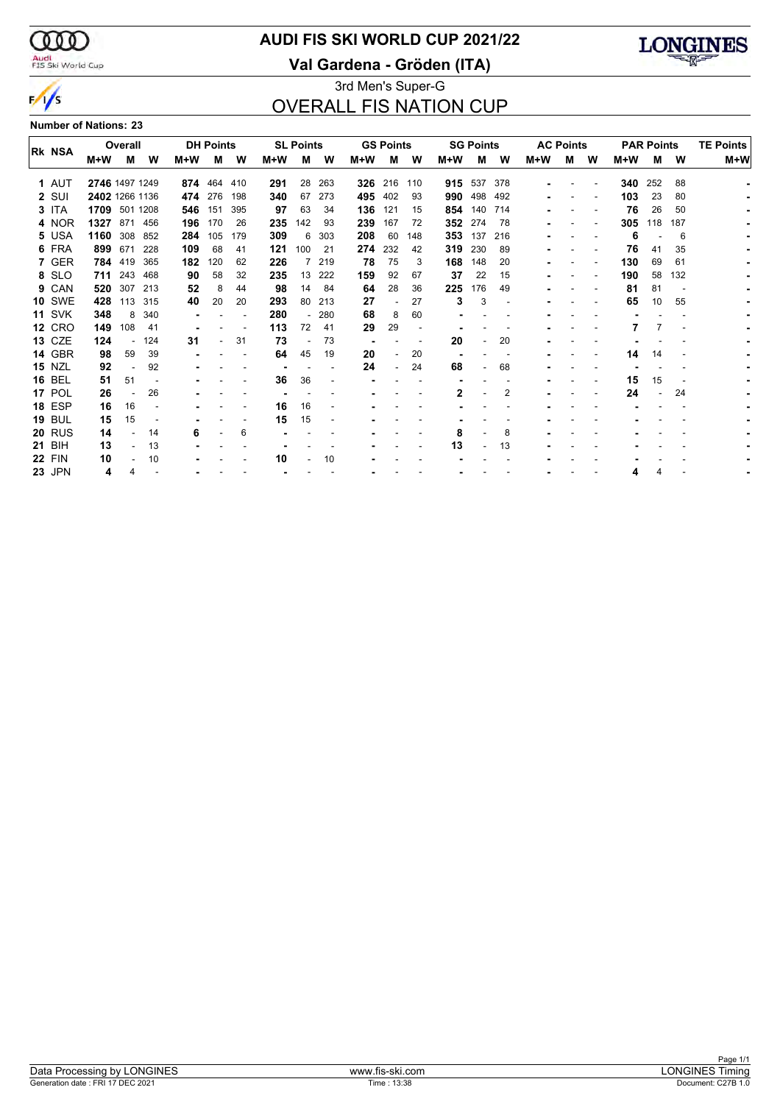$\infty$ Audi<br>FIS Ski World Cup

 $\frac{1}{s}$ 

## **AUDI FIS SKI WORLD CUP 2021/22**

**Val Gardena - Gröden (ITA)**



### 3rd Men's Super-G OVERALL FIS NATION CUP

**Number of Nations: 23**

|  |               |                | Overall |         |       | <b>DH Points</b> |     |     | <b>SL Points</b> |        |     | <b>GS Points</b> |         |       | <b>SG Points</b> |                          |       | <b>AC Points</b> |   |     | <b>PAR Points</b> | <b>TE Points</b> |       |  |
|--|---------------|----------------|---------|---------|-------|------------------|-----|-----|------------------|--------|-----|------------------|---------|-------|------------------|--------------------------|-------|------------------|---|-----|-------------------|------------------|-------|--|
|  | Rk NSA        | M+W            | м       | W       | $M+W$ | м                | W   | M+W | М                | W      | M+W | м                | W       | $M+W$ | М                | W                        | $M+W$ | м                | W | M+W | м                 | W                | $M+W$ |  |
|  | 1 AUT         | 2746 1497 1249 |         |         |       | 874 464 410      |     | 291 | 28               | 263    | 326 |                  | 216 110 |       | 915 537 378      |                          |       |                  |   | 340 | 252               | 88               |       |  |
|  | 2 SUI         | 2402 1266 1136 |         |         | 474   | 276              | 198 | 340 | 67               | 273    | 495 | 402              | 93      | 990   | 498              | 492                      |       |                  |   | 103 | 23                | 80               |       |  |
|  | 3 ITA         | 1709 501 1208  |         |         | 546   | 151              | 395 | 97  | 63               | 34     | 136 | 121              | 15      | 854   | 140              | 714                      |       |                  |   | 76  | 26                | 50               |       |  |
|  | 4 NOR         | 1327           |         | 871 456 | 196   | 170              | 26  | 235 | 142              | 93     | 239 | 167              | 72      | 352   | 274              | 78                       |       |                  |   | 305 | 118               | 187              |       |  |
|  | 5 USA         | 1160 308 852   |         |         | 284   | 105              | 179 | 309 | 6                | 303    | 208 | 60               | 148     | 353   | 137              | 216                      |       |                  |   | 6   |                   | 6                |       |  |
|  | 6 FRA         | 899            | 671     | 228     | 109   | 68               | 41  | 121 | 100              | -21    | 274 | 232              | 42      | 319   | 230              | 89                       |       |                  |   | 76  | 41                | 35               |       |  |
|  | 7 GER         |                | 784 419 | 365     | 182   | 120              | 62  | 226 |                  | 219    | 78  | 75               | 3       | 168   | 148              | 20                       |       |                  |   | 130 | 69                | 61               |       |  |
|  | 8 SLO         |                | 711 243 | 468     | 90    | 58               | 32  | 235 | 13               | 222    | 159 | 92               | 67      | 37    | 22               | 15                       |       |                  |   | 190 | 58                | 132              |       |  |
|  | 9 CAN         | 520            | 307     | 213     | 52    | 8                | 44  | 98  | 14               | 84     | 64  | 28               | 36      | 225   | 176              | 49                       |       |                  |   | 81  | 81                |                  |       |  |
|  | <b>10 SWE</b> | 428            | 113     | 315     | 40    | 20               | 20  | 293 | 80               | 213    | 27  | $\blacksquare$   | 27      | 3     | 3                | $\overline{\phantom{a}}$ |       |                  |   | 65  | 10                | 55               |       |  |
|  | <b>11 SVK</b> | 348            | 8       | 340     |       |                  |     | 280 |                  | $-280$ | 68  | 8                | 60      |       |                  |                          |       |                  |   |     |                   |                  |       |  |
|  | <b>12 CRO</b> | 149            | 108     | 41      |       |                  |     | 113 | 72               | 41     | 29  | 29               |         |       |                  |                          |       |                  |   |     | 7                 |                  |       |  |
|  | <b>13 CZE</b> | 124            |         | 124     | 31    |                  | 31  | 73  |                  | 73     |     |                  |         | 20    |                  | 20                       |       |                  |   |     |                   |                  |       |  |
|  | 14 GBR        | 98             | 59      | 39      |       |                  |     | 64  | 45               | 19     | 20  |                  | 20      |       |                  |                          |       |                  |   | 14  | 14                |                  |       |  |
|  | <b>15 NZL</b> | 92             |         | 92      |       |                  |     |     |                  |        | 24  | $\blacksquare$   | 24      | 68    |                  | 68                       |       |                  |   |     |                   |                  |       |  |
|  | <b>16 BEL</b> | 51             | 51      |         |       |                  |     | 36  | 36               |        |     |                  |         |       |                  |                          |       |                  |   | 15  | 15                |                  |       |  |
|  | 17 POL        | 26             |         | 26      |       |                  |     |     |                  |        |     |                  |         | 2     |                  | 2                        |       |                  |   | 24  |                   | 24               |       |  |
|  | <b>18 ESP</b> | 16             | 16      |         |       |                  |     | 16  | 16               |        |     |                  |         |       |                  |                          |       |                  |   |     |                   |                  |       |  |
|  | <b>19 BUL</b> | 15             | 15      |         |       |                  |     | 15  | 15               |        |     |                  |         |       |                  |                          |       |                  |   |     |                   |                  |       |  |
|  | <b>20 RUS</b> | 14             |         | 14      | 6     |                  | 6   |     |                  |        |     |                  |         | 8     |                  | 8                        |       |                  |   |     |                   |                  |       |  |
|  | <b>21 BIH</b> | 13             |         | 13      |       |                  |     |     |                  |        |     |                  |         | 13    |                  | 13                       |       |                  |   |     |                   |                  |       |  |
|  | <b>22 FIN</b> | 10             |         | 10      |       |                  |     | 10  |                  | 10     |     |                  |         |       |                  |                          |       |                  |   |     |                   |                  |       |  |
|  | <b>23 JPN</b> | 4              |         |         |       |                  |     |     |                  |        |     |                  |         |       |                  |                          |       |                  |   |     |                   |                  |       |  |
|  |               |                |         |         |       |                  |     |     |                  |        |     |                  |         |       |                  |                          |       |                  |   |     |                   |                  |       |  |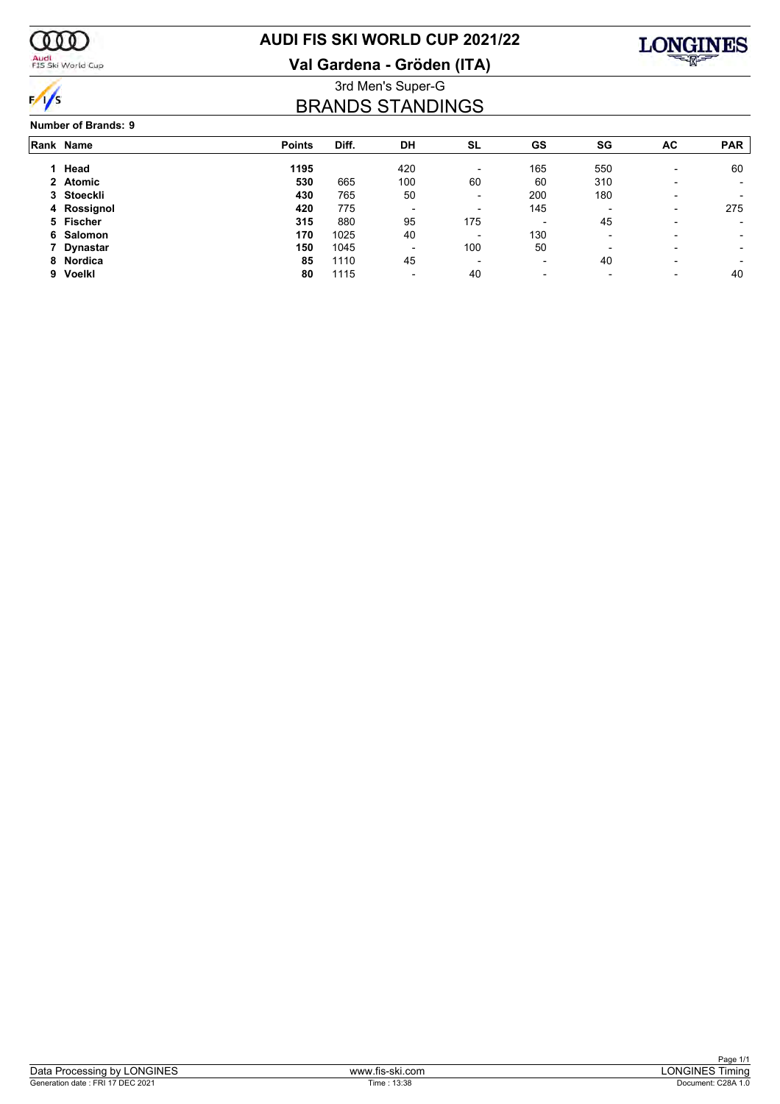

## Audi<br>FIS Ski World Cup

## **AUDI FIS SKI WORLD CUP 2021/22**

**Val Gardena - Gröden (ITA)**



### 3rd Men's Super-G BRANDS STANDINGS

#### **Number of Brands: 9**

| Rank Name   | <b>Points</b> | Diff. | DH  | <b>SL</b>                | GS                       | SG                       | AC                       | <b>PAR</b> |
|-------------|---------------|-------|-----|--------------------------|--------------------------|--------------------------|--------------------------|------------|
| Head        | 1195          |       | 420 | $\overline{\phantom{a}}$ | 165                      | 550                      | $\overline{\phantom{0}}$ | 60         |
| 2 Atomic    | 530           | 665   | 100 | 60                       | 60                       | 310                      |                          |            |
| 3 Stoeckli  | 430           | 765   | 50  | $\overline{\phantom{a}}$ | 200                      | 180                      |                          |            |
| 4 Rossignol | 420           | 775   | ۰   | $\overline{\phantom{a}}$ | 145                      | $\overline{\phantom{a}}$ | $\overline{\phantom{a}}$ | 275        |
| 5 Fischer   | 315           | 880   | 95  | 175                      | $\overline{\phantom{a}}$ | 45                       |                          |            |
| 6 Salomon   | 170           | 1025  | 40  | $\overline{\phantom{a}}$ | 130                      | $\overline{\phantom{a}}$ |                          |            |
| 7 Dynastar  | 150           | 1045  | -   | 100                      | 50                       | $\overline{\phantom{0}}$ |                          |            |
| 8 Nordica   | 85            | 1110  | 45  | $\overline{\phantom{a}}$ | $\overline{\phantom{a}}$ | 40                       |                          |            |
| 9 Voelkl    | 80            | 1115  | -   | 40                       | $\blacksquare$           | $\overline{\phantom{a}}$ | $\overline{\phantom{0}}$ | 40         |
|             |               |       |     |                          |                          |                          |                          |            |